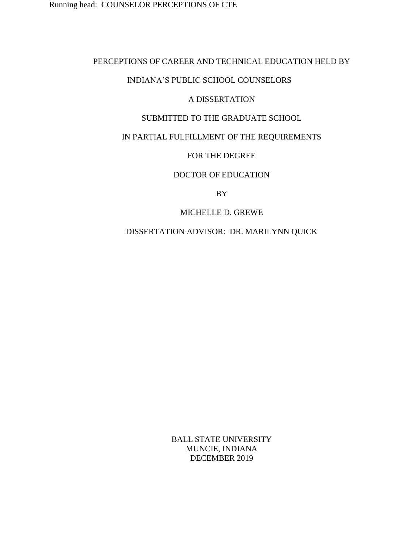## PERCEPTIONS OF CAREER AND TECHNICAL EDUCATION HELD BY

## INDIANA'S PUBLIC SCHOOL COUNSELORS

## A DISSERTATION

## SUBMITTED TO THE GRADUATE SCHOOL

## IN PARTIAL FULFILLMENT OF THE REQUIREMENTS

## FOR THE DEGREE

## DOCTOR OF EDUCATION

BY

## MICHELLE D. GREWE

DISSERTATION ADVISOR: DR. MARILYNN QUICK

BALL STATE UNIVERSITY MUNCIE, INDIANA DECEMBER 2019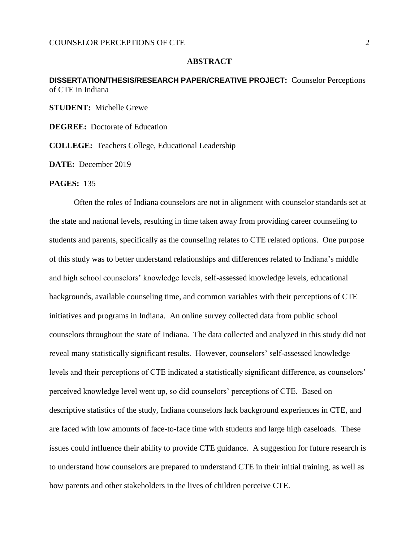## **ABSTRACT**

## <span id="page-1-0"></span>**DISSERTATION/THESIS/RESEARCH PAPER/CREATIVE PROJECT:** Counselor Perceptions of CTE in Indiana

**STUDENT:** Michelle Grewe

**DEGREE:** Doctorate of Education

**COLLEGE:** Teachers College, Educational Leadership

**DATE:** December 2019

#### **PAGES:** 135

Often the roles of Indiana counselors are not in alignment with counselor standards set at the state and national levels, resulting in time taken away from providing career counseling to students and parents, specifically as the counseling relates to CTE related options. One purpose of this study was to better understand relationships and differences related to Indiana's middle and high school counselors' knowledge levels, self-assessed knowledge levels, educational backgrounds, available counseling time, and common variables with their perceptions of CTE initiatives and programs in Indiana. An online survey collected data from public school counselors throughout the state of Indiana. The data collected and analyzed in this study did not reveal many statistically significant results. However, counselors' self-assessed knowledge levels and their perceptions of CTE indicated a statistically significant difference, as counselors' perceived knowledge level went up, so did counselors' perceptions of CTE. Based on descriptive statistics of the study, Indiana counselors lack background experiences in CTE, and are faced with low amounts of face-to-face time with students and large high caseloads. These issues could influence their ability to provide CTE guidance. A suggestion for future research is to understand how counselors are prepared to understand CTE in their initial training, as well as how parents and other stakeholders in the lives of children perceive CTE.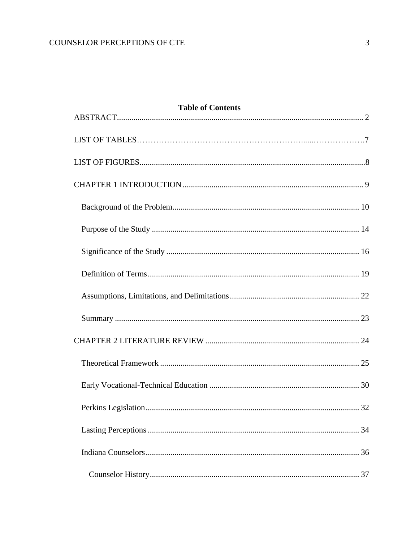| <b>Table of Contents</b> |    |
|--------------------------|----|
|                          |    |
|                          |    |
|                          |    |
|                          |    |
|                          |    |
|                          |    |
|                          |    |
|                          |    |
|                          |    |
|                          |    |
|                          |    |
|                          |    |
|                          |    |
|                          | 32 |
|                          |    |
|                          |    |
|                          |    |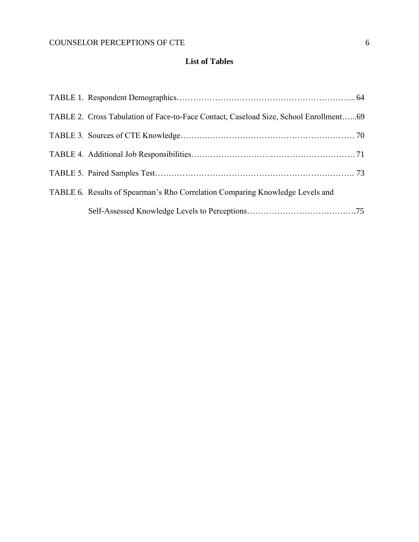## **List of Tables**

<span id="page-5-0"></span>

| TABLE 2. Cross Tabulation of Face-to-Face Contact, Caseload Size, School Enrollment69 |  |
|---------------------------------------------------------------------------------------|--|
|                                                                                       |  |
|                                                                                       |  |
|                                                                                       |  |
| TABLE 6. Results of Spearman's Rho Correlation Comparing Knowledge Levels and         |  |
|                                                                                       |  |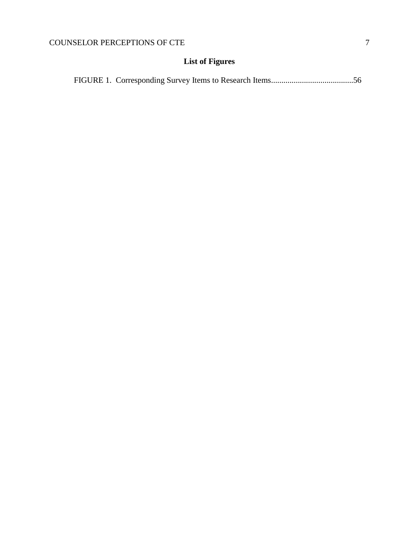# **List of Figures**

|--|--|--|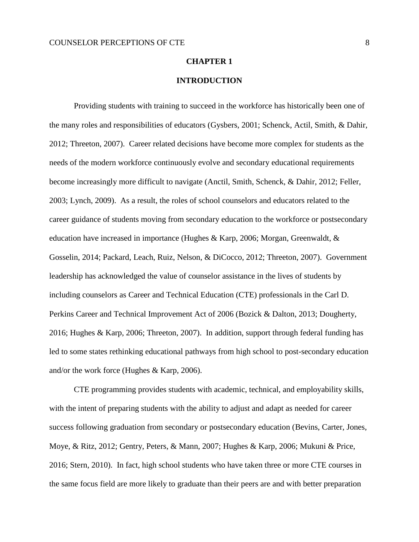### **CHAPTER 1**

## **INTRODUCTION**

Providing students with training to succeed in the workforce has historically been one of the many roles and responsibilities of educators (Gysbers, 2001; Schenck, Actil, Smith, & Dahir, 2012; Threeton, 2007). Career related decisions have become more complex for students as the needs of the modern workforce continuously evolve and secondary educational requirements become increasingly more difficult to navigate (Anctil, Smith, Schenck, & Dahir, 2012; Feller, 2003; Lynch, 2009). As a result, the roles of school counselors and educators related to the career guidance of students moving from secondary education to the workforce or postsecondary education have increased in importance (Hughes & Karp, 2006; Morgan, Greenwaldt, & Gosselin, 2014; Packard, Leach, Ruiz, Nelson, & DiCocco, 2012; Threeton, 2007). Government leadership has acknowledged the value of counselor assistance in the lives of students by including counselors as Career and Technical Education (CTE) professionals in the Carl D. Perkins Career and Technical Improvement Act of 2006 (Bozick & Dalton, 2013; Dougherty, 2016; Hughes & Karp, 2006; Threeton, 2007). In addition, support through federal funding has led to some states rethinking educational pathways from high school to post-secondary education and/or the work force (Hughes & Karp, 2006).

CTE programming provides students with academic, technical, and employability skills, with the intent of preparing students with the ability to adjust and adapt as needed for career success following graduation from secondary or postsecondary education (Bevins, Carter, Jones, Moye, & Ritz, 2012; Gentry, Peters, & Mann, 2007; Hughes & Karp, 2006; Mukuni & Price, 2016; Stern, 2010). In fact, high school students who have taken three or more CTE courses in the same focus field are more likely to graduate than their peers are and with better preparation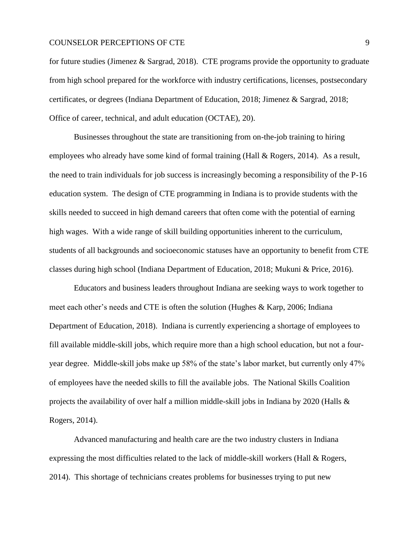for future studies (Jimenez & Sargrad, 2018). CTE programs provide the opportunity to graduate from high school prepared for the workforce with industry certifications, licenses, postsecondary certificates, or degrees (Indiana Department of Education, 2018; Jimenez & Sargrad, 2018; Office of career, technical, and adult education (OCTAE), 20).

Businesses throughout the state are transitioning from on-the-job training to hiring employees who already have some kind of formal training (Hall & Rogers, 2014). As a result, the need to train individuals for job success is increasingly becoming a responsibility of the P-16 education system. The design of CTE programming in Indiana is to provide students with the skills needed to succeed in high demand careers that often come with the potential of earning high wages. With a wide range of skill building opportunities inherent to the curriculum, students of all backgrounds and socioeconomic statuses have an opportunity to benefit from CTE classes during high school (Indiana Department of Education, 2018; Mukuni & Price, 2016).

Educators and business leaders throughout Indiana are seeking ways to work together to meet each other's needs and CTE is often the solution (Hughes & Karp, 2006; Indiana Department of Education, 2018). Indiana is currently experiencing a shortage of employees to fill available middle-skill jobs, which require more than a high school education, but not a fouryear degree. Middle-skill jobs make up 58% of the state's labor market, but currently only 47% of employees have the needed skills to fill the available jobs. The National Skills Coalition projects the availability of over half a million middle-skill jobs in Indiana by 2020 (Halls & Rogers, 2014).

Advanced manufacturing and health care are the two industry clusters in Indiana expressing the most difficulties related to the lack of middle-skill workers (Hall & Rogers, 2014). This shortage of technicians creates problems for businesses trying to put new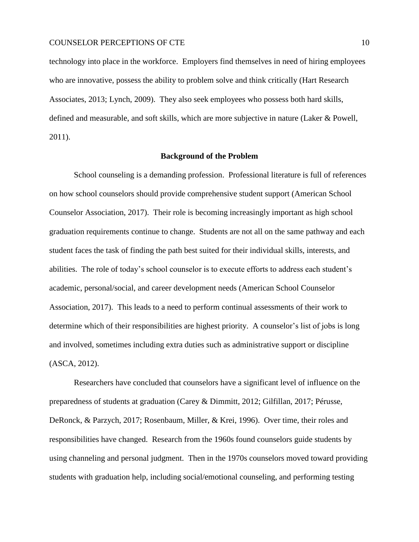technology into place in the workforce. Employers find themselves in need of hiring employees who are innovative, possess the ability to problem solve and think critically (Hart Research Associates, 2013; Lynch, 2009). They also seek employees who possess both hard skills, defined and measurable, and soft skills, which are more subjective in nature (Laker & Powell, 2011).

#### **Background of the Problem**

<span id="page-9-0"></span>School counseling is a demanding profession. Professional literature is full of references on how school counselors should provide comprehensive student support (American School Counselor Association, 2017). Their role is becoming increasingly important as high school graduation requirements continue to change. Students are not all on the same pathway and each student faces the task of finding the path best suited for their individual skills, interests, and abilities. The role of today's school counselor is to execute efforts to address each student's academic, personal/social, and career development needs (American School Counselor Association, 2017). This leads to a need to perform continual assessments of their work to determine which of their responsibilities are highest priority. A counselor's list of jobs is long and involved, sometimes including extra duties such as administrative support or discipline (ASCA, 2012).

Researchers have concluded that counselors have a significant level of influence on the preparedness of students at graduation (Carey & Dimmitt, 2012; Gilfillan, 2017; Pérusse, DeRonck, & Parzych, 2017; Rosenbaum, Miller, & Krei, 1996). Over time, their roles and responsibilities have changed. Research from the 1960s found counselors guide students by using channeling and personal judgment. Then in the 1970s counselors moved toward providing students with graduation help, including social/emotional counseling, and performing testing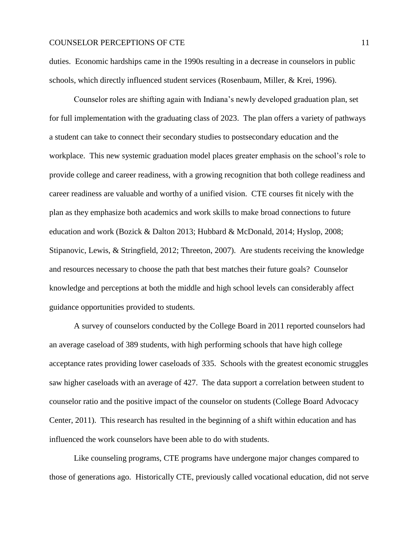duties. Economic hardships came in the 1990s resulting in a decrease in counselors in public schools, which directly influenced student services (Rosenbaum, Miller, & Krei, 1996).

Counselor roles are shifting again with Indiana's newly developed graduation plan, set for full implementation with the graduating class of 2023. The plan offers a variety of pathways a student can take to connect their secondary studies to postsecondary education and the workplace. This new systemic graduation model places greater emphasis on the school's role to provide college and career readiness, with a growing recognition that both college readiness and career readiness are valuable and worthy of a unified vision. CTE courses fit nicely with the plan as they emphasize both academics and work skills to make broad connections to future education and work (Bozick & Dalton 2013; Hubbard & McDonald, 2014; Hyslop, 2008; Stipanovic, Lewis, & Stringfield, 2012; Threeton, 2007). Are students receiving the knowledge and resources necessary to choose the path that best matches their future goals? Counselor knowledge and perceptions at both the middle and high school levels can considerably affect guidance opportunities provided to students.

A survey of counselors conducted by the College Board in 2011 reported counselors had an average caseload of 389 students, with high performing schools that have high college acceptance rates providing lower caseloads of 335. Schools with the greatest economic struggles saw higher caseloads with an average of 427. The data support a correlation between student to counselor ratio and the positive impact of the counselor on students (College Board Advocacy Center, 2011). This research has resulted in the beginning of a shift within education and has influenced the work counselors have been able to do with students.

Like counseling programs, CTE programs have undergone major changes compared to those of generations ago. Historically CTE, previously called vocational education, did not serve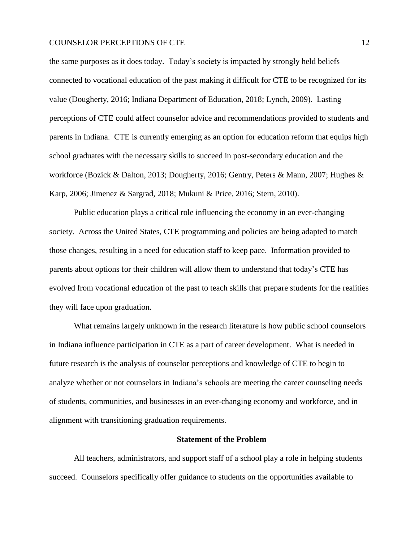the same purposes as it does today. Today's society is impacted by strongly held beliefs connected to vocational education of the past making it difficult for CTE to be recognized for its value (Dougherty, 2016; Indiana Department of Education, 2018; Lynch, 2009). Lasting perceptions of CTE could affect counselor advice and recommendations provided to students and parents in Indiana. CTE is currently emerging as an option for education reform that equips high school graduates with the necessary skills to succeed in post-secondary education and the workforce (Bozick & Dalton, 2013; Dougherty, 2016; Gentry, Peters & Mann, 2007; Hughes & Karp, 2006; Jimenez & Sargrad, 2018; Mukuni & Price, 2016; Stern, 2010).

Public education plays a critical role influencing the economy in an ever-changing society. Across the United States, CTE programming and policies are being adapted to match those changes, resulting in a need for education staff to keep pace. Information provided to parents about options for their children will allow them to understand that today's CTE has evolved from vocational education of the past to teach skills that prepare students for the realities they will face upon graduation.

What remains largely unknown in the research literature is how public school counselors in Indiana influence participation in CTE as a part of career development. What is needed in future research is the analysis of counselor perceptions and knowledge of CTE to begin to analyze whether or not counselors in Indiana's schools are meeting the career counseling needs of students, communities, and businesses in an ever-changing economy and workforce, and in alignment with transitioning graduation requirements.

#### **Statement of the Problem**

All teachers, administrators, and support staff of a school play a role in helping students succeed. Counselors specifically offer guidance to students on the opportunities available to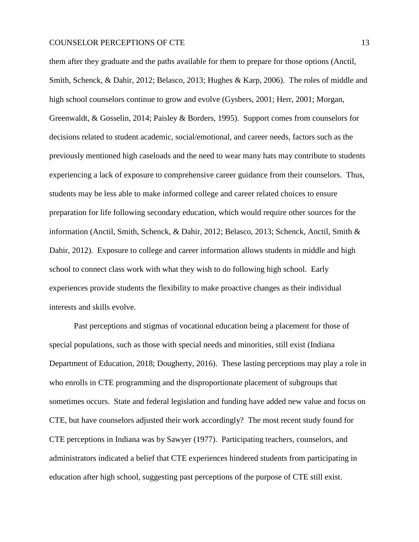them after they graduate and the paths available for them to prepare for those options (Anctil, Smith, Schenck, & Dahir, 2012; Belasco, 2013; Hughes & Karp, 2006). The roles of middle and high school counselors continue to grow and evolve (Gysbers, 2001; Herr, 2001; Morgan, Greenwaldt, & Gosselin, 2014; Paisley & Borders, 1995). Support comes from counselors for decisions related to student academic, social/emotional, and career needs, factors such as the previously mentioned high caseloads and the need to wear many hats may contribute to students experiencing a lack of exposure to comprehensive career guidance from their counselors. Thus, students may be less able to make informed college and career related choices to ensure preparation for life following secondary education, which would require other sources for the information (Anctil, Smith, Schenck, & Dahir, 2012; Belasco, 2013; Schenck, Anctil, Smith & Dahir, 2012). Exposure to college and career information allows students in middle and high school to connect class work with what they wish to do following high school. Early experiences provide students the flexibility to make proactive changes as their individual interests and skills evolve.

Past perceptions and stigmas of vocational education being a placement for those of special populations, such as those with special needs and minorities, still exist (Indiana Department of Education, 2018; Dougherty, 2016). These lasting perceptions may play a role in who enrolls in CTE programming and the disproportionate placement of subgroups that sometimes occurs. State and federal legislation and funding have added new value and focus on CTE, but have counselors adjusted their work accordingly? The most recent study found for CTE perceptions in Indiana was by Sawyer (1977). Participating teachers, counselors, and administrators indicated a belief that CTE experiences hindered students from participating in education after high school, suggesting past perceptions of the purpose of CTE still exist.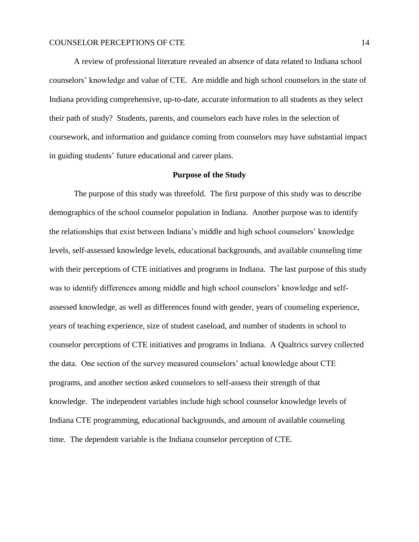A review of professional literature revealed an absence of data related to Indiana school counselors' knowledge and value of CTE. Are middle and high school counselors in the state of Indiana providing comprehensive, up-to-date, accurate information to all students as they select their path of study? Students, parents, and counselors each have roles in the selection of coursework, and information and guidance coming from counselors may have substantial impact in guiding students' future educational and career plans.

## **Purpose of the Study**

<span id="page-13-0"></span>The purpose of this study was threefold. The first purpose of this study was to describe demographics of the school counselor population in Indiana. Another purpose was to identify the relationships that exist between Indiana's middle and high school counselors' knowledge levels, self-assessed knowledge levels, educational backgrounds, and available counseling time with their perceptions of CTE initiatives and programs in Indiana. The last purpose of this study was to identify differences among middle and high school counselors' knowledge and selfassessed knowledge, as well as differences found with gender, years of counseling experience, years of teaching experience, size of student caseload, and number of students in school to counselor perceptions of CTE initiatives and programs in Indiana. A Qualtrics survey collected the data. One section of the survey measured counselors' actual knowledge about CTE programs, and another section asked counselors to self-assess their strength of that knowledge. The independent variables include high school counselor knowledge levels of Indiana CTE programming, educational backgrounds, and amount of available counseling time. The dependent variable is the Indiana counselor perception of CTE.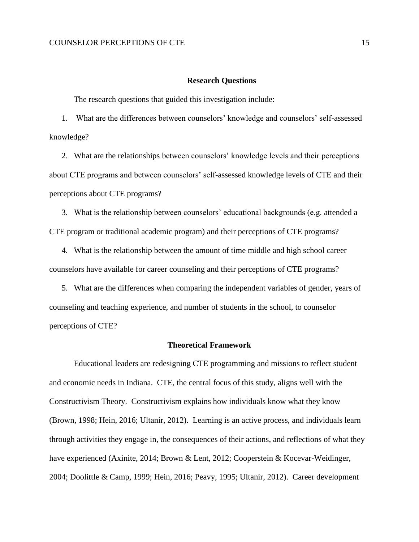#### **Research Questions**

The research questions that guided this investigation include:

1. What are the differences between counselors' knowledge and counselors' self-assessed knowledge?

2. What are the relationships between counselors' knowledge levels and their perceptions about CTE programs and between counselors' self-assessed knowledge levels of CTE and their perceptions about CTE programs?

3. What is the relationship between counselors' educational backgrounds (e.g. attended a CTE program or traditional academic program) and their perceptions of CTE programs?

4. What is the relationship between the amount of time middle and high school career counselors have available for career counseling and their perceptions of CTE programs?

5. What are the differences when comparing the independent variables of gender, years of counseling and teaching experience, and number of students in the school, to counselor perceptions of CTE?

### **Theoretical Framework**

Educational leaders are redesigning CTE programming and missions to reflect student and economic needs in Indiana. CTE, the central focus of this study, aligns well with the Constructivism Theory. Constructivism explains how individuals know what they know (Brown, 1998; Hein, 2016; Ultanir, 2012). Learning is an active process, and individuals learn through activities they engage in, the consequences of their actions, and reflections of what they have experienced (Axinite, 2014; Brown & Lent, 2012; Cooperstein & Kocevar-Weidinger, 2004; Doolittle & Camp, 1999; Hein, 2016; Peavy, 1995; Ultanir, 2012). Career development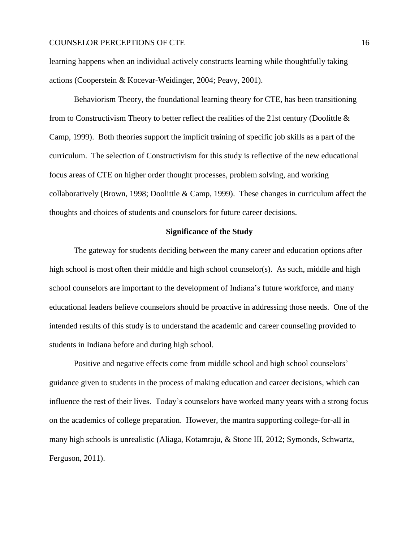learning happens when an individual actively constructs learning while thoughtfully taking actions (Cooperstein & Kocevar-Weidinger, 2004; Peavy, 2001).

Behaviorism Theory, the foundational learning theory for CTE, has been transitioning from to Constructivism Theory to better reflect the realities of the 21st century (Doolittle & Camp, 1999). Both theories support the implicit training of specific job skills as a part of the curriculum. The selection of Constructivism for this study is reflective of the new educational focus areas of CTE on higher order thought processes, problem solving, and working collaboratively (Brown, 1998; Doolittle & Camp, 1999). These changes in curriculum affect the thoughts and choices of students and counselors for future career decisions.

#### **Significance of the Study**

<span id="page-15-0"></span>The gateway for students deciding between the many career and education options after high school is most often their middle and high school counselor(s). As such, middle and high school counselors are important to the development of Indiana's future workforce, and many educational leaders believe counselors should be proactive in addressing those needs. One of the intended results of this study is to understand the academic and career counseling provided to students in Indiana before and during high school.

Positive and negative effects come from middle school and high school counselors' guidance given to students in the process of making education and career decisions, which can influence the rest of their lives. Today's counselors have worked many years with a strong focus on the academics of college preparation. However, the mantra supporting college-for-all in many high schools is unrealistic (Aliaga, Kotamraju, & Stone III, 2012; Symonds, Schwartz, Ferguson, 2011).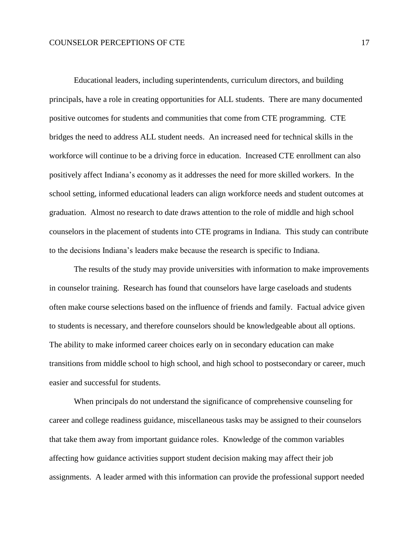Educational leaders, including superintendents, curriculum directors, and building principals, have a role in creating opportunities for ALL students. There are many documented positive outcomes for students and communities that come from CTE programming. CTE bridges the need to address ALL student needs. An increased need for technical skills in the workforce will continue to be a driving force in education. Increased CTE enrollment can also positively affect Indiana's economy as it addresses the need for more skilled workers. In the school setting, informed educational leaders can align workforce needs and student outcomes at graduation. Almost no research to date draws attention to the role of middle and high school counselors in the placement of students into CTE programs in Indiana. This study can contribute to the decisions Indiana's leaders make because the research is specific to Indiana.

The results of the study may provide universities with information to make improvements in counselor training. Research has found that counselors have large caseloads and students often make course selections based on the influence of friends and family. Factual advice given to students is necessary, and therefore counselors should be knowledgeable about all options. The ability to make informed career choices early on in secondary education can make transitions from middle school to high school, and high school to postsecondary or career, much easier and successful for students.

When principals do not understand the significance of comprehensive counseling for career and college readiness guidance, miscellaneous tasks may be assigned to their counselors that take them away from important guidance roles. Knowledge of the common variables affecting how guidance activities support student decision making may affect their job assignments. A leader armed with this information can provide the professional support needed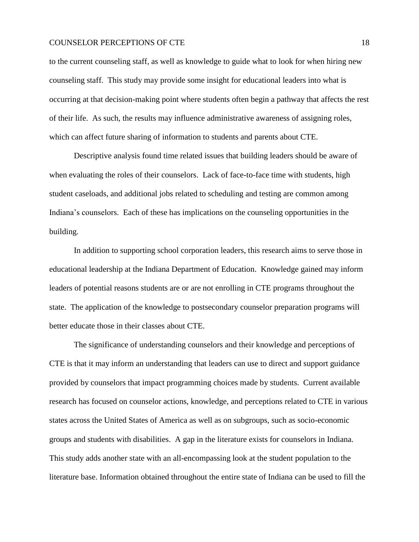to the current counseling staff, as well as knowledge to guide what to look for when hiring new counseling staff. This study may provide some insight for educational leaders into what is occurring at that decision-making point where students often begin a pathway that affects the rest of their life. As such, the results may influence administrative awareness of assigning roles, which can affect future sharing of information to students and parents about CTE.

Descriptive analysis found time related issues that building leaders should be aware of when evaluating the roles of their counselors. Lack of face-to-face time with students, high student caseloads, and additional jobs related to scheduling and testing are common among Indiana's counselors. Each of these has implications on the counseling opportunities in the building.

In addition to supporting school corporation leaders, this research aims to serve those in educational leadership at the Indiana Department of Education. Knowledge gained may inform leaders of potential reasons students are or are not enrolling in CTE programs throughout the state. The application of the knowledge to postsecondary counselor preparation programs will better educate those in their classes about CTE.

The significance of understanding counselors and their knowledge and perceptions of CTE is that it may inform an understanding that leaders can use to direct and support guidance provided by counselors that impact programming choices made by students. Current available research has focused on counselor actions, knowledge, and perceptions related to CTE in various states across the United States of America as well as on subgroups, such as socio-economic groups and students with disabilities. A gap in the literature exists for counselors in Indiana. This study adds another state with an all-encompassing look at the student population to the literature base. Information obtained throughout the entire state of Indiana can be used to fill the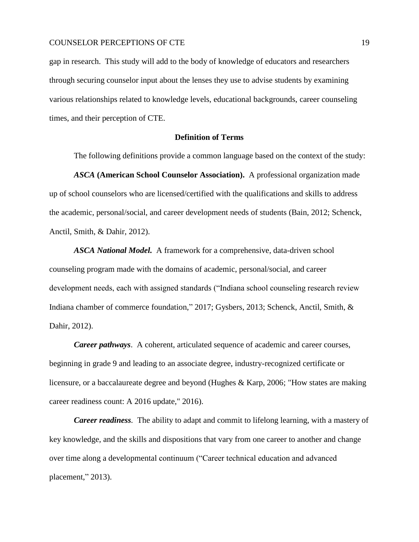gap in research. This study will add to the body of knowledge of educators and researchers through securing counselor input about the lenses they use to advise students by examining various relationships related to knowledge levels, educational backgrounds, career counseling times, and their perception of CTE.

#### <span id="page-18-0"></span>**Definition of Terms**

The following definitions provide a common language based on the context of the study:

*ASCA* **(American School Counselor Association).** A professional organization made up of school counselors who are licensed/certified with the qualifications and skills to address the academic, personal/social, and career development needs of students (Bain, 2012; Schenck, Anctil, Smith, & Dahir, 2012).

*ASCA National Model.* A framework for a comprehensive, data-driven school counseling program made with the domains of academic, personal/social, and career development needs, each with assigned standards ("Indiana school counseling research review Indiana chamber of commerce foundation," 2017; Gysbers, 2013; Schenck, Anctil, Smith, & Dahir, 2012).

*Career pathways*. A coherent, articulated sequence of academic and career courses, beginning in grade 9 and leading to an associate degree, industry-recognized certificate or licensure, or a baccalaureate degree and beyond (Hughes & Karp, 2006; "How states are making career readiness count: A 2016 update," 2016).

*Career readiness.* The ability to adapt and commit to lifelong learning, with a mastery of key knowledge, and the skills and dispositions that vary from one career to another and change over time along a developmental continuum ("Career technical education and advanced placement," 2013).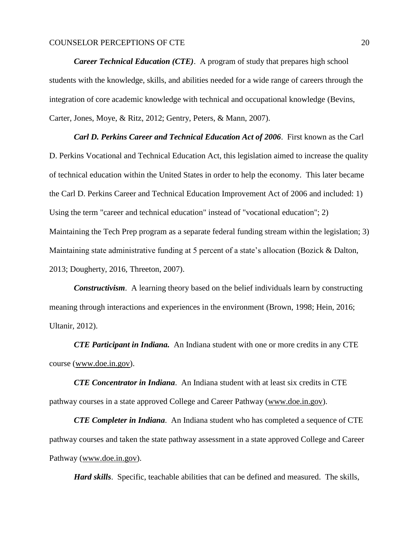*Career Technical Education (CTE).* A program of study that prepares high school students with the knowledge, skills, and abilities needed for a wide range of careers through the integration of core academic knowledge with technical and occupational knowledge (Bevins, Carter, Jones, Moye, & Ritz, 2012; Gentry, Peters, & Mann, 2007).

*Carl D. Perkins Career and Technical Education Act of 2006*. First known as the Carl D. Perkins Vocational and Technical Education Act, this legislation aimed to increase the quality of technical education within the [United States](https://en.wikipedia.org/wiki/United_States) in order to help the [economy.](https://en.wikipedia.org/wiki/Economy) This later became the Carl D. Perkins Career and Technical Education Improvement Act of 2006 and included: 1) Using the term "career and technical education" instead of "vocational education"; 2) Maintaining the Tech Prep program as a separate federal funding stream within the legislation; 3) Maintaining state administrative funding at 5 percent of a state's allocation (Bozick & Dalton, 2013; Dougherty, 2016, Threeton, 2007).

*Constructivism*. A learning theory based on the belief individuals learn by constructing meaning through interactions and experiences in the environment (Brown, 1998; Hein, 2016; Ultanir, 2012).

*CTE Participant in Indiana.* An Indiana student with one or more credits in any CTE course [\(www.doe.in.gov\)](http://www.doe.in.gov/).

*CTE Concentrator in Indiana*. An Indiana student with at least six credits in CTE pathway courses in a state approved College and Career Pathway [\(www.doe.in.gov\)](http://www.doe.in.gov/).

*CTE Completer in Indiana*. An Indiana student who has completed a sequence of CTE pathway courses and taken the state pathway assessment in a state approved College and Career Pathway [\(www.doe.in.gov\)](http://www.doe.in.gov/).

*Hard skills*. Specific, teachable abilities that can be defined and measured. The skills,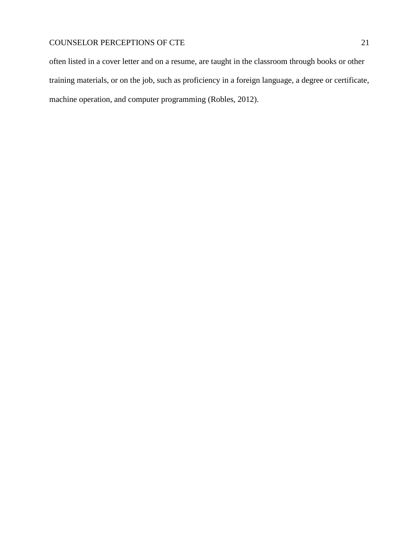often listed in a [cover letter](https://www.thebalance.com/how-to-write-a-cover-letter-2060169) and on a resume, are taught in the classroom through books or other training materials, or on the job, such as proficiency in a foreign language, a degree or certificate, machine operation, and computer programming (Robles, 2012).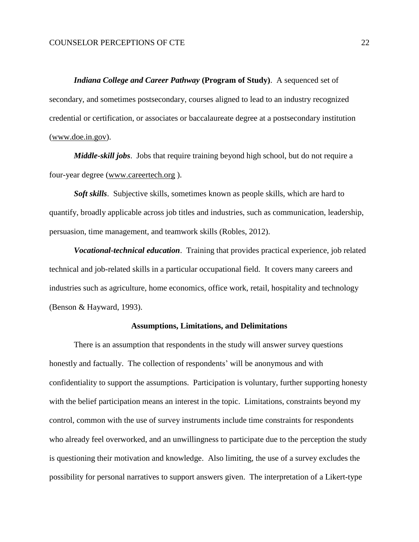*Indiana College and Career Pathway* **(Program of Study)**. A sequenced set of secondary, and sometimes postsecondary, courses aligned to lead to an industry recognized credential or certification, or associates or baccalaureate degree at a postsecondary institution [\(www.doe.in.gov\)](http://www.doe.in.gov/).

*Middle-skill jobs*. Jobs that require training beyond high school, but do not require a four-year degree [\(www.careertech.org](http://www.careertech.org/) ).

*Soft skills*. Subjective skills, sometimes known as people skills, which are hard to quantify, broadly applicable across job titles and industries, such as communication, leadership, persuasion, time management, and teamwork skills (Robles, 2012).

*Vocational-technical education*. Training that provides practical experience, job related technical and job-related skills in a particular occupational field. It covers many careers and industries such as agriculture, home economics, office work, retail, hospitality and technology (Benson & Hayward, 1993).

#### **Assumptions, Limitations, and Delimitations**

<span id="page-21-0"></span>There is an assumption that respondents in the study will answer survey questions honestly and factually. The collection of respondents' will be anonymous and with confidentiality to support the assumptions. Participation is voluntary, further supporting honesty with the belief participation means an interest in the topic. Limitations, constraints beyond my control, common with the use of survey instruments include time constraints for respondents who already feel overworked, and an unwillingness to participate due to the perception the study is questioning their motivation and knowledge. Also limiting, the use of a survey excludes the possibility for personal narratives to support answers given. The interpretation of a Likert-type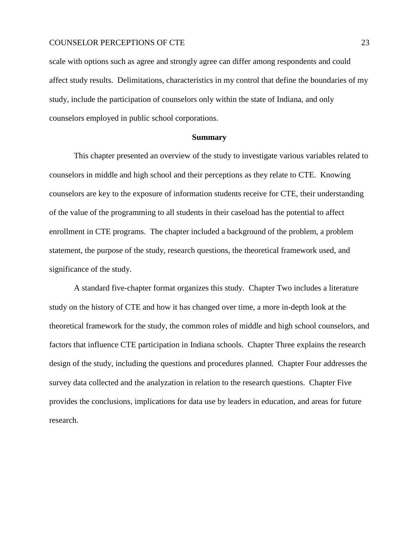scale with options such as agree and strongly agree can differ among respondents and could affect study results. Delimitations, characteristics in my control that define the boundaries of my study, include the participation of counselors only within the state of Indiana, and only counselors employed in public school corporations.

#### **Summary**

<span id="page-22-0"></span>This chapter presented an overview of the study to investigate various variables related to counselors in middle and high school and their perceptions as they relate to CTE. Knowing counselors are key to the exposure of information students receive for CTE, their understanding of the value of the programming to all students in their caseload has the potential to affect enrollment in CTE programs. The chapter included a background of the problem, a problem statement, the purpose of the study, research questions, the theoretical framework used, and significance of the study.

A standard five-chapter format organizes this study. Chapter Two includes a literature study on the history of CTE and how it has changed over time, a more in-depth look at the theoretical framework for the study, the common roles of middle and high school counselors, and factors that influence CTE participation in Indiana schools. Chapter Three explains the research design of the study, including the questions and procedures planned. Chapter Four addresses the survey data collected and the analyzation in relation to the research questions. Chapter Five provides the conclusions, implications for data use by leaders in education, and areas for future research.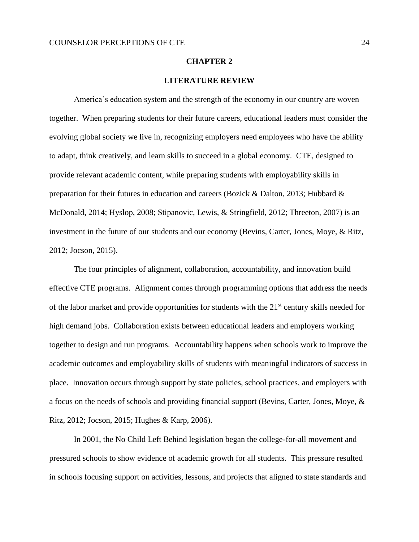### **CHAPTER 2**

## **LITERATURE REVIEW**

<span id="page-23-0"></span>America's education system and the strength of the economy in our country are woven together. When preparing students for their future careers, educational leaders must consider the evolving global society we live in, recognizing employers need employees who have the ability to adapt, think creatively, and learn skills to succeed in a global economy. CTE, designed to provide relevant academic content, while preparing students with employability skills in preparation for their futures in education and careers (Bozick & Dalton, 2013; Hubbard & McDonald, 2014; Hyslop, 2008; Stipanovic, Lewis, & Stringfield, 2012; Threeton, 2007) is an investment in the future of our students and our economy (Bevins, Carter, Jones, Moye, & Ritz, 2012; Jocson, 2015).

The four principles of alignment, collaboration, accountability, and innovation build effective CTE programs. Alignment comes through programming options that address the needs of the labor market and provide opportunities for students with the 21<sup>st</sup> century skills needed for high demand jobs. Collaboration exists between educational leaders and employers working together to design and run programs. Accountability happens when schools work to improve the academic outcomes and employability skills of students with meaningful indicators of success in place. Innovation occurs through support by state policies, school practices, and employers with a focus on the needs of schools and providing financial support (Bevins, Carter, Jones, Moye, & Ritz, 2012; Jocson, 2015; Hughes & Karp, 2006).

In 2001, the No Child Left Behind legislation began the college-for-all movement and pressured schools to show evidence of academic growth for all students. This pressure resulted in schools focusing support on activities, lessons, and projects that aligned to state standards and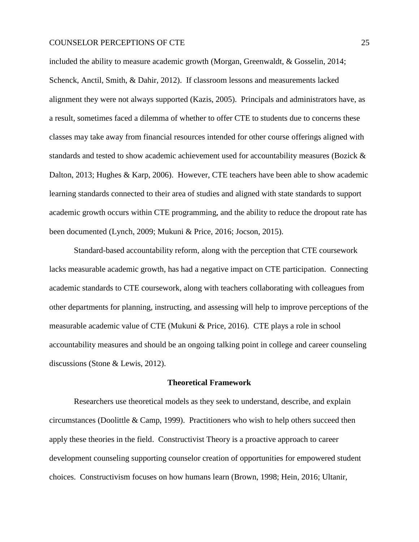included the ability to measure academic growth (Morgan, Greenwaldt, & Gosselin, 2014; Schenck, Anctil, Smith, & Dahir, 2012). If classroom lessons and measurements lacked alignment they were not always supported (Kazis, 2005). Principals and administrators have, as a result, sometimes faced a dilemma of whether to offer CTE to students due to concerns these classes may take away from financial resources intended for other course offerings aligned with standards and tested to show academic achievement used for accountability measures (Bozick & Dalton, 2013; Hughes & Karp, 2006). However, CTE teachers have been able to show academic learning standards connected to their area of studies and aligned with state standards to support academic growth occurs within CTE programming, and the ability to reduce the dropout rate has been documented (Lynch, 2009; Mukuni & Price, 2016; Jocson, 2015).

Standard-based accountability reform, along with the perception that CTE coursework lacks measurable academic growth, has had a negative impact on CTE participation. Connecting academic standards to CTE coursework, along with teachers collaborating with colleagues from other departments for planning, instructing, and assessing will help to improve perceptions of the measurable academic value of CTE (Mukuni & Price, 2016). CTE plays a role in school accountability measures and should be an ongoing talking point in college and career counseling discussions (Stone & Lewis, 2012).

#### **Theoretical Framework**

<span id="page-24-0"></span>Researchers use theoretical models as they seek to understand, describe, and explain circumstances (Doolittle & Camp, 1999). Practitioners who wish to help others succeed then apply these theories in the field. Constructivist Theory is a proactive approach to career development counseling supporting counselor creation of opportunities for empowered student choices. Constructivism focuses on how humans learn (Brown, 1998; Hein, 2016; Ultanir,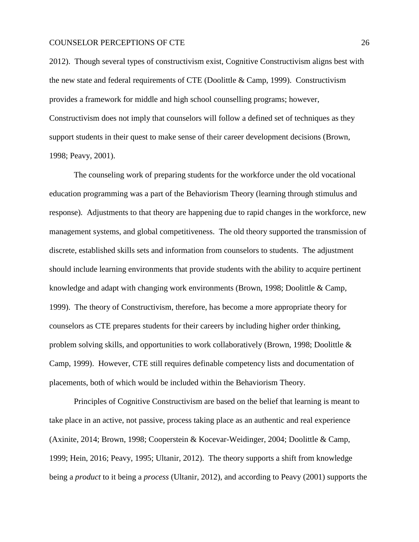2012). Though several types of constructivism exist, Cognitive Constructivism aligns best with the new state and federal requirements of CTE (Doolittle & Camp, 1999). Constructivism provides a framework for middle and high school counselling programs; however, Constructivism does not imply that counselors will follow a defined set of techniques as they support students in their quest to make sense of their career development decisions (Brown, 1998; Peavy, 2001).

The counseling work of preparing students for the workforce under the old vocational education programming was a part of the Behaviorism Theory (learning through stimulus and response). Adjustments to that theory are happening due to rapid changes in the workforce, new management systems, and global competitiveness. The old theory supported the transmission of discrete, established skills sets and information from counselors to students. The adjustment should include learning environments that provide students with the ability to acquire pertinent knowledge and adapt with changing work environments (Brown, 1998; Doolittle & Camp, 1999). The theory of Constructivism, therefore, has become a more appropriate theory for counselors as CTE prepares students for their careers by including higher order thinking, problem solving skills, and opportunities to work collaboratively (Brown, 1998; Doolittle & Camp, 1999). However, CTE still requires definable competency lists and documentation of placements, both of which would be included within the Behaviorism Theory.

Principles of Cognitive Constructivism are based on the belief that learning is meant to take place in an active, not passive, process taking place as an authentic and real experience (Axinite, 2014; Brown, 1998; Cooperstein & Kocevar-Weidinger, 2004; Doolittle & Camp, 1999; Hein, 2016; Peavy, 1995; Ultanir, 2012). The theory supports a shift from knowledge being a *product* to it being a *process* (Ultanir, 2012), and according to Peavy (2001) supports the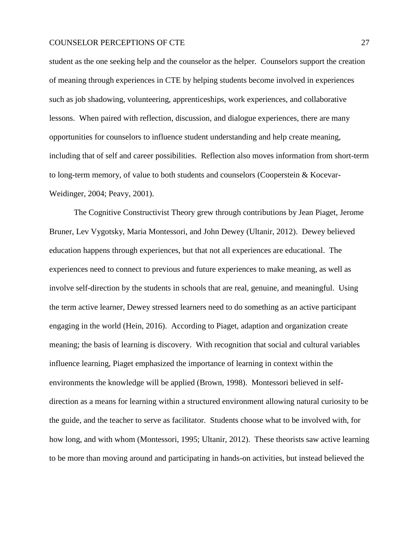student as the one seeking help and the counselor as the helper. Counselors support the creation of meaning through experiences in CTE by helping students become involved in experiences such as job shadowing, volunteering, apprenticeships, work experiences, and collaborative lessons. When paired with reflection, discussion, and dialogue experiences, there are many opportunities for counselors to influence student understanding and help create meaning, including that of self and career possibilities. Reflection also moves information from short-term to long-term memory, of value to both students and counselors (Cooperstein & Kocevar-Weidinger, 2004; Peavy, 2001).

The Cognitive Constructivist Theory grew through contributions by Jean Piaget, Jerome Bruner, Lev Vygotsky, Maria Montessori, and John Dewey (Ultanir, 2012). Dewey believed education happens through experiences, but that not all experiences are educational. The experiences need to connect to previous and future experiences to make meaning, as well as involve self-direction by the students in schools that are real, genuine, and meaningful. Using the term active learner, Dewey stressed learners need to do something as an active participant engaging in the world (Hein, 2016). According to Piaget, adaption and organization create meaning; the basis of learning is discovery. With recognition that social and cultural variables influence learning, Piaget emphasized the importance of learning in context within the environments the knowledge will be applied (Brown, 1998). Montessori believed in selfdirection as a means for learning within a structured environment allowing natural curiosity to be the guide, and the teacher to serve as facilitator. Students choose what to be involved with, for how long, and with whom (Montessori, 1995; Ultanir, 2012). These theorists saw active learning to be more than moving around and participating in hands-on activities, but instead believed the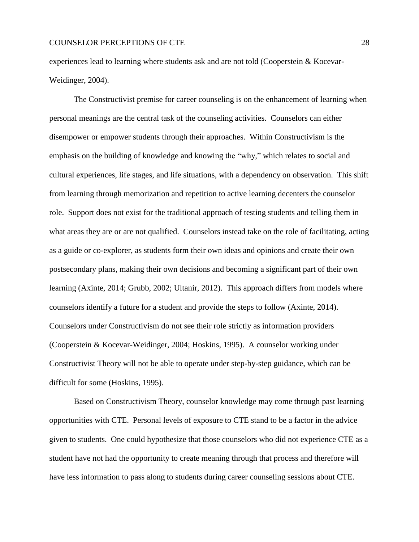experiences lead to learning where students ask and are not told (Cooperstein & Kocevar-Weidinger, 2004).

The Constructivist premise for career counseling is on the enhancement of learning when personal meanings are the central task of the counseling activities. Counselors can either disempower or empower students through their approaches. Within Constructivism is the emphasis on the building of knowledge and knowing the "why," which relates to social and cultural experiences, life stages, and life situations, with a dependency on observation. This shift from learning through memorization and repetition to active learning decenters the counselor role. Support does not exist for the traditional approach of testing students and telling them in what areas they are or are not qualified. Counselors instead take on the role of facilitating, acting as a guide or co-explorer, as students form their own ideas and opinions and create their own postsecondary plans, making their own decisions and becoming a significant part of their own learning (Axinte, 2014; Grubb, 2002; Ultanir, 2012). This approach differs from models where counselors identify a future for a student and provide the steps to follow (Axinte, 2014). Counselors under Constructivism do not see their role strictly as information providers (Cooperstein & Kocevar-Weidinger, 2004; Hoskins, 1995). A counselor working under Constructivist Theory will not be able to operate under step-by-step guidance, which can be difficult for some (Hoskins, 1995).

Based on Constructivism Theory, counselor knowledge may come through past learning opportunities with CTE. Personal levels of exposure to CTE stand to be a factor in the advice given to students. One could hypothesize that those counselors who did not experience CTE as a student have not had the opportunity to create meaning through that process and therefore will have less information to pass along to students during career counseling sessions about CTE.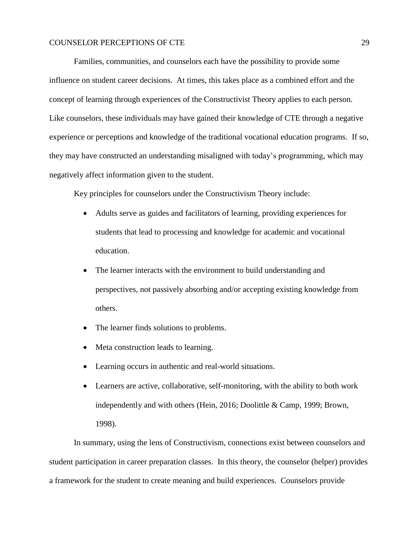Families, communities, and counselors each have the possibility to provide some influence on student career decisions. At times, this takes place as a combined effort and the concept of learning through experiences of the Constructivist Theory applies to each person. Like counselors, these individuals may have gained their knowledge of CTE through a negative experience or perceptions and knowledge of the traditional vocational education programs. If so, they may have constructed an understanding misaligned with today's programming, which may negatively affect information given to the student.

Key principles for counselors under the Constructivism Theory include:

- Adults serve as guides and facilitators of learning, providing experiences for students that lead to processing and knowledge for academic and vocational education.
- The learner interacts with the environment to build understanding and perspectives, not passively absorbing and/or accepting existing knowledge from others.
- The learner finds solutions to problems.
- Meta construction leads to learning.
- Learning occurs in authentic and real-world situations.
- Learners are active, collaborative, self-monitoring, with the ability to both work independently and with others (Hein, 2016; Doolittle & Camp, 1999; Brown, 1998).

In summary, using the lens of Constructivism, connections exist between counselors and student participation in career preparation classes. In this theory, the counselor (helper) provides a framework for the student to create meaning and build experiences. Counselors provide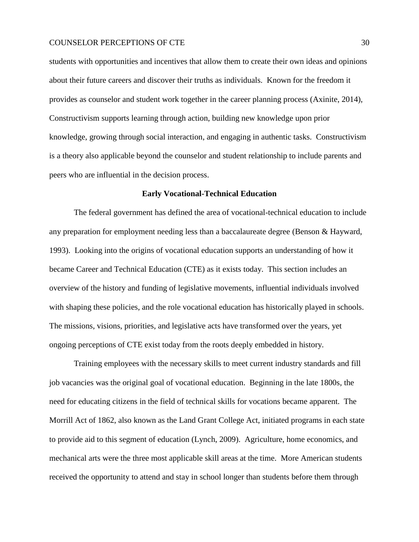students with opportunities and incentives that allow them to create their own ideas and opinions about their future careers and discover their truths as individuals. Known for the freedom it provides as counselor and student work together in the career planning process (Axinite, 2014), Constructivism supports learning through action, building new knowledge upon prior knowledge, growing through social interaction, and engaging in authentic tasks. Constructivism is a theory also applicable beyond the counselor and student relationship to include parents and peers who are influential in the decision process.

### **Early Vocational-Technical Education**

<span id="page-29-0"></span>The federal government has defined the area of vocational-technical education to include any preparation for employment needing less than a baccalaureate degree (Benson & Hayward, 1993). Looking into the origins of vocational education supports an understanding of how it became Career and Technical Education (CTE) as it exists today. This section includes an overview of the history and funding of legislative movements, influential individuals involved with shaping these policies, and the role vocational education has historically played in schools. The missions, visions, priorities, and legislative acts have transformed over the years, yet ongoing perceptions of CTE exist today from the roots deeply embedded in history.

Training employees with the necessary skills to meet current industry standards and fill job vacancies was the original goal of vocational education. Beginning in the late 1800s, the need for educating citizens in the field of technical skills for vocations became apparent. The Morrill Act of 1862, also known as the Land Grant College Act, initiated programs in each state to provide aid to this segment of education (Lynch, 2009). Agriculture, home economics, and mechanical arts were the three most applicable skill areas at the time. More American students received the opportunity to attend and stay in school longer than students before them through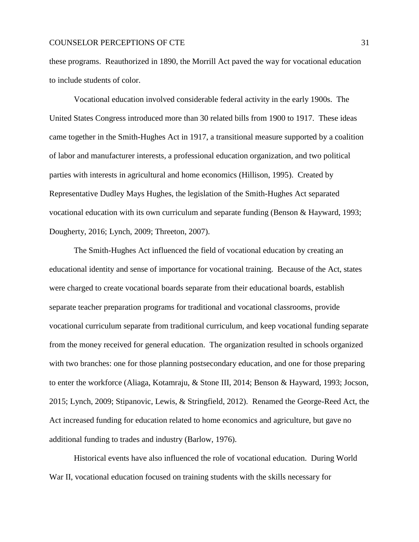these programs. Reauthorized in 1890, the Morrill Act paved the way for vocational education to include students of color.

Vocational education involved considerable federal activity in the early 1900s. The United States Congress introduced more than 30 related bills from 1900 to 1917. These ideas came together in the Smith-Hughes Act in 1917, a transitional measure supported by a coalition of labor and manufacturer interests, a professional education organization, and two political parties with interests in agricultural and home economics (Hillison, 1995). Created by Representative Dudley Mays Hughes, the legislation of the Smith-Hughes Act separated vocational education with its own curriculum and separate funding (Benson & Hayward, 1993; Dougherty, 2016; Lynch, 2009; Threeton, 2007).

The Smith-Hughes Act influenced the field of vocational education by creating an educational identity and sense of importance for vocational training. Because of the Act, states were charged to create vocational boards separate from their educational boards, establish separate teacher preparation programs for traditional and vocational classrooms, provide vocational curriculum separate from traditional curriculum, and keep vocational funding separate from the money received for general education. The organization resulted in schools organized with two branches: one for those planning postsecondary education, and one for those preparing to enter the workforce (Aliaga, Kotamraju, & Stone III, 2014; Benson & Hayward, 1993; Jocson, 2015; Lynch, 2009; Stipanovic, Lewis, & Stringfield, 2012). Renamed the George-Reed Act, the Act increased funding for education related to home economics and agriculture, but gave no additional funding to trades and industry (Barlow, 1976).

Historical events have also influenced the role of vocational education. During World War II, vocational education focused on training students with the skills necessary for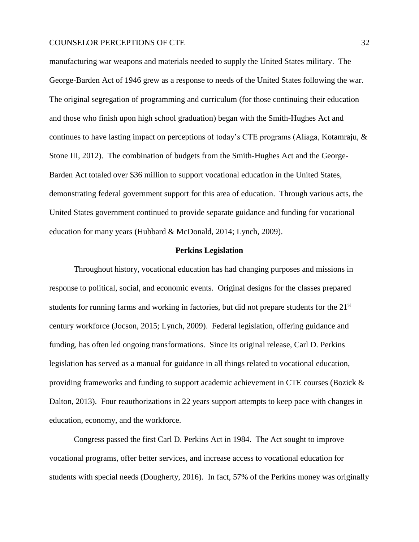manufacturing war weapons and materials needed to supply the United States military. The George-Barden Act of 1946 grew as a response to needs of the United States following the war. The original segregation of programming and curriculum (for those continuing their education and those who finish upon high school graduation) began with the Smith-Hughes Act and continues to have lasting impact on perceptions of today's CTE programs (Aliaga, Kotamraju, & Stone III, 2012). The combination of budgets from the Smith-Hughes Act and the George-Barden Act totaled over \$36 million to support vocational education in the United States, demonstrating federal government support for this area of education. Through various acts, the United States government continued to provide separate guidance and funding for vocational education for many years (Hubbard & McDonald, 2014; Lynch, 2009).

#### **Perkins Legislation**

<span id="page-31-0"></span>Throughout history, vocational education has had changing purposes and missions in response to political, social, and economic events. Original designs for the classes prepared students for running farms and working in factories, but did not prepare students for the 21<sup>st</sup> century workforce (Jocson, 2015; Lynch, 2009). Federal legislation, offering guidance and funding, has often led ongoing transformations. Since its original release, Carl D. Perkins legislation has served as a manual for guidance in all things related to vocational education, providing frameworks and funding to support academic achievement in CTE courses (Bozick & Dalton, 2013). Four reauthorizations in 22 years support attempts to keep pace with changes in education, economy, and the workforce.

Congress passed the first Carl D. Perkins Act in 1984. The Act sought to improve vocational programs, offer better services, and increase access to vocational education for students with special needs (Dougherty, 2016). In fact, 57% of the Perkins money was originally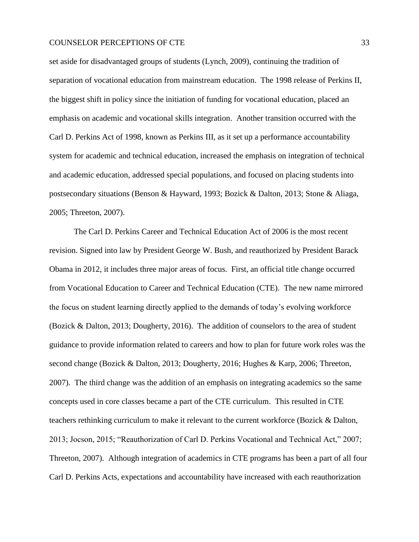set aside for disadvantaged groups of students (Lynch, 2009), continuing the tradition of separation of vocational education from mainstream education. The 1998 release of Perkins II, the biggest shift in policy since the initiation of funding for vocational education, placed an emphasis on academic and vocational skills integration. Another transition occurred with the Carl D. Perkins Act of 1998, known as Perkins III, as it set up a performance accountability system for academic and technical education, increased the emphasis on integration of technical and academic education, addressed special populations, and focused on placing students into postsecondary situations (Benson & Hayward, 1993; Bozick & Dalton, 2013; Stone & Aliaga, 2005; Threeton, 2007).

The Carl D. Perkins Career and Technical Education Act of 2006 is the most recent revision. Signed into law by President George W. Bush, and reauthorized by President Barack Obama in 2012, it includes three major areas of focus. First, an official title change occurred from Vocational Education to Career and Technical Education (CTE). The new name mirrored the focus on student learning directly applied to the demands of today's evolving workforce (Bozick & Dalton, 2013; Dougherty, 2016). The addition of counselors to the area of student guidance to provide information related to careers and how to plan for future work roles was the second change (Bozick & Dalton, 2013; Dougherty, 2016; Hughes & Karp, 2006; Threeton, 2007). The third change was the addition of an emphasis on integrating academics so the same concepts used in core classes became a part of the CTE curriculum. This resulted in CTE teachers rethinking curriculum to make it relevant to the current workforce (Bozick & Dalton, 2013; Jocson, 2015; "Reauthorization of Carl D. Perkins Vocational and Technical Act," 2007; Threeton, 2007). Although integration of academics in CTE programs has been a part of all four Carl D. Perkins Acts, expectations and accountability have increased with each reauthorization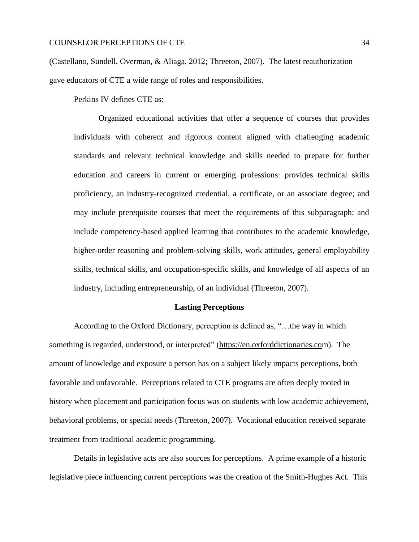(Castellano, Sundell, Overman, & Aliaga, 2012; Threeton, 2007). The latest reauthorization gave educators of CTE a wide range of roles and responsibilities.

Perkins IV defines CTE as:

Organized educational activities that offer a sequence of courses that provides individuals with coherent and rigorous content aligned with challenging academic standards and relevant technical knowledge and skills needed to prepare for further education and careers in current or emerging professions: provides technical skills proficiency, an industry-recognized credential, a certificate, or an associate degree; and may include prerequisite courses that meet the requirements of this subparagraph; and include competency-based applied learning that contributes to the academic knowledge, higher-order reasoning and problem-solving skills, work attitudes, general employability skills, technical skills, and occupation-specific skills, and knowledge of all aspects of an industry, including entrepreneurship, of an individual (Threeton, 2007).

#### **Lasting Perceptions**

<span id="page-33-0"></span>According to the Oxford Dictionary, perception is defined as, "…the way in which something is regarded, understood, or interpreted" [\(https://en.oxforddictionaries.com](https://en.oxforddictionaries.com/definition/perception)). The amount of knowledge and exposure a person has on a subject likely impacts perceptions, both favorable and unfavorable. Perceptions related to CTE programs are often deeply rooted in history when placement and participation focus was on students with low academic achievement, behavioral problems, or special needs (Threeton, 2007). Vocational education received separate treatment from traditional academic programming.

Details in legislative acts are also sources for perceptions. A prime example of a historic legislative piece influencing current perceptions was the creation of the Smith-Hughes Act. This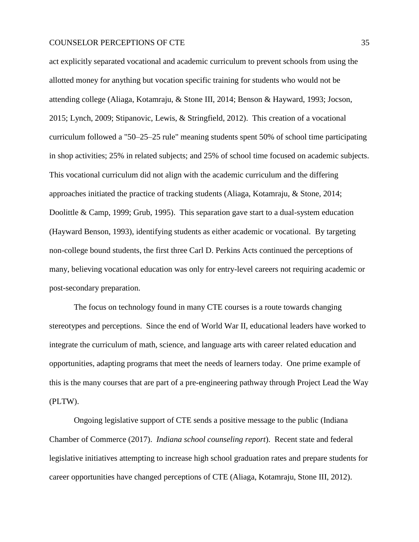act explicitly separated vocational and academic curriculum to prevent schools from using the allotted money for anything but vocation specific training for students who would not be attending college (Aliaga, Kotamraju, & Stone III, 2014; Benson & Hayward, 1993; Jocson, 2015; Lynch, 2009; Stipanovic, Lewis, & Stringfield, 2012). This creation of a vocational curriculum followed a "50–25–25 rule" meaning students spent 50% of school time participating in shop activities; 25% in related subjects; and 25% of school time focused on academic subjects. This vocational curriculum did not align with the academic curriculum and the differing approaches initiated the practice of tracking students (Aliaga, Kotamraju, & Stone, 2014; Doolittle & Camp, 1999; Grub, 1995). This separation gave start to a dual-system education (Hayward Benson, 1993), identifying students as either academic or vocational. By targeting non-college bound students, the first three Carl D. Perkins Acts continued the perceptions of many, believing vocational education was only for entry-level careers not requiring academic or post-secondary preparation.

The focus on technology found in many CTE courses is a route towards changing stereotypes and perceptions. Since the end of World War II, educational leaders have worked to integrate the curriculum of math, science, and language arts with career related education and opportunities, adapting programs that meet the needs of learners today. One prime example of this is the many courses that are part of a pre-engineering pathway through Project Lead the Way (PLTW).

Ongoing legislative support of CTE sends a positive message to the public (Indiana Chamber of Commerce (2017). *Indiana school counseling report*). Recent state and federal legislative initiatives attempting to increase high school graduation rates and prepare students for career opportunities have changed perceptions of CTE (Aliaga, Kotamraju, Stone III, 2012).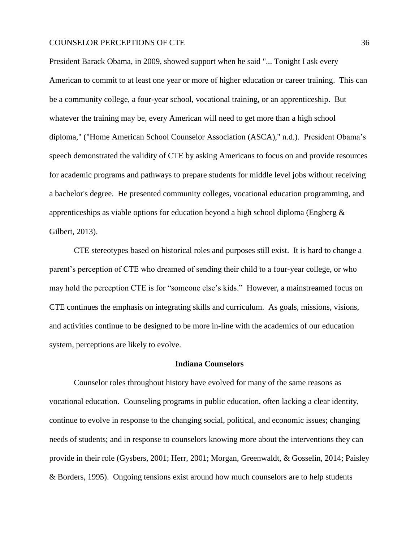President Barack Obama, in 2009, showed support when he said "... Tonight I ask every American to commit to at least one year or more of higher education or career training. This can be a community college, a four-year school, vocational training, or an apprenticeship. But whatever the training may be, every American will need to get more than a high school diploma," ("Home American School Counselor Association (ASCA)," n.d.). President Obama's speech demonstrated the validity of CTE by asking Americans to focus on and provide resources for academic programs and pathways to prepare students for middle level jobs without receiving a bachelor's degree. He presented community colleges, vocational education programming, and apprenticeships as viable options for education beyond a high school diploma (Engberg & Gilbert, 2013).

CTE stereotypes based on historical roles and purposes still exist. It is hard to change a parent's perception of CTE who dreamed of sending their child to a four-year college, or who may hold the perception CTE is for "someone else's kids." However, a mainstreamed focus on CTE continues the emphasis on integrating skills and curriculum. As goals, missions, visions, and activities continue to be designed to be more in-line with the academics of our education system, perceptions are likely to evolve.

#### **Indiana Counselors**

<span id="page-35-0"></span>Counselor roles throughout history have evolved for many of the same reasons as vocational education. Counseling programs in public education, often lacking a clear identity, continue to evolve in response to the changing social, political, and economic issues; changing needs of students; and in response to counselors knowing more about the interventions they can provide in their role (Gysbers, 2001; Herr, 2001; Morgan, Greenwaldt, & Gosselin, 2014; Paisley & Borders, 1995). Ongoing tensions exist around how much counselors are to help students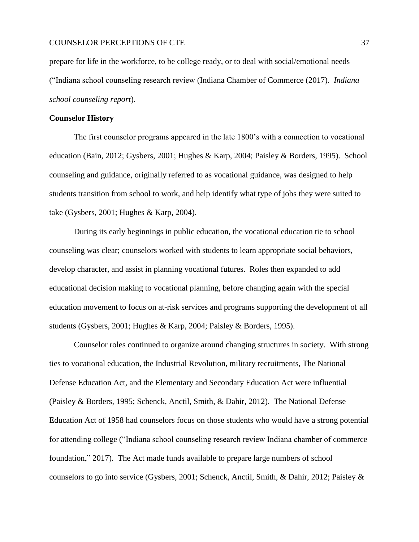prepare for life in the workforce, to be college ready, or to deal with social/emotional needs ("Indiana school counseling research review (Indiana Chamber of Commerce (2017). *Indiana school counseling report*).

### **Counselor History**

The first counselor programs appeared in the late 1800's with a connection to vocational education (Bain, 2012; Gysbers, 2001; Hughes & Karp, 2004; Paisley & Borders, 1995). School counseling and guidance, originally referred to as vocational guidance, was designed to help students transition from school to work, and help identify what type of jobs they were suited to take (Gysbers, 2001; Hughes & Karp, 2004).

During its early beginnings in public education, the vocational education tie to school counseling was clear; counselors worked with students to learn appropriate social behaviors, develop character, and assist in planning vocational futures. Roles then expanded to add educational decision making to vocational planning, before changing again with the special education movement to focus on at-risk services and programs supporting the development of all students (Gysbers, 2001; Hughes & Karp, 2004; Paisley & Borders, 1995).

Counselor roles continued to organize around changing structures in society. With strong ties to vocational education, the Industrial Revolution, military recruitments, The National Defense Education Act, and the Elementary and Secondary Education Act were influential (Paisley & Borders, 1995; Schenck, Anctil, Smith, & Dahir, 2012). The National Defense Education Act of 1958 had counselors focus on those students who would have a strong potential for attending college ("Indiana school counseling research review Indiana chamber of commerce foundation," 2017). The Act made funds available to prepare large numbers of school counselors to go into service (Gysbers, 2001; Schenck, Anctil, Smith, & Dahir, 2012; Paisley &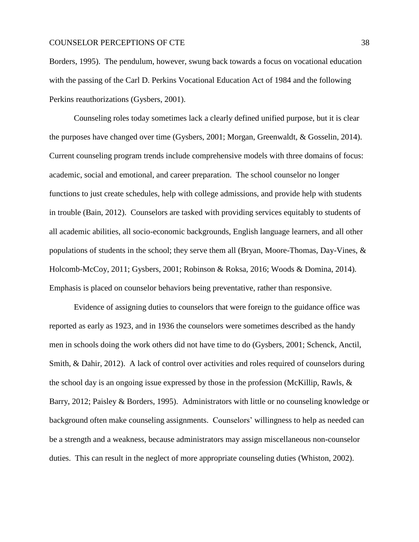Borders, 1995). The pendulum, however, swung back towards a focus on vocational education with the passing of the Carl D. Perkins Vocational Education Act of 1984 and the following Perkins reauthorizations (Gysbers, 2001).

Counseling roles today sometimes lack a clearly defined unified purpose, but it is clear the purposes have changed over time (Gysbers, 2001; Morgan, Greenwaldt, & Gosselin, 2014). Current counseling program trends include comprehensive models with three domains of focus: academic, social and emotional, and career preparation. The school counselor no longer functions to just create schedules, help with college admissions, and provide help with students in trouble (Bain, 2012). Counselors are tasked with providing services equitably to students of all academic abilities, all socio-economic backgrounds, English language learners, and all other populations of students in the school; they serve them all (Bryan, Moore-Thomas, Day-Vines, & Holcomb-McCoy, 2011; Gysbers, 2001; Robinson & Roksa, 2016; Woods & Domina, 2014). Emphasis is placed on counselor behaviors being preventative, rather than responsive.

Evidence of assigning duties to counselors that were foreign to the guidance office was reported as early as 1923, and in 1936 the counselors were sometimes described as the handy men in schools doing the work others did not have time to do (Gysbers, 2001; Schenck, Anctil, Smith, & Dahir, 2012). A lack of control over activities and roles required of counselors during the school day is an ongoing issue expressed by those in the profession (McKillip, Rawls, & Barry, 2012; Paisley & Borders, 1995). Administrators with little or no counseling knowledge or background often make counseling assignments. Counselors' willingness to help as needed can be a strength and a weakness, because administrators may assign miscellaneous non-counselor duties. This can result in the neglect of more appropriate counseling duties (Whiston, 2002).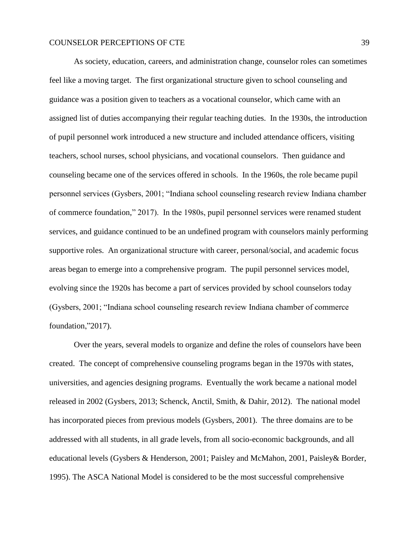As society, education, careers, and administration change, counselor roles can sometimes feel like a moving target. The first organizational structure given to school counseling and guidance was a position given to teachers as a vocational counselor, which came with an assigned list of duties accompanying their regular teaching duties. In the 1930s, the introduction of pupil personnel work introduced a new structure and included attendance officers, visiting teachers, school nurses, school physicians, and vocational counselors. Then guidance and counseling became one of the services offered in schools. In the 1960s, the role became pupil personnel services (Gysbers, 2001; "Indiana school counseling research review Indiana chamber of commerce foundation," 2017). In the 1980s, pupil personnel services were renamed student services, and guidance continued to be an undefined program with counselors mainly performing supportive roles. An organizational structure with career, personal/social, and academic focus areas began to emerge into a comprehensive program. The pupil personnel services model, evolving since the 1920s has become a part of services provided by school counselors today (Gysbers, 2001; "Indiana school counseling research review Indiana chamber of commerce foundation,"2017).

Over the years, several models to organize and define the roles of counselors have been created. The concept of comprehensive counseling programs began in the 1970s with states, universities, and agencies designing programs. Eventually the work became a national model released in 2002 (Gysbers, 2013; Schenck, Anctil, Smith, & Dahir, 2012). The national model has incorporated pieces from previous models (Gysbers, 2001). The three domains are to be addressed with all students, in all grade levels, from all socio-economic backgrounds, and all educational levels (Gysbers & Henderson, 2001; Paisley and McMahon, 2001, Paisley& Border, 1995). The ASCA National Model is considered to be the most successful comprehensive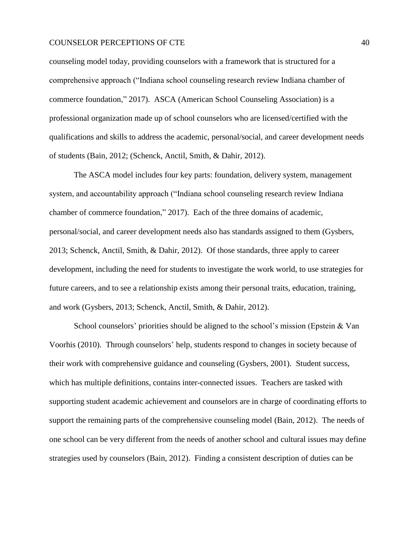counseling model today, providing counselors with a framework that is structured for a comprehensive approach ("Indiana school counseling research review Indiana chamber of commerce foundation," 2017). ASCA (American School Counseling Association) is a professional organization made up of school counselors who are licensed/certified with the qualifications and skills to address the academic, personal/social, and career development needs of students (Bain, 2012; (Schenck, Anctil, Smith, & Dahir, 2012).

The ASCA model includes four key parts: foundation, delivery system, management system, and accountability approach ("Indiana school counseling research review Indiana chamber of commerce foundation," 2017). Each of the three domains of academic, personal/social, and career development needs also has standards assigned to them (Gysbers, 2013; Schenck, Anctil, Smith, & Dahir, 2012). Of those standards, three apply to career development, including the need for students to investigate the work world, to use strategies for future careers, and to see a relationship exists among their personal traits, education, training, and work (Gysbers, 2013; Schenck, Anctil, Smith, & Dahir, 2012).

School counselors' priorities should be aligned to the school's mission (Epstein & Van Voorhis (2010). Through counselors' help, students respond to changes in society because of their work with comprehensive guidance and counseling (Gysbers, 2001). Student success, which has multiple definitions, contains inter-connected issues. Teachers are tasked with supporting student academic achievement and counselors are in charge of coordinating efforts to support the remaining parts of the comprehensive counseling model (Bain, 2012). The needs of one school can be very different from the needs of another school and cultural issues may define strategies used by counselors (Bain, 2012). Finding a consistent description of duties can be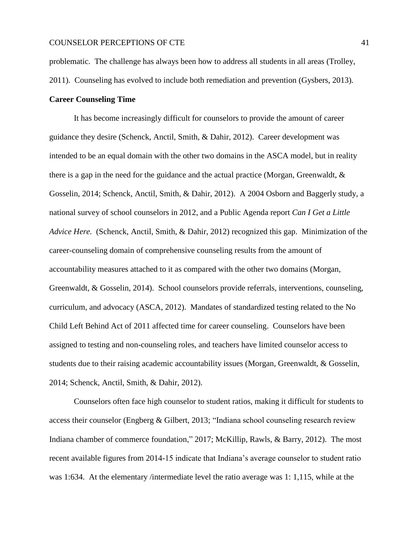problematic. The challenge has always been how to address all students in all areas (Trolley,

2011). Counseling has evolved to include both remediation and prevention (Gysbers, 2013).

# **Career Counseling Time**

It has become increasingly difficult for counselors to provide the amount of career guidance they desire (Schenck, Anctil, Smith, & Dahir, 2012). Career development was intended to be an equal domain with the other two domains in the ASCA model, but in reality there is a gap in the need for the guidance and the actual practice (Morgan, Greenwaldt, & Gosselin, 2014; Schenck, Anctil, Smith, & Dahir, 2012). A 2004 Osborn and Baggerly study, a national survey of school counselors in 2012, and a Public Agenda report *Can I Get a Little Advice Here.* (Schenck, Anctil, Smith, & Dahir, 2012) recognized this gap. Minimization of the career-counseling domain of comprehensive counseling results from the amount of accountability measures attached to it as compared with the other two domains (Morgan, Greenwaldt, & Gosselin, 2014). School counselors provide referrals, interventions, counseling, curriculum, and advocacy (ASCA, 2012). Mandates of standardized testing related to the No Child Left Behind Act of 2011 affected time for career counseling. Counselors have been assigned to testing and non-counseling roles, and teachers have limited counselor access to students due to their raising academic accountability issues (Morgan, Greenwaldt, & Gosselin, 2014; Schenck, Anctil, Smith, & Dahir, 2012).

Counselors often face high counselor to student ratios, making it difficult for students to access their counselor (Engberg & Gilbert, 2013; "Indiana school counseling research review Indiana chamber of commerce foundation," 2017; McKillip, Rawls, & Barry, 2012). The most recent available figures from 2014-15 indicate that Indiana's average counselor to student ratio was 1:634. At the elementary /intermediate level the ratio average was 1:1,115, while at the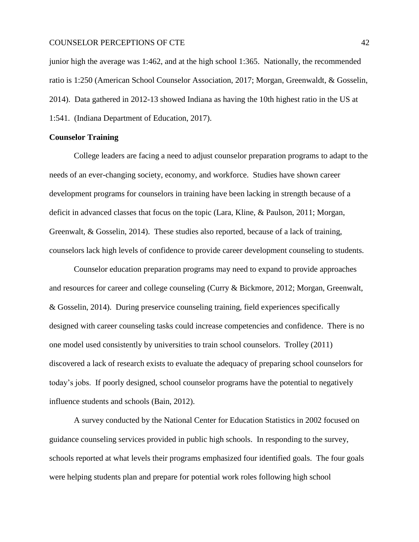junior high the average was 1:462, and at the high school 1:365. Nationally, the recommended ratio is 1:250 (American School Counselor Association, 2017; Morgan, Greenwaldt, & Gosselin, 2014). Data gathered in 2012-13 showed Indiana as having the 10th highest ratio in the US at 1:541. (Indiana Department of Education, 2017).

# **Counselor Training**

College leaders are facing a need to adjust counselor preparation programs to adapt to the needs of an ever-changing society, economy, and workforce. Studies have shown career development programs for counselors in training have been lacking in strength because of a deficit in advanced classes that focus on the topic (Lara, Kline, & Paulson, 2011; Morgan, Greenwalt, & Gosselin, 2014). These studies also reported, because of a lack of training, counselors lack high levels of confidence to provide career development counseling to students.

Counselor education preparation programs may need to expand to provide approaches and resources for career and college counseling (Curry & Bickmore, 2012; Morgan, Greenwalt, & Gosselin, 2014). During preservice counseling training, field experiences specifically designed with career counseling tasks could increase competencies and confidence. There is no one model used consistently by universities to train school counselors. Trolley (2011) discovered a lack of research exists to evaluate the adequacy of preparing school counselors for today's jobs. If poorly designed, school counselor programs have the potential to negatively influence students and schools (Bain, 2012).

A survey conducted by the National Center for Education Statistics in 2002 focused on guidance counseling services provided in public high schools. In responding to the survey, schools reported at what levels their programs emphasized four identified goals. The four goals were helping students plan and prepare for potential work roles following high school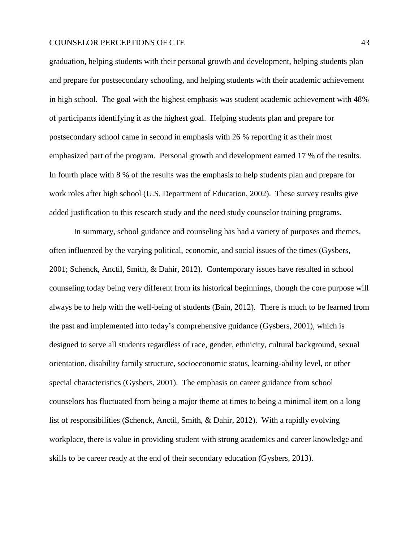graduation, helping students with their personal growth and development, helping students plan and prepare for postsecondary schooling, and helping students with their academic achievement in high school. The goal with the highest emphasis was student academic achievement with 48% of participants identifying it as the highest goal. Helping students plan and prepare for postsecondary school came in second in emphasis with 26 % reporting it as their most emphasized part of the program. Personal growth and development earned 17 % of the results. In fourth place with 8 % of the results was the emphasis to help students plan and prepare for work roles after high school (U.S. Department of Education, 2002). These survey results give added justification to this research study and the need study counselor training programs.

In summary, school guidance and counseling has had a variety of purposes and themes, often influenced by the varying political, economic, and social issues of the times (Gysbers, 2001; Schenck, Anctil, Smith, & Dahir, 2012). Contemporary issues have resulted in school counseling today being very different from its historical beginnings, though the core purpose will always be to help with the well-being of students (Bain, 2012). There is much to be learned from the past and implemented into today's comprehensive guidance (Gysbers, 2001), which is designed to serve all students regardless of race, gender, ethnicity, cultural background, sexual orientation, disability family structure, socioeconomic status, learning-ability level, or other special characteristics (Gysbers, 2001). The emphasis on career guidance from school counselors has fluctuated from being a major theme at times to being a minimal item on a long list of responsibilities (Schenck, Anctil, Smith, & Dahir, 2012). With a rapidly evolving workplace, there is value in providing student with strong academics and career knowledge and skills to be career ready at the end of their secondary education (Gysbers, 2013).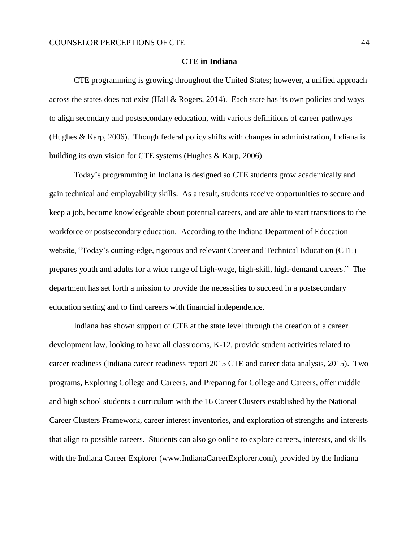#### **CTE in Indiana**

CTE programming is growing throughout the United States; however, a unified approach across the states does not exist (Hall & Rogers, 2014). Each state has its own policies and ways to align secondary and postsecondary education, with various definitions of career pathways (Hughes & Karp, 2006). Though federal policy shifts with changes in administration, Indiana is building its own vision for CTE systems (Hughes & Karp, 2006).

Today's programming in Indiana is designed so CTE students grow academically and gain technical and employability skills. As a result, students receive opportunities to secure and keep a job, become knowledgeable about potential careers, and are able to start transitions to the workforce or postsecondary education. According to the Indiana Department of Education website, "Today's cutting-edge, rigorous and relevant Career and Technical Education (CTE) prepares youth and adults for a wide range of high-wage, high-skill, high-demand careers." The department has set forth a mission to provide the necessities to succeed in a postsecondary education setting and to find careers with financial independence.

Indiana has shown support of CTE at the state level through the creation of a career development law, looking to have all classrooms, K-12, provide student activities related to career readiness (Indiana career readiness report 2015 CTE and career data analysis, 2015). Two programs, Exploring College and Careers, and Preparing for College and Careers, offer middle and high school students a curriculum with the 16 Career Clusters established by the National Career Clusters Framework, career interest inventories, and exploration of strengths and interests that align to possible careers. Students can also go online to explore careers, interests, and skills with the Indiana Career Explorer (www.IndianaCareerExplorer.com), provided by the Indiana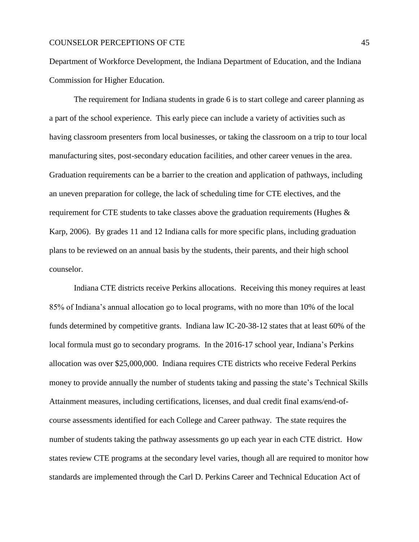Department of Workforce Development, the Indiana Department of Education, and the Indiana Commission for Higher Education.

The requirement for Indiana students in grade 6 is to start college and career planning as a part of the school experience. This early piece can include a variety of activities such as having classroom presenters from local businesses, or taking the classroom on a trip to tour local manufacturing sites, post-secondary education facilities, and other career venues in the area. Graduation requirements can be a barrier to the creation and application of pathways, including an uneven preparation for college, the lack of scheduling time for CTE electives, and the requirement for CTE students to take classes above the graduation requirements (Hughes & Karp, 2006). By grades 11 and 12 Indiana calls for more specific plans, including graduation plans to be reviewed on an annual basis by the students, their parents, and their high school counselor.

Indiana CTE districts receive Perkins allocations. Receiving this money requires at least 85% of Indiana's annual allocation go to local programs, with no more than 10% of the local funds determined by competitive grants. Indiana law IC-20-38-12 states that at least 60% of the local formula must go to secondary programs. In the 2016-17 school year, Indiana's Perkins allocation was over \$25,000,000. Indiana requires CTE districts who receive Federal Perkins money to provide annually the number of students taking and passing the state's Technical Skills Attainment measures, including certifications, licenses, and dual credit final exams/end-ofcourse assessments identified for each College and Career pathway. The state requires the number of students taking the pathway assessments go up each year in each CTE district. How states review CTE programs at the secondary level varies, though all are required to monitor how standards are implemented through the Carl D. Perkins Career and Technical Education Act of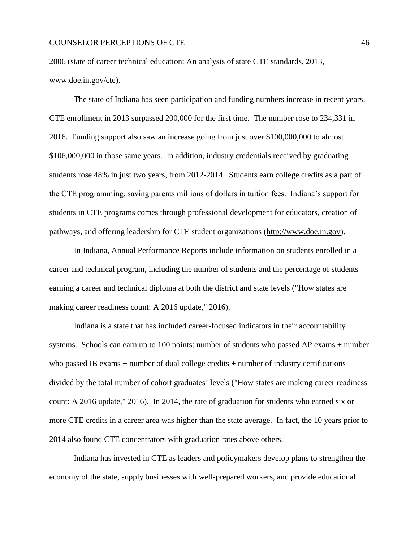2006 (state of career technical education: An analysis of state CTE standards, 2013,

# [www.doe.in.gov/cte\)](http://www.doe.in.gov/cte).

The state of Indiana has seen participation and funding numbers increase in recent years. CTE enrollment in 2013 surpassed 200,000 for the first time. The number rose to 234,331 in 2016. Funding support also saw an increase going from just over \$100,000,000 to almost \$106,000,000 in those same years. In addition, industry credentials received by graduating students rose 48% in just two years, from 2012-2014. Students earn college credits as a part of the CTE programming, saving parents millions of dollars in tuition fees. Indiana's support for students in CTE programs comes through professional development for educators, creation of pathways, and offering leadership for CTE student organizations [\(http://www.doe.in.gov\)](http://www.doe.in.gov/sites/default/files/cte/mih-cte.pdf).

In Indiana, Annual Performance Reports include information on students enrolled in a career and technical program, including the number of students and the percentage of students earning a career and technical diploma at both the district and state levels ("How states are making career readiness count: A 2016 update," 2016).

Indiana is a state that has included career-focused indicators in their accountability systems. Schools can earn up to 100 points: number of students who passed AP exams + number who passed IB exams + number of dual college credits + number of industry certifications divided by the total number of cohort graduates' levels ("How states are making career readiness count: A 2016 update," 2016). In 2014, the rate of graduation for students who earned six or more CTE credits in a career area was higher than the state average. In fact, the 10 years prior to 2014 also found CTE concentrators with graduation rates above others.

Indiana has invested in CTE as leaders and policymakers develop plans to strengthen the economy of the state, supply businesses with well-prepared workers, and provide educational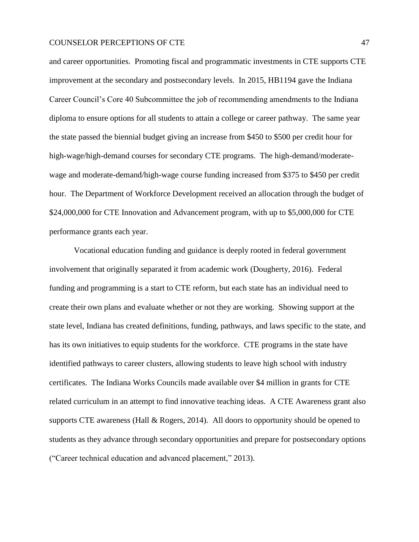and career opportunities. Promoting fiscal and programmatic investments in CTE supports CTE improvement at the secondary and postsecondary levels. In 2015, HB1194 gave the Indiana Career Council's Core 40 Subcommittee the job of recommending amendments to the Indiana diploma to ensure options for all students to attain a college or career pathway. The same year the state passed the biennial budget giving an increase from \$450 to \$500 per credit hour for high-wage/high-demand courses for secondary CTE programs. The high-demand/moderatewage and moderate-demand/high-wage course funding increased from \$375 to \$450 per credit hour. The Department of Workforce Development received an allocation through the budget of \$24,000,000 for CTE Innovation and Advancement program, with up to \$5,000,000 for CTE performance grants each year.

Vocational education funding and guidance is deeply rooted in federal government involvement that originally separated it from academic work (Dougherty, 2016). Federal funding and programming is a start to CTE reform, but each state has an individual need to create their own plans and evaluate whether or not they are working. Showing support at the state level, Indiana has created definitions, funding, pathways, and laws specific to the state, and has its own initiatives to equip students for the workforce. CTE programs in the state have identified pathways to career clusters, allowing students to leave high school with industry certificates. The Indiana Works Councils made available over \$4 million in grants for CTE related curriculum in an attempt to find innovative teaching ideas. A CTE Awareness grant also supports CTE awareness (Hall & Rogers, 2014). All doors to opportunity should be opened to students as they advance through secondary opportunities and prepare for postsecondary options ("Career technical education and advanced placement," 2013).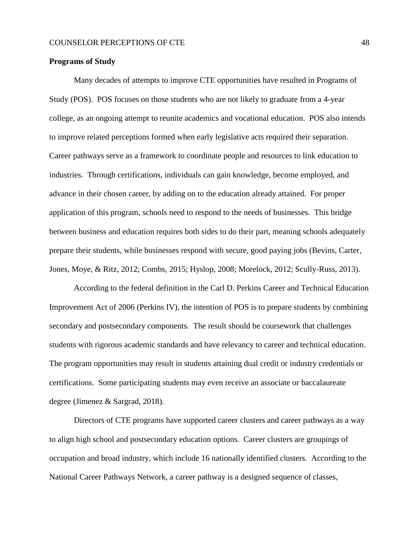#### **Programs of Study**

Many decades of attempts to improve CTE opportunities have resulted in Programs of Study (POS). POS focuses on those students who are not likely to graduate from a 4-year college, as an ongoing attempt to reunite academics and vocational education. POS also intends to improve related perceptions formed when early legislative acts required their separation. Career pathways serve as a framework to coordinate people and resources to link education to industries. Through certifications, individuals can gain knowledge, become employed, and advance in their chosen career, by adding on to the education already attained. For proper application of this program, schools need to respond to the needs of businesses. This bridge between business and education requires both sides to do their part, meaning schools adequately prepare their students, while businesses respond with secure, good paying jobs (Bevins, Carter, Jones, Moye, & Ritz, 2012; Combs, 2015; Hyslop, 2008; Morelock, 2012; Scully-Russ, 2013).

According to the federal definition in the Carl D. Perkins Career and Technical Education Improvement Act of 2006 (Perkins IV), the intention of POS is to prepare students by combining secondary and postsecondary components. The result should be coursework that challenges students with rigorous academic standards and have relevancy to career and technical education. The program opportunities may result in students attaining dual credit or industry credentials or certifications. Some participating students may even receive an associate or baccalaureate degree (Jimenez & Sargrad, 2018).

Directors of CTE programs have supported career clusters and career pathways as a way to align high school and postsecondary education options. Career clusters are groupings of occupation and broad industry, which include 16 nationally identified clusters. According to the National Career Pathways Network, a career pathway is a designed sequence of classes,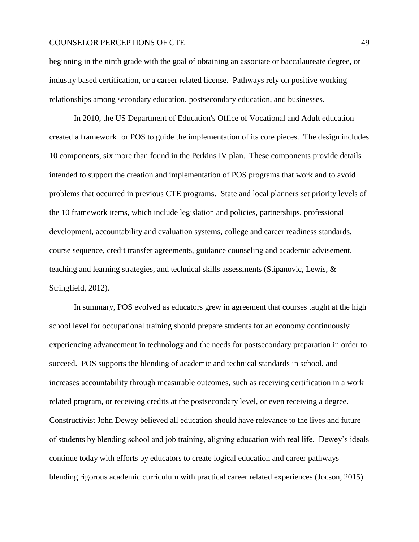beginning in the ninth grade with the goal of obtaining an associate or baccalaureate degree, or industry based certification, or a career related license. Pathways rely on positive working relationships among secondary education, postsecondary education, and businesses.

In 2010, the US Department of Education's Office of Vocational and Adult education created a framework for POS to guide the implementation of its core pieces. The design includes 10 components, six more than found in the Perkins IV plan. These components provide details intended to support the creation and implementation of POS programs that work and to avoid problems that occurred in previous CTE programs. State and local planners set priority levels of the 10 framework items, which include legislation and policies, partnerships, professional development, accountability and evaluation systems, college and career readiness standards, course sequence, credit transfer agreements, guidance counseling and academic advisement, teaching and learning strategies, and technical skills assessments (Stipanovic, Lewis, & Stringfield, 2012).

In summary, POS evolved as educators grew in agreement that courses taught at the high school level for occupational training should prepare students for an economy continuously experiencing advancement in technology and the needs for postsecondary preparation in order to succeed. POS supports the blending of academic and technical standards in school, and increases accountability through measurable outcomes, such as receiving certification in a work related program, or receiving credits at the postsecondary level, or even receiving a degree. Constructivist John Dewey believed all education should have relevance to the lives and future of students by blending school and job training, aligning education with real life. Dewey's ideals continue today with efforts by educators to create logical education and career pathways blending rigorous academic curriculum with practical career related experiences (Jocson, 2015).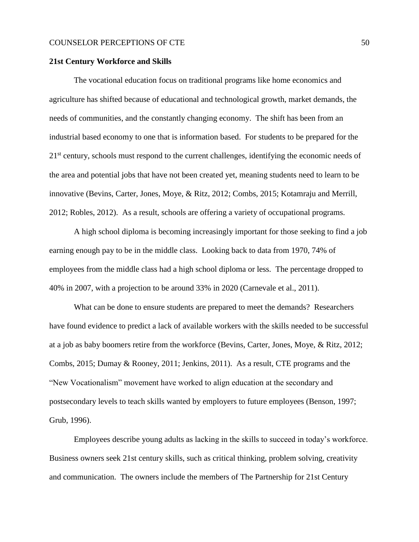#### **21st Century Workforce and Skills**

The vocational education focus on traditional programs like home economics and agriculture has shifted because of educational and technological growth, market demands, the needs of communities, and the constantly changing economy. The shift has been from an industrial based economy to one that is information based. For students to be prepared for the 21<sup>st</sup> century, schools must respond to the current challenges, identifying the economic needs of the area and potential jobs that have not been created yet, meaning students need to learn to be innovative (Bevins, Carter, Jones, Moye, & Ritz, 2012; Combs, 2015; Kotamraju and Merrill, 2012; Robles, 2012). As a result, schools are offering a variety of occupational programs.

A high school diploma is becoming increasingly important for those seeking to find a job earning enough pay to be in the middle class. Looking back to data from 1970, 74% of employees from the middle class had a high school diploma or less. The percentage dropped to 40% in 2007, with a projection to be around 33% in 2020 (Carnevale et al., 2011).

What can be done to ensure students are prepared to meet the demands? Researchers have found evidence to predict a lack of available workers with the skills needed to be successful at a job as baby boomers retire from the workforce (Bevins, Carter, Jones, Moye, & Ritz, 2012; Combs, 2015; Dumay & Rooney, 2011; Jenkins, 2011). As a result, CTE programs and the "New Vocationalism" movement have worked to align education at the secondary and postsecondary levels to teach skills wanted by employers to future employees (Benson, 1997; Grub, 1996).

Employees describe young adults as lacking in the skills to succeed in today's workforce. Business owners seek 21st century skills, such as critical thinking, problem solving, creativity and communication. The owners include the members of The Partnership for 21st Century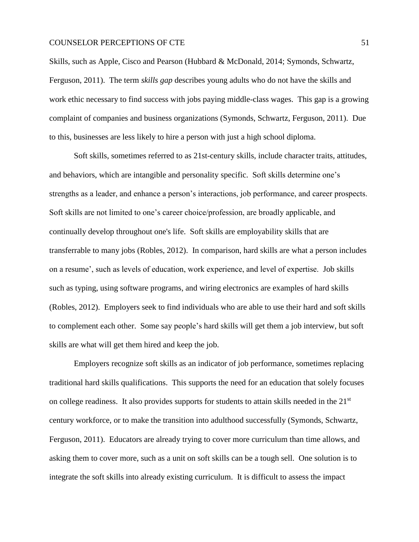Skills, such as Apple, Cisco and Pearson (Hubbard & McDonald, 2014; Symonds, Schwartz, Ferguson, 2011). The term *skills gap* describes young adults who do not have the skills and work ethic necessary to find success with jobs paying middle-class wages. This gap is a growing complaint of companies and business organizations (Symonds, Schwartz, Ferguson, 2011). Due to this, businesses are less likely to hire a person with just a high school diploma.

Soft skills, sometimes referred to as 21st-century skills, include character traits, attitudes, and behaviors, which are intangible and personality specific. Soft skills determine one's strengths as a leader, and enhance a person's interactions, job performance, and career prospects. Soft skills are not limited to one's career choice/profession, are broadly applicable, and continually develop throughout one's life. Soft skills are employability skills that are transferrable to many jobs (Robles, 2012). In comparison, hard skills are what a person includes on a resume', such as levels of education, work experience, and level of expertise. Job skills such as typing, using software programs, and wiring electronics are examples of hard skills (Robles, 2012). Employers seek to find individuals who are able to use their hard and soft skills to complement each other. Some say people's hard skills will get them a job interview, but soft skills are what will get them hired and keep the job.

Employers recognize soft skills as an indicator of job performance, sometimes replacing traditional hard skills qualifications. This supports the need for an education that solely focuses on college readiness. It also provides supports for students to attain skills needed in the 21<sup>st</sup> century workforce, or to make the transition into adulthood successfully (Symonds, Schwartz, Ferguson, 2011). Educators are already trying to cover more curriculum than time allows, and asking them to cover more, such as a unit on soft skills can be a tough sell. One solution is to integrate the soft skills into already existing curriculum. It is difficult to assess the impact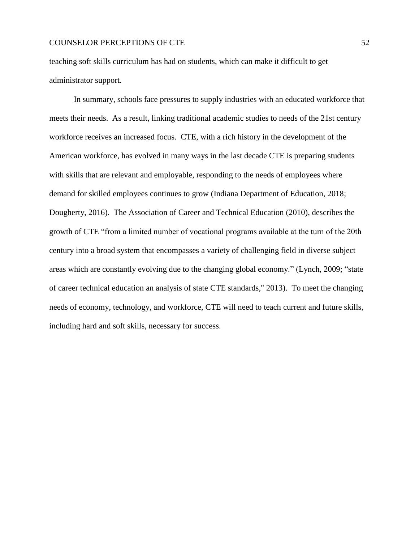teaching soft skills curriculum has had on students, which can make it difficult to get administrator support.

In summary, schools face pressures to supply industries with an educated workforce that meets their needs. As a result, linking traditional academic studies to needs of the 21st century workforce receives an increased focus. CTE, with a rich history in the development of the American workforce, has evolved in many ways in the last decade CTE is preparing students with skills that are relevant and employable, responding to the needs of employees where demand for skilled employees continues to grow (Indiana Department of Education, 2018; Dougherty, 2016). The Association of Career and Technical Education (2010), describes the growth of CTE "from a limited number of vocational programs available at the turn of the 20th century into a broad system that encompasses a variety of challenging field in diverse subject areas which are constantly evolving due to the changing global economy." (Lynch, 2009; "state of career technical education an analysis of state CTE standards," 2013). To meet the changing needs of economy, technology, and workforce, CTE will need to teach current and future skills, including hard and soft skills, necessary for success.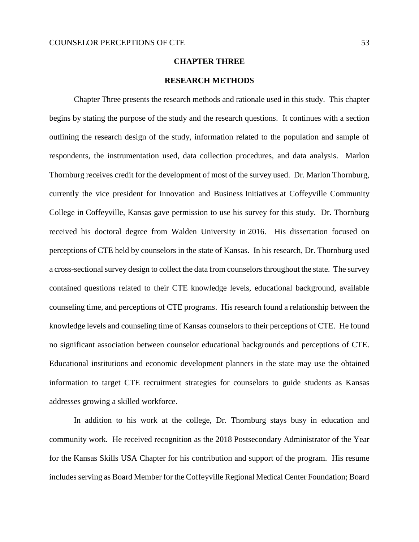# **CHAPTER THREE**

# **RESEARCH METHODS**

Chapter Three presents the research methods and rationale used in this study. This chapter begins by stating the purpose of the study and the research questions. It continues with a section outlining the research design of the study, information related to the population and sample of respondents, the instrumentation used, data collection procedures, and data analysis. Marlon Thornburg receives credit for the development of most of the survey used. Dr. Marlon Thornburg, currently the vice president for Innovation and Business Initiatives at Coffeyville Community College in Coffeyville, Kansas gave permission to use his survey for this study. Dr. Thornburg received his doctoral degree from Walden University in 2016. His dissertation focused on perceptions of CTE held by counselors in the state of Kansas. In his research, Dr. Thornburg used a cross-sectional survey design to collect the data from counselors throughout the state. The survey contained questions related to their CTE knowledge levels, educational background, available counseling time, and perceptions of CTE programs. His research found a relationship between the knowledge levels and counseling time of Kansas counselors to their perceptions of CTE. He found no significant association between counselor educational backgrounds and perceptions of CTE. Educational institutions and economic development planners in the state may use the obtained information to target CTE recruitment strategies for counselors to guide students as Kansas addresses growing a skilled workforce.

In addition to his work at the college, Dr. Thornburg stays busy in education and community work. He received recognition as the 2018 Postsecondary Administrator of the Year for the Kansas Skills USA Chapter for his contribution and support of the program. His resume includes serving as Board Member for the Coffeyville Regional Medical Center Foundation; Board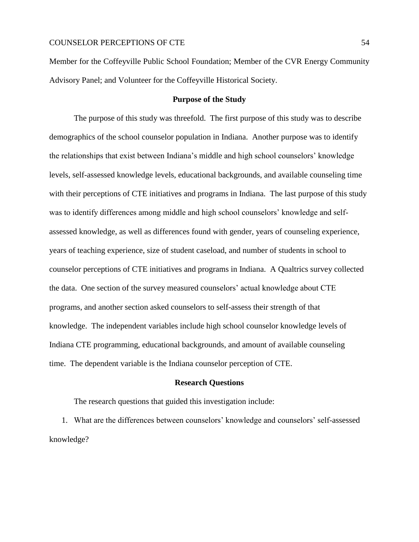Member for the Coffeyville Public School Foundation; Member of the CVR Energy Community Advisory Panel; and Volunteer for the Coffeyville Historical Society.

#### **Purpose of the Study**

The purpose of this study was threefold. The first purpose of this study was to describe demographics of the school counselor population in Indiana. Another purpose was to identify the relationships that exist between Indiana's middle and high school counselors' knowledge levels, self-assessed knowledge levels, educational backgrounds, and available counseling time with their perceptions of CTE initiatives and programs in Indiana. The last purpose of this study was to identify differences among middle and high school counselors' knowledge and selfassessed knowledge, as well as differences found with gender, years of counseling experience, years of teaching experience, size of student caseload, and number of students in school to counselor perceptions of CTE initiatives and programs in Indiana. A Qualtrics survey collected the data. One section of the survey measured counselors' actual knowledge about CTE programs, and another section asked counselors to self-assess their strength of that knowledge. The independent variables include high school counselor knowledge levels of Indiana CTE programming, educational backgrounds, and amount of available counseling time. The dependent variable is the Indiana counselor perception of CTE.

#### **Research Questions**

The research questions that guided this investigation include:

1. What are the differences between counselors' knowledge and counselors' self-assessed knowledge?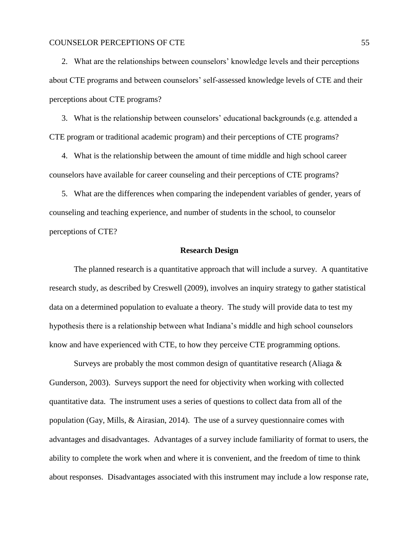2. What are the relationships between counselors' knowledge levels and their perceptions about CTE programs and between counselors' self-assessed knowledge levels of CTE and their perceptions about CTE programs?

3. What is the relationship between counselors' educational backgrounds (e.g. attended a CTE program or traditional academic program) and their perceptions of CTE programs?

4. What is the relationship between the amount of time middle and high school career counselors have available for career counseling and their perceptions of CTE programs?

5. What are the differences when comparing the independent variables of gender, years of counseling and teaching experience, and number of students in the school, to counselor perceptions of CTE?

# **Research Design**

The planned research is a quantitative approach that will include a survey. A quantitative research study, as described by Creswell (2009), involves an inquiry strategy to gather statistical data on a determined population to evaluate a theory. The study will provide data to test my hypothesis there is a relationship between what Indiana's middle and high school counselors know and have experienced with CTE, to how they perceive CTE programming options.

Surveys are probably the most common design of quantitative research (Aliaga  $\&$ Gunderson, 2003). Surveys support the need for objectivity when working with collected quantitative data. The instrument uses a series of questions to collect data from all of the population (Gay, Mills, & Airasian, 2014). The use of a survey questionnaire comes with advantages and disadvantages. Advantages of a survey include familiarity of format to users, the ability to complete the work when and where it is convenient, and the freedom of time to think about responses. Disadvantages associated with this instrument may include a low response rate,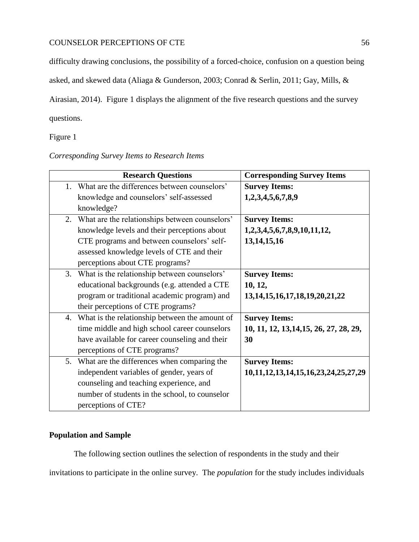difficulty drawing conclusions, the possibility of a forced-choice, confusion on a question being

asked, and skewed data (Aliaga & Gunderson, 2003; Conrad & Serlin, 2011; Gay, Mills, &

Airasian, 2014). Figure 1 displays the alignment of the five research questions and the survey

questions.

Figure 1

*Corresponding Survey Items to Research Items*

| <b>Research Questions</b>                         | <b>Corresponding Survey Items</b>              |
|---------------------------------------------------|------------------------------------------------|
| 1. What are the differences between counselors'   | <b>Survey Items:</b>                           |
| knowledge and counselors' self-assessed           | 1,2,3,4,5,6,7,8,9                              |
| knowledge?                                        |                                                |
| 2. What are the relationships between counselors' | <b>Survey Items:</b>                           |
| knowledge levels and their perceptions about      | 1,2,3,4,5,6,7,8,9,10,11,12,                    |
| CTE programs and between counselors' self-        | 13, 14, 15, 16                                 |
| assessed knowledge levels of CTE and their        |                                                |
| perceptions about CTE programs?                   |                                                |
| 3. What is the relationship between counselors'   | <b>Survey Items:</b>                           |
| educational backgrounds (e.g. attended a CTE      | 10, 12,                                        |
| program or traditional academic program) and      | 13, 14, 15, 16, 17, 18, 19, 20, 21, 22         |
| their perceptions of CTE programs?                |                                                |
| 4. What is the relationship between the amount of | <b>Survey Items:</b>                           |
| time middle and high school career counselors     | 10, 11, 12, 13, 14, 15, 26, 27, 28, 29,        |
| have available for career counseling and their    | 30                                             |
| perceptions of CTE programs?                      |                                                |
| 5. What are the differences when comparing the    | <b>Survey Items:</b>                           |
| independent variables of gender, years of         | 10, 11, 12, 13, 14, 15, 16, 23, 24, 25, 27, 29 |
| counseling and teaching experience, and           |                                                |
| number of students in the school, to counselor    |                                                |
| perceptions of CTE?                               |                                                |

# **Population and Sample**

The following section outlines the selection of respondents in the study and their invitations to participate in the online survey. The *population* for the study includes individuals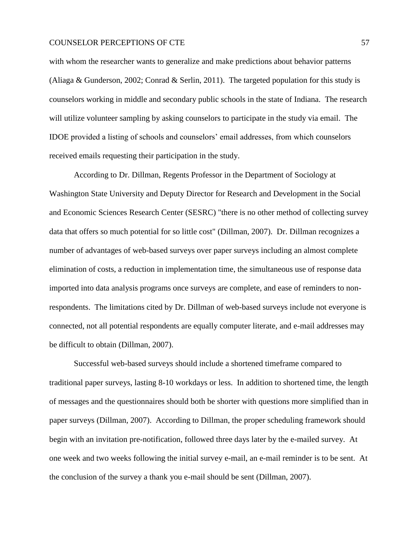with whom the researcher wants to generalize and make predictions about behavior patterns (Aliaga & Gunderson, 2002; Conrad & Serlin, 2011). The targeted population for this study is counselors working in middle and secondary public schools in the state of Indiana. The research will utilize volunteer sampling by asking counselors to participate in the study via email. The IDOE provided a listing of schools and counselors' email addresses, from which counselors received emails requesting their participation in the study.

According to Dr. Dillman, Regents Professor in the Department of Sociology at Washington State University and Deputy Director for Research and Development in the Social and Economic Sciences Research Center (SESRC) "there is no other method of collecting survey data that offers so much potential for so little cost" (Dillman, 2007). Dr. Dillman recognizes a number of advantages of web-based surveys over paper surveys including an almost complete elimination of costs, a reduction in implementation time, the simultaneous use of response data imported into data analysis programs once surveys are complete, and ease of reminders to nonrespondents. The limitations cited by Dr. Dillman of web-based surveys include not everyone is connected, not all potential respondents are equally computer literate, and e-mail addresses may be difficult to obtain (Dillman, 2007).

Successful web-based surveys should include a shortened timeframe compared to traditional paper surveys, lasting 8-10 workdays or less. In addition to shortened time, the length of messages and the questionnaires should both be shorter with questions more simplified than in paper surveys (Dillman, 2007). According to Dillman, the proper scheduling framework should begin with an invitation pre-notification, followed three days later by the e-mailed survey. At one week and two weeks following the initial survey e-mail, an e-mail reminder is to be sent. At the conclusion of the survey a thank you e-mail should be sent (Dillman, 2007).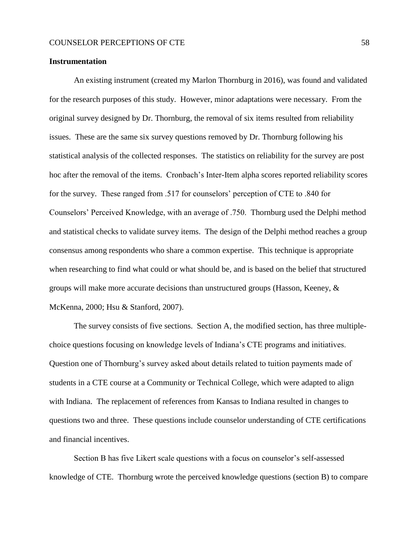#### **Instrumentation**

An existing instrument (created my Marlon Thornburg in 2016), was found and validated for the research purposes of this study. However, minor adaptations were necessary. From the original survey designed by Dr. Thornburg, the removal of six items resulted from reliability issues. These are the same six survey questions removed by Dr. Thornburg following his statistical analysis of the collected responses. The statistics on reliability for the survey are post hoc after the removal of the items. Cronbach's Inter-Item alpha scores reported reliability scores for the survey. These ranged from .517 for counselors' perception of CTE to .840 for Counselors' Perceived Knowledge, with an average of .750. Thornburg used the Delphi method and statistical checks to validate survey items. The design of the Delphi method reaches a group consensus among respondents who share a common expertise. This technique is appropriate when researching to find what could or what should be, and is based on the belief that structured groups will make more accurate decisions than unstructured groups (Hasson, Keeney, & McKenna, 2000; Hsu & Stanford, 2007).

The survey consists of five sections. Section A, the modified section, has three multiplechoice questions focusing on knowledge levels of Indiana's CTE programs and initiatives. Question one of Thornburg's survey asked about details related to tuition payments made of students in a CTE course at a Community or Technical College, which were adapted to align with Indiana. The replacement of references from Kansas to Indiana resulted in changes to questions two and three. These questions include counselor understanding of CTE certifications and financial incentives.

Section B has five Likert scale questions with a focus on counselor's self-assessed knowledge of CTE. Thornburg wrote the perceived knowledge questions (section B) to compare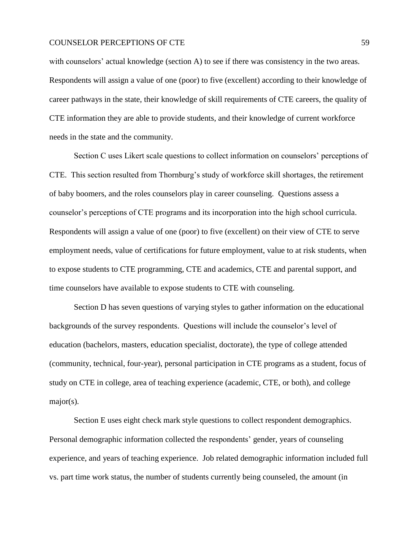with counselors' actual knowledge (section A) to see if there was consistency in the two areas. Respondents will assign a value of one (poor) to five (excellent) according to their knowledge of career pathways in the state, their knowledge of skill requirements of CTE careers, the quality of CTE information they are able to provide students, and their knowledge of current workforce needs in the state and the community.

Section C uses Likert scale questions to collect information on counselors' perceptions of CTE. This section resulted from Thornburg's study of workforce skill shortages, the retirement of baby boomers, and the roles counselors play in career counseling. Questions assess a counselor's perceptions of CTE programs and its incorporation into the high school curricula. Respondents will assign a value of one (poor) to five (excellent) on their view of CTE to serve employment needs, value of certifications for future employment, value to at risk students, when to expose students to CTE programming, CTE and academics, CTE and parental support, and time counselors have available to expose students to CTE with counseling.

Section D has seven questions of varying styles to gather information on the educational backgrounds of the survey respondents. Questions will include the counselor's level of education (bachelors, masters, education specialist, doctorate), the type of college attended (community, technical, four-year), personal participation in CTE programs as a student, focus of study on CTE in college, area of teaching experience (academic, CTE, or both), and college major(s).

Section E uses eight check mark style questions to collect respondent demographics. Personal demographic information collected the respondents' gender, years of counseling experience, and years of teaching experience. Job related demographic information included full vs. part time work status, the number of students currently being counseled, the amount (in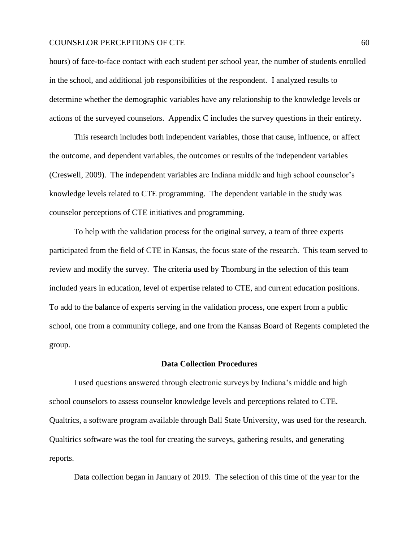hours) of face-to-face contact with each student per school year, the number of students enrolled in the school, and additional job responsibilities of the respondent. I analyzed results to determine whether the demographic variables have any relationship to the knowledge levels or actions of the surveyed counselors. Appendix C includes the survey questions in their entirety.

This research includes both independent variables, those that cause, influence, or affect the outcome, and dependent variables, the outcomes or results of the independent variables (Creswell, 2009). The independent variables are Indiana middle and high school counselor's knowledge levels related to CTE programming. The dependent variable in the study was counselor perceptions of CTE initiatives and programming.

To help with the validation process for the original survey, a team of three experts participated from the field of CTE in Kansas, the focus state of the research. This team served to review and modify the survey. The criteria used by Thornburg in the selection of this team included years in education, level of expertise related to CTE, and current education positions. To add to the balance of experts serving in the validation process, one expert from a public school, one from a community college, and one from the Kansas Board of Regents completed the group.

#### **Data Collection Procedures**

I used questions answered through electronic surveys by Indiana's middle and high school counselors to assess counselor knowledge levels and perceptions related to CTE. Qualtrics, a software program available through Ball State University, was used for the research. Qualtirics software was the tool for creating the surveys, gathering results, and generating reports.

Data collection began in January of 2019. The selection of this time of the year for the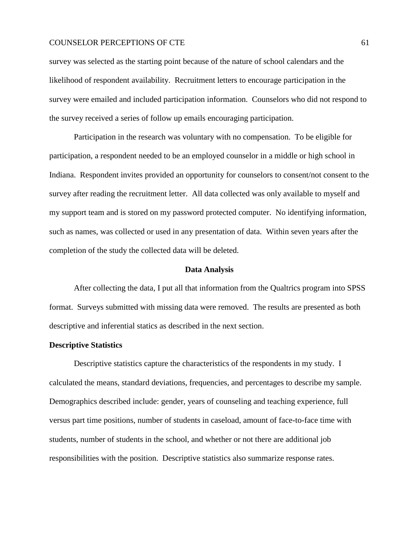survey was selected as the starting point because of the nature of school calendars and the likelihood of respondent availability. Recruitment letters to encourage participation in the survey were emailed and included participation information. Counselors who did not respond to the survey received a series of follow up emails encouraging participation.

Participation in the research was voluntary with no compensation. To be eligible for participation, a respondent needed to be an employed counselor in a middle or high school in Indiana. Respondent invites provided an opportunity for counselors to consent/not consent to the survey after reading the recruitment letter. All data collected was only available to myself and my support team and is stored on my password protected computer. No identifying information, such as names, was collected or used in any presentation of data. Within seven years after the completion of the study the collected data will be deleted.

### **Data Analysis**

After collecting the data, I put all that information from the Qualtrics program into SPSS format. Surveys submitted with missing data were removed. The results are presented as both descriptive and inferential statics as described in the next section.

### **Descriptive Statistics**

Descriptive statistics capture the characteristics of the respondents in my study. I calculated the means, standard deviations, frequencies, and percentages to describe my sample. Demographics described include: gender, years of counseling and teaching experience, full versus part time positions, number of students in caseload, amount of face-to-face time with students, number of students in the school, and whether or not there are additional job responsibilities with the position. Descriptive statistics also summarize response rates.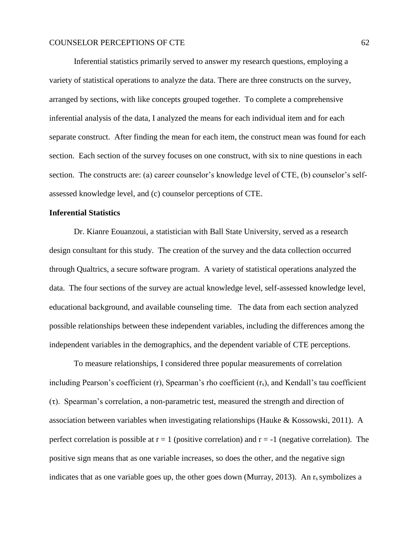Inferential statistics primarily served to answer my research questions, employing a variety of statistical operations to analyze the data. There are three constructs on the survey, arranged by sections, with like concepts grouped together. To complete a comprehensive inferential analysis of the data, I analyzed the means for each individual item and for each separate construct. After finding the mean for each item, the construct mean was found for each section. Each section of the survey focuses on one construct, with six to nine questions in each section. The constructs are: (a) career counselor's knowledge level of CTE, (b) counselor's selfassessed knowledge level, and (c) counselor perceptions of CTE.

#### **Inferential Statistics**

Dr. Kianre Eouanzoui, a statistician with Ball State University, served as a research design consultant for this study. The creation of the survey and the data collection occurred through Qualtrics, a secure software program. A variety of statistical operations analyzed the data. The four sections of the survey are actual knowledge level, self-assessed knowledge level, educational background, and available counseling time. The data from each section analyzed possible relationships between these independent variables, including the differences among the independent variables in the demographics, and the dependent variable of CTE perceptions.

To measure relationships, I considered three popular measurements of correlation including Pearson's coefficient  $(r)$ , Spearman's rho coefficient  $(r<sub>s</sub>)$ , and Kendall's tau coefficient (τ). Spearman's correlation, a non-parametric test, measured the strength and direction of association between variables when investigating relationships (Hauke & Kossowski, 2011). A perfect correlation is possible at  $r = 1$  (positive correlation) and  $r = -1$  (negative correlation). The positive sign means that as one variable increases, so does the other, and the negative sign indicates that as one variable goes up, the other goes down (Murray, 2013). An  $r_s$  symbolizes a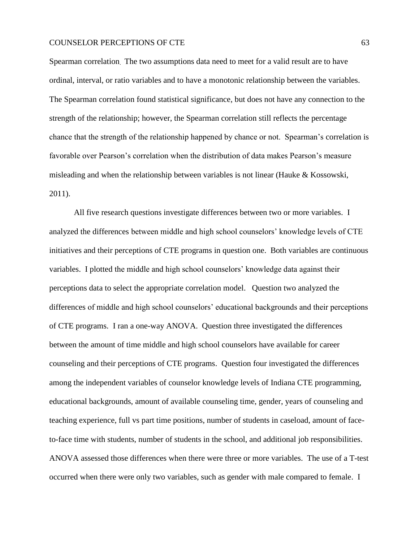Spearman correlation. The two assumptions data need to meet for a valid result are to have ordinal, interval, or ratio variables and to have a monotonic relationship between the variables. The Spearman correlation found statistical significance, but does not have any connection to the strength of the relationship; however, the Spearman correlation still reflects the percentage chance that the strength of the relationship happened by chance or not. Spearman's correlation is favorable over Pearson's correlation when the distribution of data makes Pearson's measure misleading and when the relationship between variables is not linear (Hauke & Kossowski, 2011).

All five research questions investigate differences between two or more variables. I analyzed the differences between middle and high school counselors' knowledge levels of CTE initiatives and their perceptions of CTE programs in question one. Both variables are continuous variables. I plotted the middle and high school counselors' knowledge data against their perceptions data to select the appropriate correlation model. Question two analyzed the differences of middle and high school counselors' educational backgrounds and their perceptions of CTE programs. I ran a one-way ANOVA. Question three investigated the differences between the amount of time middle and high school counselors have available for career counseling and their perceptions of CTE programs. Question four investigated the differences among the independent variables of counselor knowledge levels of Indiana CTE programming, educational backgrounds, amount of available counseling time, gender, years of counseling and teaching experience, full vs part time positions, number of students in caseload, amount of faceto-face time with students, number of students in the school, and additional job responsibilities. ANOVA assessed those differences when there were three or more variables. The use of a T-test occurred when there were only two variables, such as gender with male compared to female. I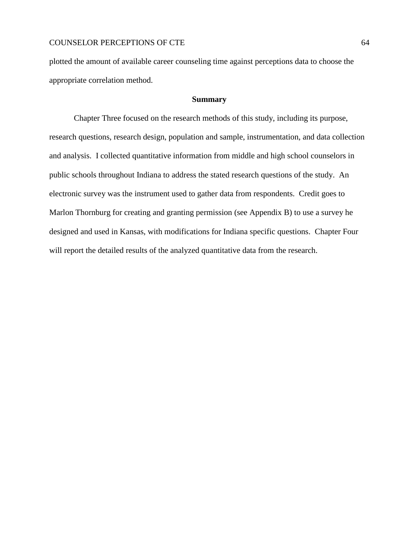plotted the amount of available career counseling time against perceptions data to choose the appropriate correlation method.

#### **Summary**

Chapter Three focused on the research methods of this study, including its purpose, research questions, research design, population and sample, instrumentation, and data collection and analysis. I collected quantitative information from middle and high school counselors in public schools throughout Indiana to address the stated research questions of the study. An electronic survey was the instrument used to gather data from respondents. Credit goes to Marlon Thornburg for creating and granting permission (see Appendix B) to use a survey he designed and used in Kansas, with modifications for Indiana specific questions. Chapter Four will report the detailed results of the analyzed quantitative data from the research.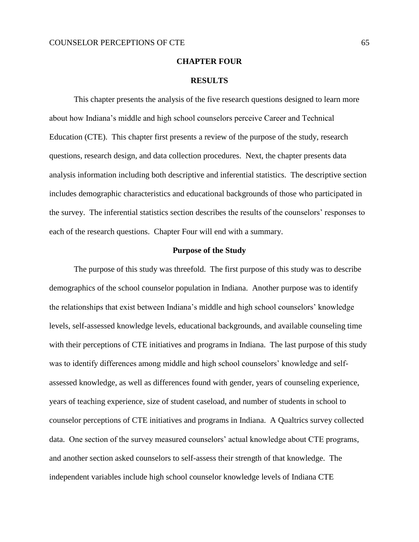#### **CHAPTER FOUR**

#### **RESULTS**

This chapter presents the analysis of the five research questions designed to learn more about how Indiana's middle and high school counselors perceive Career and Technical Education (CTE). This chapter first presents a review of the purpose of the study, research questions, research design, and data collection procedures. Next, the chapter presents data analysis information including both descriptive and inferential statistics. The descriptive section includes demographic characteristics and educational backgrounds of those who participated in the survey. The inferential statistics section describes the results of the counselors' responses to each of the research questions. Chapter Four will end with a summary.

#### **Purpose of the Study**

The purpose of this study was threefold. The first purpose of this study was to describe demographics of the school counselor population in Indiana. Another purpose was to identify the relationships that exist between Indiana's middle and high school counselors' knowledge levels, self-assessed knowledge levels, educational backgrounds, and available counseling time with their perceptions of CTE initiatives and programs in Indiana. The last purpose of this study was to identify differences among middle and high school counselors' knowledge and selfassessed knowledge, as well as differences found with gender, years of counseling experience, years of teaching experience, size of student caseload, and number of students in school to counselor perceptions of CTE initiatives and programs in Indiana. A Qualtrics survey collected data. One section of the survey measured counselors' actual knowledge about CTE programs, and another section asked counselors to self-assess their strength of that knowledge. The independent variables include high school counselor knowledge levels of Indiana CTE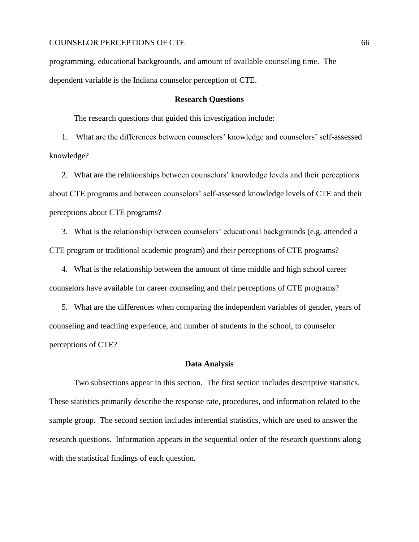programming, educational backgrounds, and amount of available counseling time. The dependent variable is the Indiana counselor perception of CTE.

### **Research Questions**

The research questions that guided this investigation include:

1. What are the differences between counselors' knowledge and counselors' self-assessed knowledge?

2. What are the relationships between counselors' knowledge levels and their perceptions about CTE programs and between counselors' self-assessed knowledge levels of CTE and their perceptions about CTE programs?

3. What is the relationship between counselors' educational backgrounds (e.g. attended a CTE program or traditional academic program) and their perceptions of CTE programs?

4. What is the relationship between the amount of time middle and high school career counselors have available for career counseling and their perceptions of CTE programs?

5. What are the differences when comparing the independent variables of gender, years of counseling and teaching experience, and number of students in the school, to counselor perceptions of CTE?

#### **Data Analysis**

Two subsections appear in this section. The first section includes descriptive statistics. These statistics primarily describe the response rate, procedures, and information related to the sample group. The second section includes inferential statistics, which are used to answer the research questions. Information appears in the sequential order of the research questions along with the statistical findings of each question.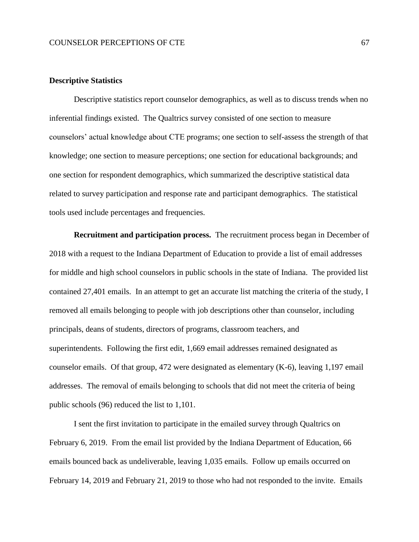### **Descriptive Statistics**

Descriptive statistics report counselor demographics, as well as to discuss trends when no inferential findings existed. The Qualtrics survey consisted of one section to measure counselors' actual knowledge about CTE programs; one section to self-assess the strength of that knowledge; one section to measure perceptions; one section for educational backgrounds; and one section for respondent demographics, which summarized the descriptive statistical data related to survey participation and response rate and participant demographics. The statistical tools used include percentages and frequencies.

**Recruitment and participation process.** The recruitment process began in December of 2018 with a request to the Indiana Department of Education to provide a list of email addresses for middle and high school counselors in public schools in the state of Indiana. The provided list contained 27,401 emails. In an attempt to get an accurate list matching the criteria of the study, I removed all emails belonging to people with job descriptions other than counselor, including principals, deans of students, directors of programs, classroom teachers, and superintendents. Following the first edit, 1,669 email addresses remained designated as counselor emails. Of that group, 472 were designated as elementary (K-6), leaving 1,197 email addresses. The removal of emails belonging to schools that did not meet the criteria of being public schools (96) reduced the list to 1,101.

I sent the first invitation to participate in the emailed survey through Qualtrics on February 6, 2019. From the email list provided by the Indiana Department of Education, 66 emails bounced back as undeliverable, leaving 1,035 emails. Follow up emails occurred on February 14, 2019 and February 21, 2019 to those who had not responded to the invite. Emails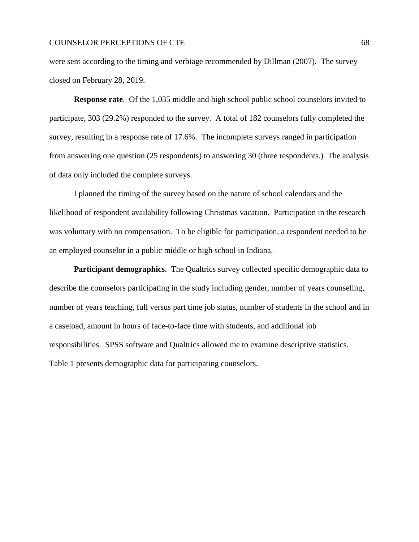were sent according to the timing and verbiage recommended by Dillman (2007). The survey closed on February 28, 2019.

**Response rate**. Of the 1,035 middle and high school public school counselors invited to participate, 303 (29.2%) responded to the survey. A total of 182 counselors fully completed the survey, resulting in a response rate of 17.6%. The incomplete surveys ranged in participation from answering one question (25 respondents) to answering 30 (three respondents.) The analysis of data only included the complete surveys.

I planned the timing of the survey based on the nature of school calendars and the likelihood of respondent availability following Christmas vacation. Participation in the research was voluntary with no compensation. To be eligible for participation, a respondent needed to be an employed counselor in a public middle or high school in Indiana.

**Participant demographics.** The Qualtrics survey collected specific demographic data to describe the counselors participating in the study including gender, number of years counseling, number of years teaching, full versus part time job status, number of students in the school and in a caseload, amount in hours of face-to-face time with students, and additional job responsibilities. SPSS software and Qualtrics allowed me to examine descriptive statistics. Table 1 presents demographic data for participating counselors.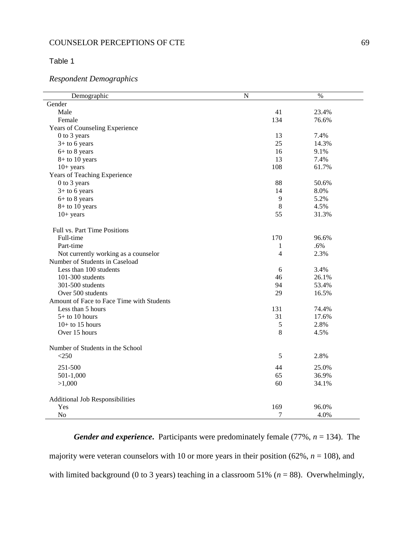# Table 1

# *Respondent Demographics*

| Demographic                                 | $\mathbf N$    | $\%$  |
|---------------------------------------------|----------------|-------|
| Gender                                      |                |       |
| Male                                        | 41             | 23.4% |
| Female                                      | 134            | 76.6% |
| Years of Counseling Experience              |                |       |
| 0 to 3 years                                | 13             | 7.4%  |
| $3+$ to 6 years                             | 25             | 14.3% |
| $6+$ to 8 years                             | 16             | 9.1%  |
| $8+$ to 10 years                            | 13             | 7.4%  |
| $10+ years$                                 | 108            | 61.7% |
| Years of Teaching Experience                |                |       |
| 0 to 3 years                                | 88             | 50.6% |
| $3+$ to 6 years                             | 14             | 8.0%  |
| $6+$ to 8 years                             | 9              | 5.2%  |
| $8+$ to 10 years                            | 8              | 4.5%  |
| $10+$ years                                 | 55             | 31.3% |
|                                             |                |       |
| Full vs. Part Time Positions                |                |       |
| Full-time                                   | 170            | 96.6% |
| Part-time                                   | 1              | .6%   |
| Not currently working as a counselor        | $\overline{4}$ | 2.3%  |
| Number of Students in Caseload              |                |       |
| Less than 100 students                      | 6              | 3.4%  |
| 101-300 students                            | 46             | 26.1% |
| 301-500 students                            | 94             | 53.4% |
| Over 500 students                           | 29             | 16.5% |
| Amount of Face to Face Time with Students   |                |       |
| Less than 5 hours                           | 131            | 74.4% |
| $5+$ to 10 hours                            | 31             | 17.6% |
| $10+$ to 15 hours                           | 5              | 2.8%  |
| Over 15 hours                               | 8              | 4.5%  |
|                                             |                |       |
| Number of Students in the School<br>$<$ 250 | 5              | 2.8%  |
|                                             |                |       |
| 251-500                                     | 44             | 25.0% |
| 501-1,000                                   | 65             | 36.9% |
| >1,000                                      | 60             | 34.1% |
| <b>Additional Job Responsibilities</b>      |                |       |
| Yes                                         | 169            | 96.0% |
| No                                          | 7              | 4.0%  |

*Gender and experience*. Participants were predominately female (77%,  $n = 134$ ). The majority were veteran counselors with 10 or more years in their position  $(62\%, n = 108)$ , and with limited background (0 to 3 years) teaching in a classroom 51% ( $n = 88$ ). Overwhelmingly,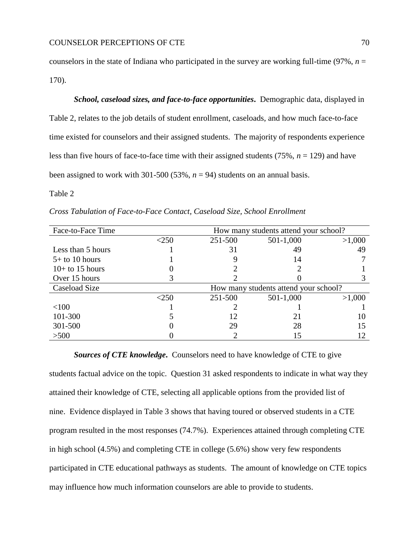counselors in the state of Indiana who participated in the survey are working full-time  $(97\%, n =$ 170).

*School, caseload sizes, and face-to-face opportunities***.** Demographic data, displayed in Table 2, relates to the job details of student enrollment, caseloads, and how much face-to-face time existed for counselors and their assigned students. The majority of respondents experience less than five hours of face-to-face time with their assigned students (75%, *n* = 129) and have been assigned to work with 301-500 (53%,  $n = 94$ ) students on an annual basis.

# Table 2

| Face-to-Face Time | How many students attend your school? |                                       |           |        |  |
|-------------------|---------------------------------------|---------------------------------------|-----------|--------|--|
|                   | $<$ 250                               | 251-500                               | 501-1,000 | >1,000 |  |
| Less than 5 hours |                                       | 31                                    | 49        | 49     |  |
| $5+$ to 10 hours  |                                       |                                       | 14        |        |  |
| $10+$ to 15 hours |                                       |                                       |           |        |  |
| Over 15 hours     |                                       |                                       |           |        |  |
| Caseload Size     |                                       | How many students attend your school? |           |        |  |
|                   | ${<}250$                              | 251-500                               | 501-1,000 | >1,000 |  |
| <100              |                                       |                                       |           |        |  |
| 101-300           |                                       | 12                                    |           |        |  |
| 301-500           |                                       | 29                                    | 28        | 15     |  |
| >500              |                                       |                                       | 15        |        |  |

*Cross Tabulation of Face-to-Face Contact, Caseload Size, School Enrollment*

# *Sources of CTE knowledge***.** Counselors need to have knowledge of CTE to give

students factual advice on the topic. Question 31 asked respondents to indicate in what way they attained their knowledge of CTE, selecting all applicable options from the provided list of nine. Evidence displayed in Table 3 shows that having toured or observed students in a CTE program resulted in the most responses (74.7%). Experiences attained through completing CTE in high school (4.5%) and completing CTE in college (5.6%) show very few respondents participated in CTE educational pathways as students. The amount of knowledge on CTE topics may influence how much information counselors are able to provide to students.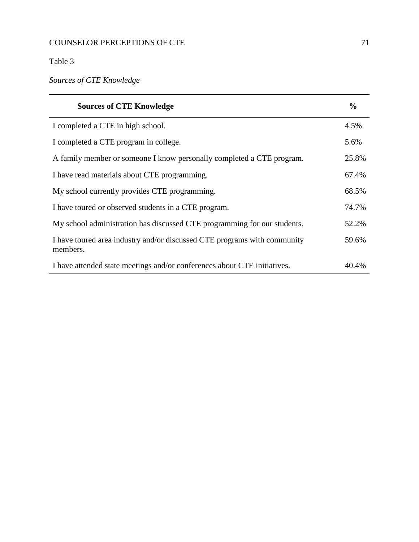# Table 3

*Sources of CTE Knowledge*

| <b>Sources of CTE Knowledge</b>                                                      | $\frac{0}{0}$ |
|--------------------------------------------------------------------------------------|---------------|
| I completed a CTE in high school.                                                    | 4.5%          |
| I completed a CTE program in college.                                                | 5.6%          |
| A family member or someone I know personally completed a CTE program.                | 25.8%         |
| I have read materials about CTE programming.                                         | 67.4%         |
| My school currently provides CTE programming.                                        | 68.5%         |
| I have toured or observed students in a CTE program.                                 | 74.7%         |
| My school administration has discussed CTE programming for our students.             | 52.2%         |
| I have toured area industry and/or discussed CTE programs with community<br>members. | 59.6%         |
| I have attended state meetings and/or conferences about CTE initiatives.             | 40.4%         |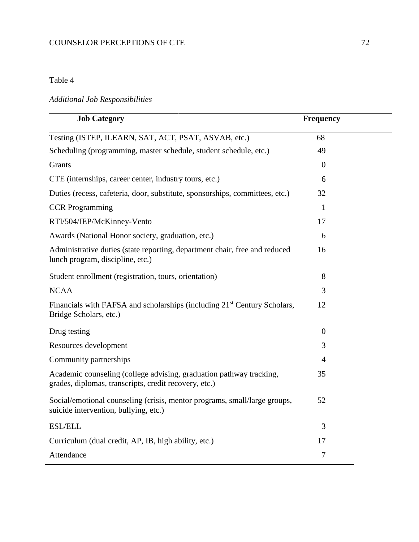# Table 4

# *Additional Job Responsibilities*

| <b>Job Category</b>                                                                                                          | <b>Frequency</b> |  |
|------------------------------------------------------------------------------------------------------------------------------|------------------|--|
| Testing (ISTEP, ILEARN, SAT, ACT, PSAT, ASVAB, etc.)                                                                         | 68               |  |
| Scheduling (programming, master schedule, student schedule, etc.)                                                            | 49               |  |
| Grants                                                                                                                       | $\theta$         |  |
| CTE (internships, career center, industry tours, etc.)                                                                       | 6                |  |
| Duties (recess, cafeteria, door, substitute, sponsorships, committees, etc.)                                                 | 32               |  |
| <b>CCR</b> Programming                                                                                                       | $\mathbf{1}$     |  |
| RTI/504/IEP/McKinney-Vento                                                                                                   | 17               |  |
| Awards (National Honor society, graduation, etc.)                                                                            | 6                |  |
| Administrative duties (state reporting, department chair, free and reduced<br>lunch program, discipline, etc.)               | 16               |  |
| Student enrollment (registration, tours, orientation)                                                                        | 8                |  |
| <b>NCAA</b>                                                                                                                  | 3                |  |
| Financials with FAFSA and scholarships (including 21 <sup>st</sup> Century Scholars,<br>Bridge Scholars, etc.)               | 12               |  |
| Drug testing                                                                                                                 | $\overline{0}$   |  |
| Resources development                                                                                                        | 3                |  |
| Community partnerships                                                                                                       | $\overline{4}$   |  |
| Academic counseling (college advising, graduation pathway tracking,<br>grades, diplomas, transcripts, credit recovery, etc.) | 35               |  |
| Social/emotional counseling (crisis, mentor programs, small/large groups,<br>suicide intervention, bullying, etc.)           | 52               |  |
| <b>ESL/ELL</b>                                                                                                               | 3                |  |
| Curriculum (dual credit, AP, IB, high ability, etc.)                                                                         | 17               |  |
| Attendance                                                                                                                   | 7                |  |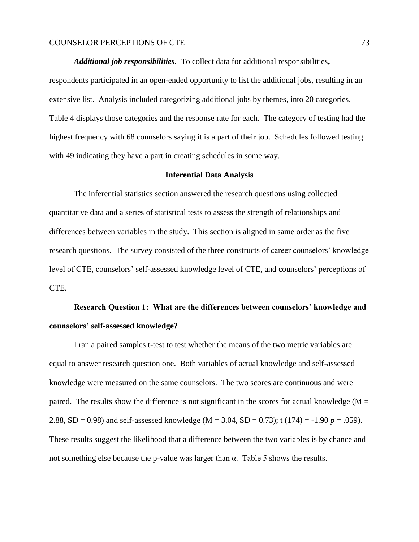*Additional job responsibilities.* To collect data for additional responsibilities**,** respondents participated in an open-ended opportunity to list the additional jobs, resulting in an extensive list. Analysis included categorizing additional jobs by themes, into 20 categories. Table 4 displays those categories and the response rate for each. The category of testing had the highest frequency with 68 counselors saying it is a part of their job. Schedules followed testing with 49 indicating they have a part in creating schedules in some way.

## **Inferential Data Analysis**

The inferential statistics section answered the research questions using collected quantitative data and a series of statistical tests to assess the strength of relationships and differences between variables in the study. This section is aligned in same order as the five research questions. The survey consisted of the three constructs of career counselors' knowledge level of CTE, counselors' self-assessed knowledge level of CTE, and counselors' perceptions of CTE.

# **Research Question 1: What are the differences between counselors' knowledge and counselors' self-assessed knowledge?**

I ran a paired samples t-test to test whether the means of the two metric variables are equal to answer research question one. Both variables of actual knowledge and self-assessed knowledge were measured on the same counselors. The two scores are continuous and were paired. The results show the difference is not significant in the scores for actual knowledge ( $M =$ 2.88, SD = 0.98) and self-assessed knowledge (M = 3.04, SD = 0.73); t (174) = -1.90 *p* = .059). These results suggest the likelihood that a difference between the two variables is by chance and not something else because the p-value was larger than α. Table 5 shows the results.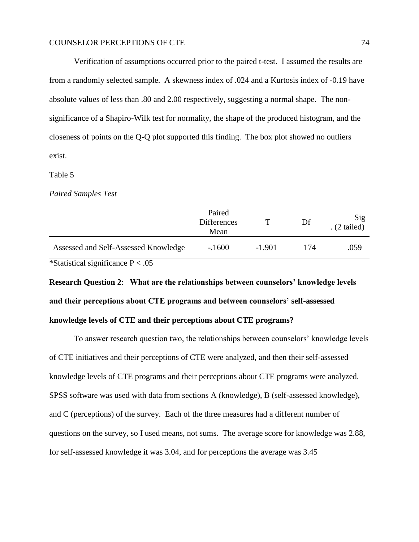Verification of assumptions occurred prior to the paired t-test. I assumed the results are from a randomly selected sample. A skewness index of .024 and a Kurtosis index of -0.19 have absolute values of less than .80 and 2.00 respectively, suggesting a normal shape. The nonsignificance of a Shapiro-Wilk test for normality, the shape of the produced histogram, and the closeness of points on the Q-Q plot supported this finding. The box plot showed no outliers exist.

#### Table 5

#### *Paired Samples Test*

|                                      | Paired<br><b>Differences</b><br>Mean |          | Df  | Sig<br>$(2 \text{ tailed})$ |
|--------------------------------------|--------------------------------------|----------|-----|-----------------------------|
| Assessed and Self-Assessed Knowledge | $-1600$                              | $-1.901$ | 174 | .059                        |

\*Statistical significance  $P < .05$ 

**Research Question 2**: **What are the relationships between counselors' knowledge levels and their perceptions about CTE programs and between counselors' self-assessed knowledge levels of CTE and their perceptions about CTE programs?**

To answer research question two, the relationships between counselors' knowledge levels of CTE initiatives and their perceptions of CTE were analyzed, and then their self-assessed knowledge levels of CTE programs and their perceptions about CTE programs were analyzed. SPSS software was used with data from sections A (knowledge), B (self-assessed knowledge), and C (perceptions) of the survey. Each of the three measures had a different number of questions on the survey, so I used means, not sums. The average score for knowledge was 2.88, for self-assessed knowledge it was 3.04, and for perceptions the average was 3.45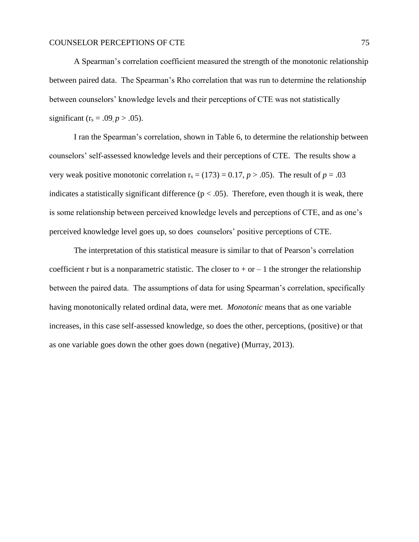A Spearman's correlation coefficient measured the strength of the monotonic relationship between paired data. The Spearman's Rho correlation that was run to determine the relationship between counselors' knowledge levels and their perceptions of CTE was not statistically significant ( $r_s = .09, p > .05$ ).

I ran the Spearman's correlation, shown in Table 6, to determine the relationship between counselors' self-assessed knowledge levels and their perceptions of CTE. The results show a very weak positive monotonic correlation  $r_s = (173) = 0.17$ ,  $p > .05$ ). The result of  $p = .03$ indicates a statistically significant difference ( $p < .05$ ). Therefore, even though it is weak, there is some relationship between perceived knowledge levels and perceptions of CTE, and as one's perceived knowledge level goes up, so does counselors' positive perceptions of CTE.

The interpretation of this statistical measure is similar to that of Pearson's correlation coefficient r but is a nonparametric statistic. The closer to  $+$  or  $-1$  the stronger the relationship between the paired data. The assumptions of data for using Spearman's correlation, specifically having monotonically related ordinal data, were met. *Monotonic* means that as one variable increases, in this case self-assessed knowledge, so does the other, perceptions, (positive) or that as one variable goes down the other goes down (negative) (Murray, 2013).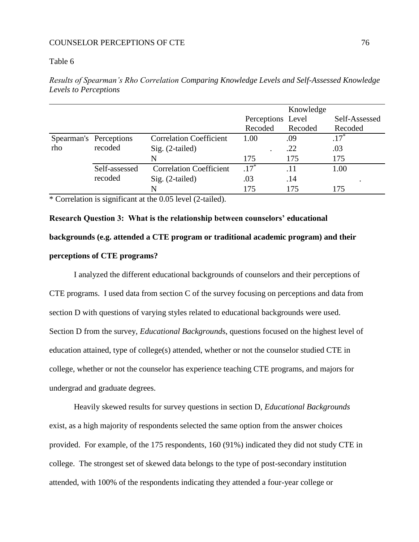## Table 6

|     |                        |                                |                   | Knowledge |               |
|-----|------------------------|--------------------------------|-------------------|-----------|---------------|
|     |                        |                                | Perceptions Level |           | Self-Assessed |
|     |                        |                                | Recoded           | Recoded   | Recoded       |
|     | Spearman's Perceptions | <b>Correlation Coefficient</b> | 1.00              | .09       | $.17*$        |
| rho | recoded                | Sig. (2-tailed)                |                   | .22       | .03           |
|     |                        | N                              | 175               | 175       | 175           |
|     | Self-assessed          | <b>Correlation Coefficient</b> | $.17*$            | .11       | 1.00          |
|     | recoded                | Sig. (2-tailed)                | .03               | .14       |               |
|     |                        |                                | 175               | 175       |               |

*Results of Spearman's Rho Correlation Comparing Knowledge Levels and Self-Assessed Knowledge Levels to Perceptions*

\* Correlation is significant at the 0.05 level (2-tailed).

**Research Question 3: What is the relationship between counselors' educational backgrounds (e.g. attended a CTE program or traditional academic program) and their perceptions of CTE programs?**

I analyzed the different educational backgrounds of counselors and their perceptions of CTE programs. I used data from section C of the survey focusing on perceptions and data from section D with questions of varying styles related to educational backgrounds were used. Section D from the survey, *Educational Background*s, questions focused on the highest level of education attained, type of college(s) attended, whether or not the counselor studied CTE in college, whether or not the counselor has experience teaching CTE programs, and majors for undergrad and graduate degrees.

Heavily skewed results for survey questions in section D, *Educational Backgrounds* exist, as a high majority of respondents selected the same option from the answer choices provided. For example, of the 175 respondents, 160 (91%) indicated they did not study CTE in college. The strongest set of skewed data belongs to the type of post-secondary institution attended, with 100% of the respondents indicating they attended a four-year college or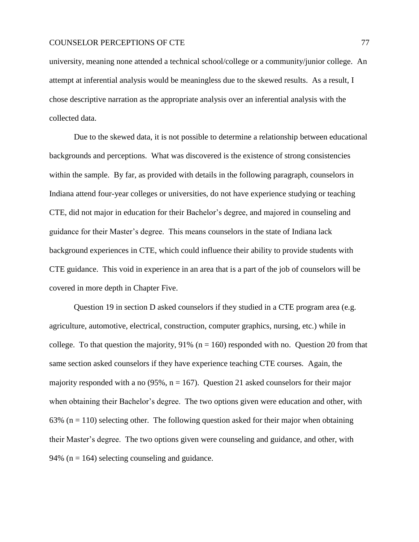university, meaning none attended a technical school/college or a community/junior college. An attempt at inferential analysis would be meaningless due to the skewed results. As a result, I chose descriptive narration as the appropriate analysis over an inferential analysis with the collected data.

Due to the skewed data, it is not possible to determine a relationship between educational backgrounds and perceptions. What was discovered is the existence of strong consistencies within the sample. By far, as provided with details in the following paragraph, counselors in Indiana attend four-year colleges or universities, do not have experience studying or teaching CTE, did not major in education for their Bachelor's degree, and majored in counseling and guidance for their Master's degree. This means counselors in the state of Indiana lack background experiences in CTE, which could influence their ability to provide students with CTE guidance. This void in experience in an area that is a part of the job of counselors will be covered in more depth in Chapter Five.

Question 19 in section D asked counselors if they studied in a CTE program area (e.g. agriculture, automotive, electrical, construction, computer graphics, nursing, etc.) while in college. To that question the majority,  $91\%$  (n = 160) responded with no. Question 20 from that same section asked counselors if they have experience teaching CTE courses. Again, the majority responded with a no (95%,  $n = 167$ ). Question 21 asked counselors for their major when obtaining their Bachelor's degree. The two options given were education and other, with 63% ( $n = 110$ ) selecting other. The following question asked for their major when obtaining their Master's degree. The two options given were counseling and guidance, and other, with 94% ( $n = 164$ ) selecting counseling and guidance.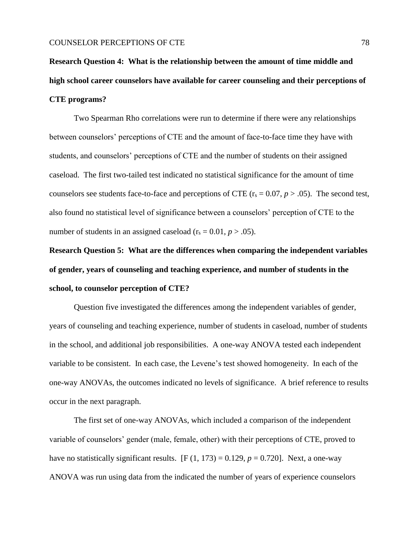**Research Question 4: What is the relationship between the amount of time middle and high school career counselors have available for career counseling and their perceptions of CTE programs?**

Two Spearman Rho correlations were run to determine if there were any relationships between counselors' perceptions of CTE and the amount of face-to-face time they have with students, and counselors' perceptions of CTE and the number of students on their assigned caseload. The first two-tailed test indicated no statistical significance for the amount of time counselors see students face-to-face and perceptions of CTE ( $r_s = 0.07$ ,  $p > .05$ ). The second test, also found no statistical level of significance between a counselors' perception of CTE to the number of students in an assigned caseload  $(r_s = 0.01, p > .05)$ .

**Research Question 5: What are the differences when comparing the independent variables of gender, years of counseling and teaching experience, and number of students in the school, to counselor perception of CTE?**

Question five investigated the differences among the independent variables of gender, years of counseling and teaching experience, number of students in caseload, number of students in the school, and additional job responsibilities. A one-way ANOVA tested each independent variable to be consistent. In each case, the Levene's test showed homogeneity. In each of the one-way ANOVAs, the outcomes indicated no levels of significance. A brief reference to results occur in the next paragraph.

The first set of one-way ANOVAs, which included a comparison of the independent variable of counselors' gender (male, female, other) with their perceptions of CTE, proved to have no statistically significant results.  $[F (1, 173) = 0.129, p = 0.720]$ . Next, a one-way ANOVA was run using data from the indicated the number of years of experience counselors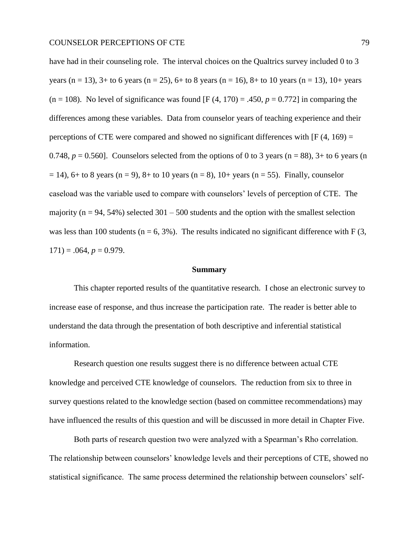have had in their counseling role. The interval choices on the Qualtrics survey included 0 to 3 years (n = 13), 3+ to 6 years (n = 25), 6+ to 8 years (n = 16), 8+ to 10 years (n = 13), 10+ years  $(n = 108)$ . No level of significance was found  $[F(4, 170) = .450, p = 0.772]$  in comparing the differences among these variables. Data from counselor years of teaching experience and their perceptions of CTE were compared and showed no significant differences with  $[F(4, 169) =$ 0.748,  $p = 0.560$ . Counselors selected from the options of 0 to 3 years (n = 88),  $3+$  to 6 years (n  $= 14$ ), 6+ to 8 years (n = 9), 8+ to 10 years (n = 8), 10+ years (n = 55). Finally, counselor caseload was the variable used to compare with counselors' levels of perception of CTE. The majority ( $n = 94, 54\%$ ) selected 301 – 500 students and the option with the smallest selection was less than 100 students ( $n = 6, 3\%$ ). The results indicated no significant difference with F (3,  $171$ ) = .064,  $p = 0.979$ .

#### **Summary**

This chapter reported results of the quantitative research. I chose an electronic survey to increase ease of response, and thus increase the participation rate. The reader is better able to understand the data through the presentation of both descriptive and inferential statistical information.

Research question one results suggest there is no difference between actual CTE knowledge and perceived CTE knowledge of counselors. The reduction from six to three in survey questions related to the knowledge section (based on committee recommendations) may have influenced the results of this question and will be discussed in more detail in Chapter Five.

Both parts of research question two were analyzed with a Spearman's Rho correlation. The relationship between counselors' knowledge levels and their perceptions of CTE, showed no statistical significance. The same process determined the relationship between counselors' self-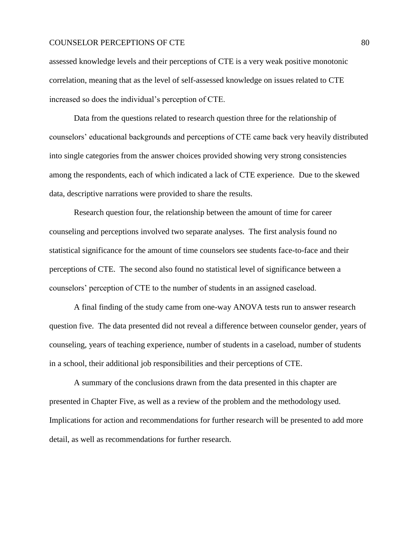assessed knowledge levels and their perceptions of CTE is a very weak positive monotonic correlation, meaning that as the level of self-assessed knowledge on issues related to CTE increased so does the individual's perception of CTE.

Data from the questions related to research question three for the relationship of counselors' educational backgrounds and perceptions of CTE came back very heavily distributed into single categories from the answer choices provided showing very strong consistencies among the respondents, each of which indicated a lack of CTE experience. Due to the skewed data, descriptive narrations were provided to share the results.

Research question four, the relationship between the amount of time for career counseling and perceptions involved two separate analyses. The first analysis found no statistical significance for the amount of time counselors see students face-to-face and their perceptions of CTE. The second also found no statistical level of significance between a counselors' perception of CTE to the number of students in an assigned caseload.

A final finding of the study came from one-way ANOVA tests run to answer research question five. The data presented did not reveal a difference between counselor gender, years of counseling, years of teaching experience, number of students in a caseload, number of students in a school, their additional job responsibilities and their perceptions of CTE.

A summary of the conclusions drawn from the data presented in this chapter are presented in Chapter Five, as well as a review of the problem and the methodology used. Implications for action and recommendations for further research will be presented to add more detail, as well as recommendations for further research.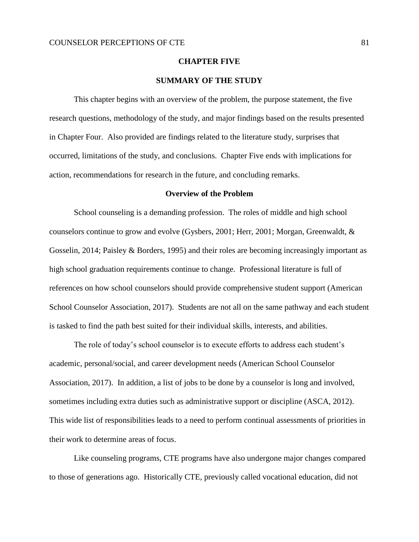#### **CHAPTER FIVE**

# **SUMMARY OF THE STUDY**

This chapter begins with an overview of the problem, the purpose statement, the five research questions, methodology of the study, and major findings based on the results presented in Chapter Four. Also provided are findings related to the literature study, surprises that occurred, limitations of the study, and conclusions. Chapter Five ends with implications for action, recommendations for research in the future, and concluding remarks.

### **Overview of the Problem**

School counseling is a demanding profession. The roles of middle and high school counselors continue to grow and evolve (Gysbers, 2001; Herr, 2001; Morgan, Greenwaldt, & Gosselin, 2014; Paisley & Borders, 1995) and their roles are becoming increasingly important as high school graduation requirements continue to change. Professional literature is full of references on how school counselors should provide comprehensive student support (American School Counselor Association, 2017). Students are not all on the same pathway and each student is tasked to find the path best suited for their individual skills, interests, and abilities.

The role of today's school counselor is to execute efforts to address each student's academic, personal/social, and career development needs (American School Counselor Association, 2017). In addition, a list of jobs to be done by a counselor is long and involved, sometimes including extra duties such as administrative support or discipline (ASCA, 2012). This wide list of responsibilities leads to a need to perform continual assessments of priorities in their work to determine areas of focus.

Like counseling programs, CTE programs have also undergone major changes compared to those of generations ago. Historically CTE, previously called vocational education, did not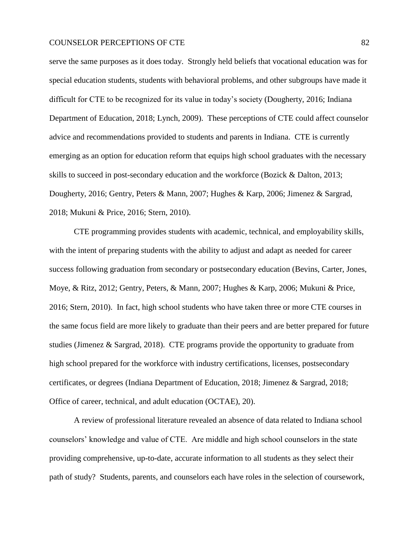serve the same purposes as it does today. Strongly held beliefs that vocational education was for special education students, students with behavioral problems, and other subgroups have made it difficult for CTE to be recognized for its value in today's society (Dougherty, 2016; Indiana Department of Education, 2018; Lynch, 2009). These perceptions of CTE could affect counselor advice and recommendations provided to students and parents in Indiana. CTE is currently emerging as an option for education reform that equips high school graduates with the necessary skills to succeed in post-secondary education and the workforce (Bozick & Dalton, 2013; Dougherty, 2016; Gentry, Peters & Mann, 2007; Hughes & Karp, 2006; Jimenez & Sargrad, 2018; Mukuni & Price, 2016; Stern, 2010).

CTE programming provides students with academic, technical, and employability skills, with the intent of preparing students with the ability to adjust and adapt as needed for career success following graduation from secondary or postsecondary education (Bevins, Carter, Jones, Moye, & Ritz, 2012; Gentry, Peters, & Mann, 2007; Hughes & Karp, 2006; Mukuni & Price, 2016; Stern, 2010). In fact, high school students who have taken three or more CTE courses in the same focus field are more likely to graduate than their peers and are better prepared for future studies (Jimenez & Sargrad, 2018). CTE programs provide the opportunity to graduate from high school prepared for the workforce with industry certifications, licenses, postsecondary certificates, or degrees (Indiana Department of Education, 2018; Jimenez & Sargrad, 2018; Office of career, technical, and adult education (OCTAE), 20).

A review of professional literature revealed an absence of data related to Indiana school counselors' knowledge and value of CTE. Are middle and high school counselors in the state providing comprehensive, up-to-date, accurate information to all students as they select their path of study? Students, parents, and counselors each have roles in the selection of coursework,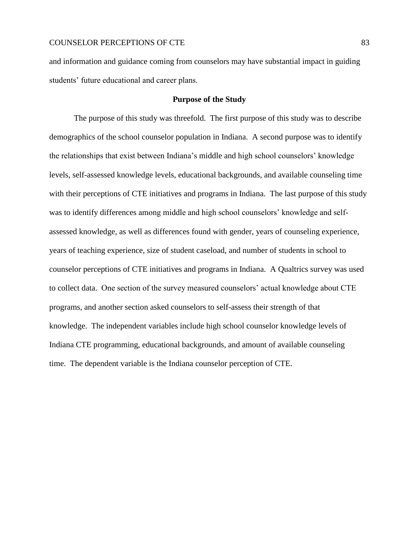and information and guidance coming from counselors may have substantial impact in guiding students' future educational and career plans.

## **Purpose of the Study**

The purpose of this study was threefold. The first purpose of this study was to describe demographics of the school counselor population in Indiana. A second purpose was to identify the relationships that exist between Indiana's middle and high school counselors' knowledge levels, self-assessed knowledge levels, educational backgrounds, and available counseling time with their perceptions of CTE initiatives and programs in Indiana. The last purpose of this study was to identify differences among middle and high school counselors' knowledge and selfassessed knowledge, as well as differences found with gender, years of counseling experience, years of teaching experience, size of student caseload, and number of students in school to counselor perceptions of CTE initiatives and programs in Indiana. A Qualtrics survey was used to collect data. One section of the survey measured counselors' actual knowledge about CTE programs, and another section asked counselors to self-assess their strength of that knowledge. The independent variables include high school counselor knowledge levels of Indiana CTE programming, educational backgrounds, and amount of available counseling time. The dependent variable is the Indiana counselor perception of CTE.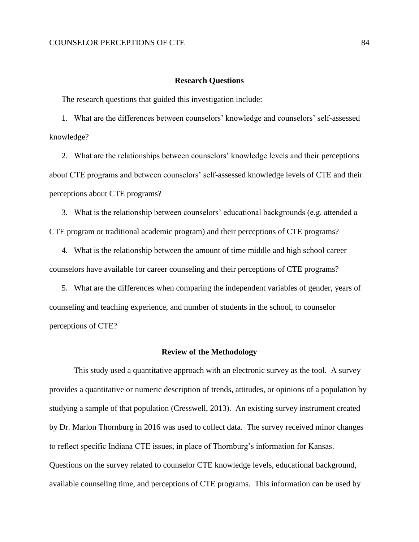#### **Research Questions**

The research questions that guided this investigation include:

1. What are the differences between counselors' knowledge and counselors' self-assessed knowledge?

2. What are the relationships between counselors' knowledge levels and their perceptions about CTE programs and between counselors' self-assessed knowledge levels of CTE and their perceptions about CTE programs?

3. What is the relationship between counselors' educational backgrounds (e.g. attended a CTE program or traditional academic program) and their perceptions of CTE programs?

4. What is the relationship between the amount of time middle and high school career counselors have available for career counseling and their perceptions of CTE programs?

5. What are the differences when comparing the independent variables of gender, years of counseling and teaching experience, and number of students in the school, to counselor perceptions of CTE?

## **Review of the Methodology**

This study used a quantitative approach with an electronic survey as the tool. A survey provides a quantitative or numeric description of trends, attitudes, or opinions of a population by studying a sample of that population (Cresswell, 2013). An existing survey instrument created by Dr. Marlon Thornburg in 2016 was used to collect data. The survey received minor changes to reflect specific Indiana CTE issues, in place of Thornburg's information for Kansas. Questions on the survey related to counselor CTE knowledge levels, educational background, available counseling time, and perceptions of CTE programs. This information can be used by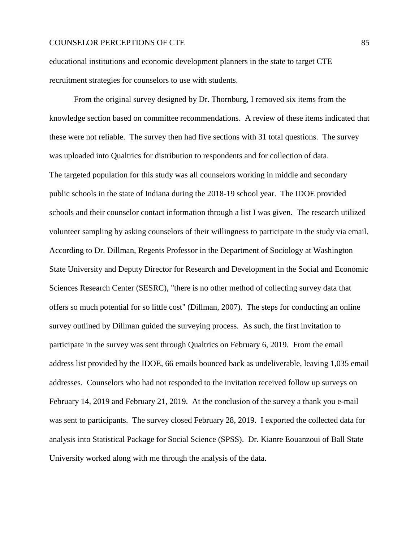educational institutions and economic development planners in the state to target CTE recruitment strategies for counselors to use with students.

From the original survey designed by Dr. Thornburg, I removed six items from the knowledge section based on committee recommendations. A review of these items indicated that these were not reliable. The survey then had five sections with 31 total questions. The survey was uploaded into Qualtrics for distribution to respondents and for collection of data. The targeted population for this study was all counselors working in middle and secondary public schools in the state of Indiana during the 2018-19 school year. The IDOE provided schools and their counselor contact information through a list I was given. The research utilized volunteer sampling by asking counselors of their willingness to participate in the study via email. According to Dr. Dillman, Regents Professor in the Department of Sociology at Washington State University and Deputy Director for Research and Development in the Social and Economic Sciences Research Center (SESRC), "there is no other method of collecting survey data that offers so much potential for so little cost" (Dillman, 2007). The steps for conducting an online survey outlined by Dillman guided the surveying process. As such, the first invitation to participate in the survey was sent through Qualtrics on February 6, 2019. From the email address list provided by the IDOE, 66 emails bounced back as undeliverable, leaving 1,035 email addresses. Counselors who had not responded to the invitation received follow up surveys on February 14, 2019 and February 21, 2019. At the conclusion of the survey a thank you e-mail was sent to participants. The survey closed February 28, 2019. I exported the collected data for analysis into Statistical Package for Social Science (SPSS). Dr. Kianre Eouanzoui of Ball State University worked along with me through the analysis of the data.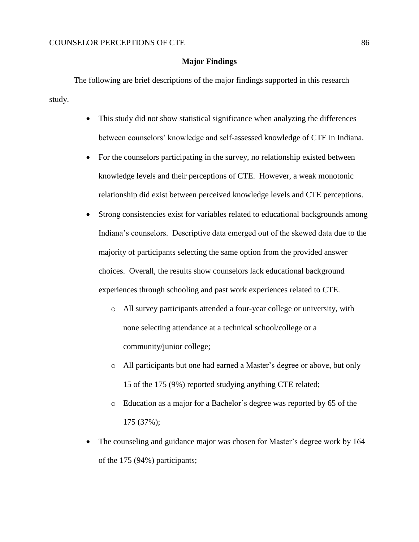## **Major Findings**

The following are brief descriptions of the major findings supported in this research study.

- This study did not show statistical significance when analyzing the differences between counselors' knowledge and self-assessed knowledge of CTE in Indiana.
- For the counselors participating in the survey, no relationship existed between knowledge levels and their perceptions of CTE. However, a weak monotonic relationship did exist between perceived knowledge levels and CTE perceptions.
- Strong consistencies exist for variables related to educational backgrounds among Indiana's counselors. Descriptive data emerged out of the skewed data due to the majority of participants selecting the same option from the provided answer choices. Overall, the results show counselors lack educational background experiences through schooling and past work experiences related to CTE.
	- o All survey participants attended a four-year college or university, with none selecting attendance at a technical school/college or a community/junior college;
	- o All participants but one had earned a Master's degree or above, but only 15 of the 175 (9%) reported studying anything CTE related;
	- o Education as a major for a Bachelor's degree was reported by 65 of the 175 (37%);
- The counseling and guidance major was chosen for Master's degree work by 164 of the 175 (94%) participants;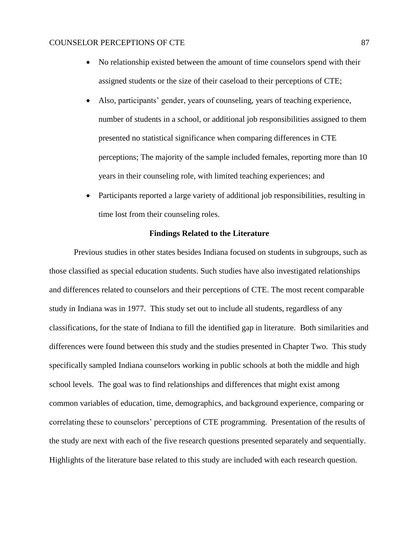- No relationship existed between the amount of time counselors spend with their assigned students or the size of their caseload to their perceptions of CTE;
- Also, participants' gender, years of counseling, years of teaching experience, number of students in a school, or additional job responsibilities assigned to them presented no statistical significance when comparing differences in CTE perceptions; The majority of the sample included females, reporting more than 10 years in their counseling role, with limited teaching experiences; and
- Participants reported a large variety of additional job responsibilities, resulting in time lost from their counseling roles.

# **Findings Related to the Literature**

Previous studies in other states besides Indiana focused on students in subgroups, such as those classified as special education students. Such studies have also investigated relationships and differences related to counselors and their perceptions of CTE. The most recent comparable study in Indiana was in 1977. This study set out to include all students, regardless of any classifications, for the state of Indiana to fill the identified gap in literature. Both similarities and differences were found between this study and the studies presented in Chapter Two. This study specifically sampled Indiana counselors working in public schools at both the middle and high school levels. The goal was to find relationships and differences that might exist among common variables of education, time, demographics, and background experience, comparing or correlating these to counselors' perceptions of CTE programming. Presentation of the results of the study are next with each of the five research questions presented separately and sequentially. Highlights of the literature base related to this study are included with each research question.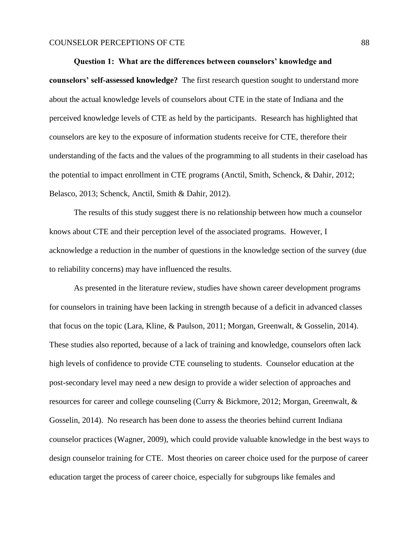#### **Question 1: What are the differences between counselors' knowledge and**

**counselors' self-assessed knowledge?** The first research question sought to understand more about the actual knowledge levels of counselors about CTE in the state of Indiana and the perceived knowledge levels of CTE as held by the participants. Research has highlighted that counselors are key to the exposure of information students receive for CTE, therefore their understanding of the facts and the values of the programming to all students in their caseload has the potential to impact enrollment in CTE programs (Anctil, Smith, Schenck, & Dahir, 2012; Belasco, 2013; Schenck, Anctil, Smith & Dahir, 2012).

The results of this study suggest there is no relationship between how much a counselor knows about CTE and their perception level of the associated programs. However, I acknowledge a reduction in the number of questions in the knowledge section of the survey (due to reliability concerns) may have influenced the results.

As presented in the literature review, studies have shown career development programs for counselors in training have been lacking in strength because of a deficit in advanced classes that focus on the topic (Lara, Kline, & Paulson, 2011; Morgan, Greenwalt, & Gosselin, 2014). These studies also reported, because of a lack of training and knowledge, counselors often lack high levels of confidence to provide CTE counseling to students. Counselor education at the post-secondary level may need a new design to provide a wider selection of approaches and resources for career and college counseling (Curry & Bickmore, 2012; Morgan, Greenwalt, & Gosselin, 2014). No research has been done to assess the theories behind current Indiana counselor practices (Wagner, 2009), which could provide valuable knowledge in the best ways to design counselor training for CTE. Most theories on career choice used for the purpose of career education target the process of career choice, especially for subgroups like females and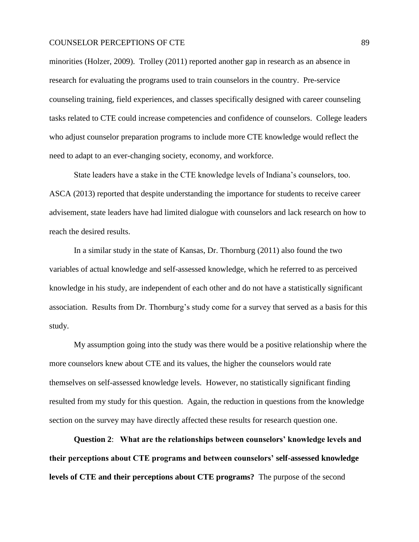minorities (Holzer, 2009). Trolley (2011) reported another gap in research as an absence in research for evaluating the programs used to train counselors in the country. Pre-service counseling training, field experiences, and classes specifically designed with career counseling tasks related to CTE could increase competencies and confidence of counselors. College leaders who adjust counselor preparation programs to include more CTE knowledge would reflect the need to adapt to an ever-changing society, economy, and workforce.

State leaders have a stake in the CTE knowledge levels of Indiana's counselors, too. ASCA (2013) reported that despite understanding the importance for students to receive career advisement, state leaders have had limited dialogue with counselors and lack research on how to reach the desired results.

In a similar study in the state of Kansas, Dr. Thornburg (2011) also found the two variables of actual knowledge and self-assessed knowledge, which he referred to as perceived knowledge in his study, are independent of each other and do not have a statistically significant association. Results from Dr. Thornburg's study come for a survey that served as a basis for this study.

My assumption going into the study was there would be a positive relationship where the more counselors knew about CTE and its values, the higher the counselors would rate themselves on self-assessed knowledge levels. However, no statistically significant finding resulted from my study for this question. Again, the reduction in questions from the knowledge section on the survey may have directly affected these results for research question one.

**Question 2**: **What are the relationships between counselors' knowledge levels and their perceptions about CTE programs and between counselors' self-assessed knowledge levels of CTE and their perceptions about CTE programs?** The purpose of the second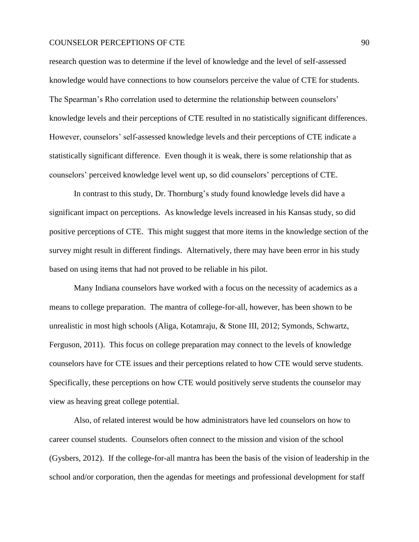research question was to determine if the level of knowledge and the level of self-assessed knowledge would have connections to how counselors perceive the value of CTE for students. The Spearman's Rho correlation used to determine the relationship between counselors' knowledge levels and their perceptions of CTE resulted in no statistically significant differences. However, counselors' self-assessed knowledge levels and their perceptions of CTE indicate a statistically significant difference. Even though it is weak, there is some relationship that as counselors' perceived knowledge level went up, so did counselors' perceptions of CTE.

In contrast to this study, Dr. Thornburg's study found knowledge levels did have a significant impact on perceptions. As knowledge levels increased in his Kansas study, so did positive perceptions of CTE. This might suggest that more items in the knowledge section of the survey might result in different findings. Alternatively, there may have been error in his study based on using items that had not proved to be reliable in his pilot.

Many Indiana counselors have worked with a focus on the necessity of academics as a means to college preparation. The mantra of college-for-all, however, has been shown to be unrealistic in most high schools (Aliga, Kotamraju, & Stone III, 2012; Symonds, Schwartz, Ferguson, 2011). This focus on college preparation may connect to the levels of knowledge counselors have for CTE issues and their perceptions related to how CTE would serve students. Specifically, these perceptions on how CTE would positively serve students the counselor may view as heaving great college potential.

Also, of related interest would be how administrators have led counselors on how to career counsel students. Counselors often connect to the mission and vision of the school (Gysbers, 2012). If the college-for-all mantra has been the basis of the vision of leadership in the school and/or corporation, then the agendas for meetings and professional development for staff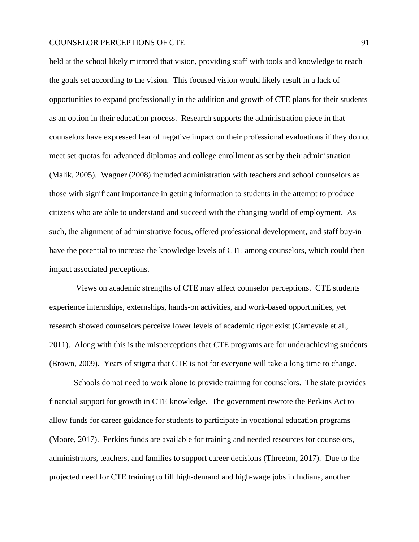held at the school likely mirrored that vision, providing staff with tools and knowledge to reach the goals set according to the vision. This focused vision would likely result in a lack of opportunities to expand professionally in the addition and growth of CTE plans for their students as an option in their education process. Research supports the administration piece in that counselors have expressed fear of negative impact on their professional evaluations if they do not meet set quotas for advanced diplomas and college enrollment as set by their administration (Malik, 2005). Wagner (2008) included administration with teachers and school counselors as those with significant importance in getting information to students in the attempt to produce citizens who are able to understand and succeed with the changing world of employment. As such, the alignment of administrative focus, offered professional development, and staff buy-in have the potential to increase the knowledge levels of CTE among counselors, which could then impact associated perceptions.

Views on academic strengths of CTE may affect counselor perceptions. CTE students experience internships, externships, hands-on activities, and work-based opportunities, yet research showed counselors perceive lower levels of academic rigor exist (Carnevale et al., 2011). Along with this is the misperceptions that CTE programs are for underachieving students (Brown, 2009). Years of stigma that CTE is not for everyone will take a long time to change.

Schools do not need to work alone to provide training for counselors. The state provides financial support for growth in CTE knowledge. The government rewrote the Perkins Act to allow funds for career guidance for students to participate in vocational education programs (Moore, 2017). Perkins funds are available for training and needed resources for counselors, administrators, teachers, and families to support career decisions (Threeton, 2017). Due to the projected need for CTE training to fill high-demand and high-wage jobs in Indiana, another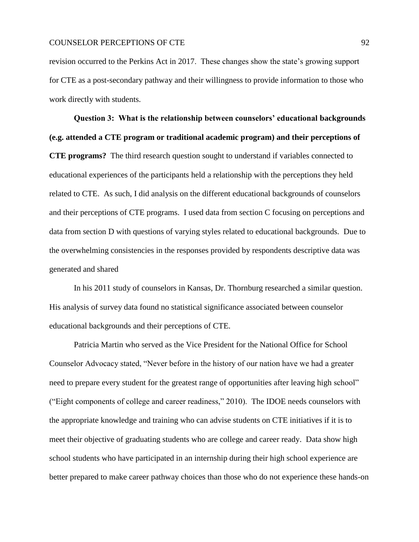revision occurred to the Perkins Act in 2017. These changes show the state's growing support for CTE as a post-secondary pathway and their willingness to provide information to those who work directly with students.

**Question 3: What is the relationship between counselors' educational backgrounds (e.g. attended a CTE program or traditional academic program) and their perceptions of CTE programs?** The third research question sought to understand if variables connected to educational experiences of the participants held a relationship with the perceptions they held related to CTE. As such, I did analysis on the different educational backgrounds of counselors and their perceptions of CTE programs. I used data from section C focusing on perceptions and data from section D with questions of varying styles related to educational backgrounds. Due to the overwhelming consistencies in the responses provided by respondents descriptive data was generated and shared

In his 2011 study of counselors in Kansas, Dr. Thornburg researched a similar question. His analysis of survey data found no statistical significance associated between counselor educational backgrounds and their perceptions of CTE.

Patricia Martin who served as the Vice President for the National Office for School Counselor Advocacy stated, "Never before in the history of our nation have we had a greater need to prepare every student for the greatest range of opportunities after leaving high school" ("Eight components of college and career readiness," 2010). The IDOE needs counselors with the appropriate knowledge and training who can advise students on CTE initiatives if it is to meet their objective of graduating students who are college and career ready. Data show high school students who have participated in an internship during their high school experience are better prepared to make career pathway choices than those who do not experience these hands-on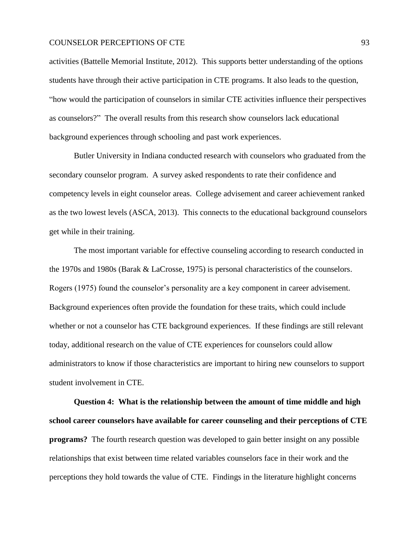activities (Battelle Memorial Institute, 2012). This supports better understanding of the options students have through their active participation in CTE programs. It also leads to the question, "how would the participation of counselors in similar CTE activities influence their perspectives as counselors?" The overall results from this research show counselors lack educational background experiences through schooling and past work experiences.

Butler University in Indiana conducted research with counselors who graduated from the secondary counselor program. A survey asked respondents to rate their confidence and competency levels in eight counselor areas. College advisement and career achievement ranked as the two lowest levels (ASCA, 2013). This connects to the educational background counselors get while in their training.

The most important variable for effective counseling according to research conducted in the 1970s and 1980s (Barak & LaCrosse, 1975) is personal characteristics of the counselors. Rogers (1975) found the counselor's personality are a key component in career advisement. Background experiences often provide the foundation for these traits, which could include whether or not a counselor has CTE background experiences. If these findings are still relevant today, additional research on the value of CTE experiences for counselors could allow administrators to know if those characteristics are important to hiring new counselors to support student involvement in CTE.

**Question 4: What is the relationship between the amount of time middle and high school career counselors have available for career counseling and their perceptions of CTE programs?** The fourth research question was developed to gain better insight on any possible relationships that exist between time related variables counselors face in their work and the perceptions they hold towards the value of CTE. Findings in the literature highlight concerns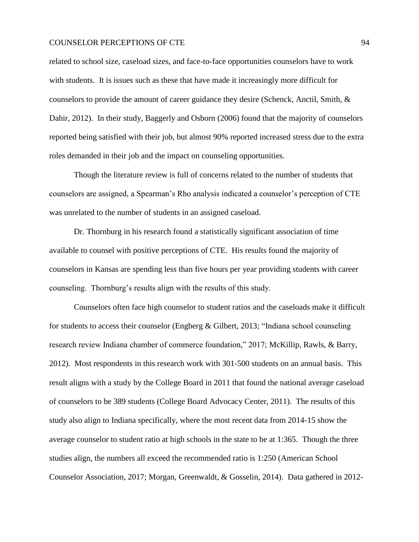related to school size, caseload sizes, and face-to-face opportunities counselors have to work with students. It is issues such as these that have made it increasingly more difficult for counselors to provide the amount of career guidance they desire (Schenck, Anctil, Smith, & Dahir, 2012). In their study, Baggerly and Osborn (2006) found that the majority of counselors reported being satisfied with their job, but almost 90% reported increased stress due to the extra roles demanded in their job and the impact on counseling opportunities.

Though the literature review is full of concerns related to the number of students that counselors are assigned, a Spearman's Rho analysis indicated a counselor's perception of CTE was unrelated to the number of students in an assigned caseload.

Dr. Thornburg in his research found a statistically significant association of time available to counsel with positive perceptions of CTE. His results found the majority of counselors in Kansas are spending less than five hours per year providing students with career counseling. Thornburg's results align with the results of this study.

Counselors often face high counselor to student ratios and the caseloads make it difficult for students to access their counselor (Engberg & Gilbert, 2013; "Indiana school counseling research review Indiana chamber of commerce foundation," 2017; McKillip, Rawls, & Barry, 2012). Most respondents in this research work with 301-500 students on an annual basis. This result aligns with a study by the College Board in 2011 that found the national average caseload of counselors to be 389 students (College Board Advocacy Center, 2011). The results of this study also align to Indiana specifically, where the most recent data from 2014-15 show the average counselor to student ratio at high schools in the state to be at 1:365. Though the three studies align, the numbers all exceed the recommended ratio is 1:250 (American School Counselor Association, 2017; Morgan, Greenwaldt, & Gosselin, 2014). Data gathered in 2012-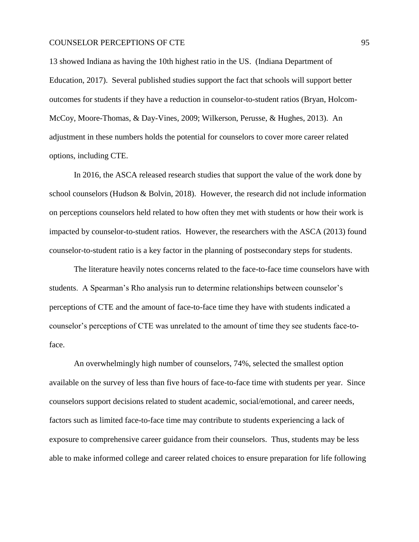13 showed Indiana as having the 10th highest ratio in the US. (Indiana Department of Education, 2017). Several published studies support the fact that schools will support better outcomes for students if they have a reduction in counselor-to-student ratios (Bryan, Holcom-McCoy, Moore-Thomas, & Day-Vines, 2009; Wilkerson, Perusse, & Hughes, 2013). An adjustment in these numbers holds the potential for counselors to cover more career related options, including CTE.

In 2016, the ASCA released research studies that support the value of the work done by school counselors (Hudson & Bolvin, 2018). However, the research did not include information on perceptions counselors held related to how often they met with students or how their work is impacted by counselor-to-student ratios. However, the researchers with the ASCA (2013) found counselor-to-student ratio is a key factor in the planning of postsecondary steps for students.

The literature heavily notes concerns related to the face-to-face time counselors have with students. A Spearman's Rho analysis run to determine relationships between counselor's perceptions of CTE and the amount of face-to-face time they have with students indicated a counselor's perceptions of CTE was unrelated to the amount of time they see students face-toface.

An overwhelmingly high number of counselors, 74%, selected the smallest option available on the survey of less than five hours of face-to-face time with students per year. Since counselors support decisions related to student academic, social/emotional, and career needs, factors such as limited face-to-face time may contribute to students experiencing a lack of exposure to comprehensive career guidance from their counselors. Thus, students may be less able to make informed college and career related choices to ensure preparation for life following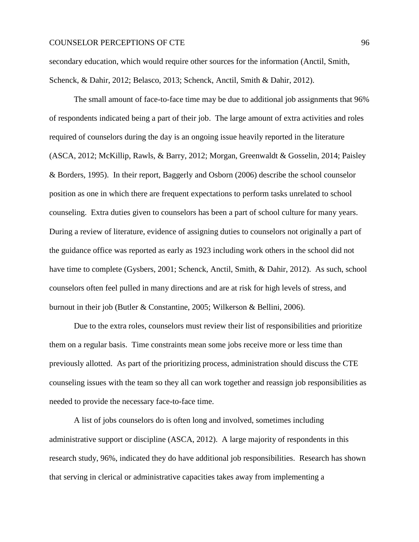secondary education, which would require other sources for the information (Anctil, Smith, Schenck, & Dahir, 2012; Belasco, 2013; Schenck, Anctil, Smith & Dahir, 2012).

The small amount of face-to-face time may be due to additional job assignments that 96% of respondents indicated being a part of their job. The large amount of extra activities and roles required of counselors during the day is an ongoing issue heavily reported in the literature (ASCA, 2012; McKillip, Rawls, & Barry, 2012; Morgan, Greenwaldt & Gosselin, 2014; Paisley & Borders, 1995). In their report, Baggerly and Osborn (2006) describe the school counselor position as one in which there are frequent expectations to perform tasks unrelated to school counseling. Extra duties given to counselors has been a part of school culture for many years. During a review of literature, evidence of assigning duties to counselors not originally a part of the guidance office was reported as early as 1923 including work others in the school did not have time to complete (Gysbers, 2001; Schenck, Anctil, Smith, & Dahir, 2012). As such, school counselors often feel pulled in many directions and are at risk for high levels of stress, and burnout in their job (Butler & Constantine, 2005; Wilkerson & Bellini, 2006).

Due to the extra roles, counselors must review their list of responsibilities and prioritize them on a regular basis. Time constraints mean some jobs receive more or less time than previously allotted. As part of the prioritizing process, administration should discuss the CTE counseling issues with the team so they all can work together and reassign job responsibilities as needed to provide the necessary face-to-face time.

A list of jobs counselors do is often long and involved, sometimes including administrative support or discipline (ASCA, 2012). A large majority of respondents in this research study, 96%, indicated they do have additional job responsibilities. Research has shown that serving in clerical or administrative capacities takes away from implementing a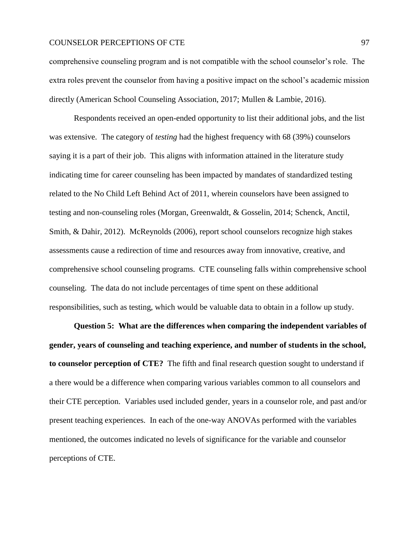comprehensive counseling program and is not compatible with the school counselor's role. The extra roles prevent the counselor from having a positive impact on the school's academic mission directly (American School Counseling Association, 2017; Mullen & Lambie, 2016).

Respondents received an open-ended opportunity to list their additional jobs, and the list was extensive. The category of *testing* had the highest frequency with 68 (39%) counselors saying it is a part of their job. This aligns with information attained in the literature study indicating time for career counseling has been impacted by mandates of standardized testing related to the No Child Left Behind Act of 2011, wherein counselors have been assigned to testing and non-counseling roles (Morgan, Greenwaldt, & Gosselin, 2014; Schenck, Anctil, Smith, & Dahir, 2012). McReynolds (2006), report school counselors recognize high stakes assessments cause a redirection of time and resources away from innovative, creative, and comprehensive school counseling programs. CTE counseling falls within comprehensive school counseling. The data do not include percentages of time spent on these additional responsibilities, such as testing, which would be valuable data to obtain in a follow up study.

**Question 5: What are the differences when comparing the independent variables of gender, years of counseling and teaching experience, and number of students in the school, to counselor perception of CTE?** The fifth and final research question sought to understand if a there would be a difference when comparing various variables common to all counselors and their CTE perception. Variables used included gender, years in a counselor role, and past and/or present teaching experiences. In each of the one-way ANOVAs performed with the variables mentioned, the outcomes indicated no levels of significance for the variable and counselor perceptions of CTE.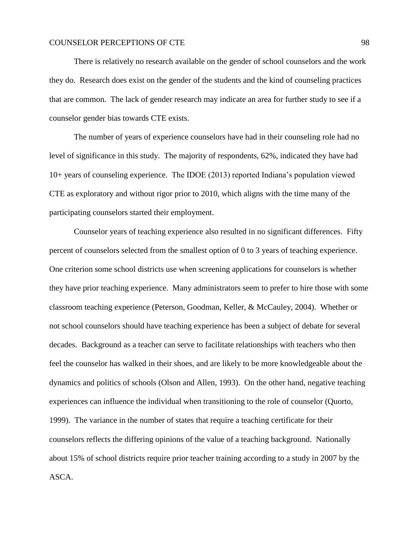There is relatively no research available on the gender of school counselors and the work they do. Research does exist on the gender of the students and the kind of counseling practices that are common. The lack of gender research may indicate an area for further study to see if a counselor gender bias towards CTE exists.

The number of years of experience counselors have had in their counseling role had no level of significance in this study. The majority of respondents, 62%, indicated they have had 10+ years of counseling experience. The IDOE (2013) reported Indiana's population viewed CTE as exploratory and without rigor prior to 2010, which aligns with the time many of the participating counselors started their employment.

Counselor years of teaching experience also resulted in no significant differences. Fifty percent of counselors selected from the smallest option of 0 to 3 years of teaching experience. One criterion some school districts use when screening applications for counselors is whether they have prior teaching experience. Many administrators seem to prefer to hire those with some classroom teaching experience (Peterson, Goodman, Keller, & McCauley, 2004). Whether or not school counselors should have teaching experience has been a subject of debate for several decades. Background as a teacher can serve to facilitate relationships with teachers who then feel the counselor has walked in their shoes, and are likely to be more knowledgeable about the dynamics and politics of schools (Olson and Allen, 1993). On the other hand, negative teaching experiences can influence the individual when transitioning to the role of counselor (Quorto, 1999). The variance in the number of states that require a teaching certificate for their counselors reflects the differing opinions of the value of a teaching background. Nationally about 15% of school districts require prior teacher training according to a study in 2007 by the ASCA.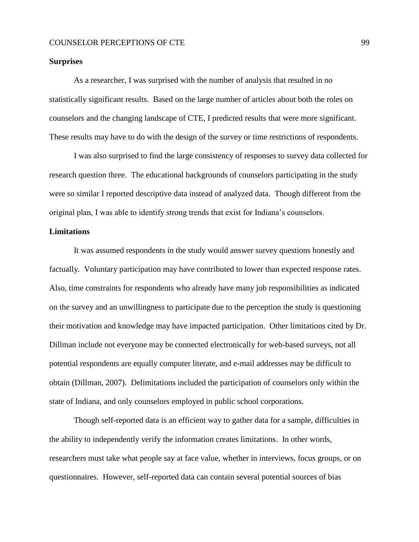## **Surprises**

As a researcher, I was surprised with the number of analysis that resulted in no statistically significant results. Based on the large number of articles about both the roles on counselors and the changing landscape of CTE, I predicted results that were more significant. These results may have to do with the design of the survey or time restrictions of respondents.

I was also surprised to find the large consistency of responses to survey data collected for research question three. The educational backgrounds of counselors participating in the study were so similar I reported descriptive data instead of analyzed data. Though different from the original plan, I was able to identify strong trends that exist for Indiana's counselors.

## **Limitations**

It was assumed respondents in the study would answer survey questions honestly and factually. Voluntary participation may have contributed to lower than expected response rates. Also, time constraints for respondents who already have many job responsibilities as indicated on the survey and an unwillingness to participate due to the perception the study is questioning their motivation and knowledge may have impacted participation. Other limitations cited by Dr. Dillman include not everyone may be connected electronically for web-based surveys, not all potential respondents are equally computer literate, and e-mail addresses may be difficult to obtain (Dillman, 2007). Delimitations included the participation of counselors only within the state of Indiana, and only counselors employed in public school corporations.

Though self-reported data is an efficient way to gather data for a sample, difficulties in the ability to independently verify the information creates limitations. In other words, researchers must take what people say at face value, whether in interviews, focus groups, or on questionnaires. However, self-reported data can contain several potential sources of bias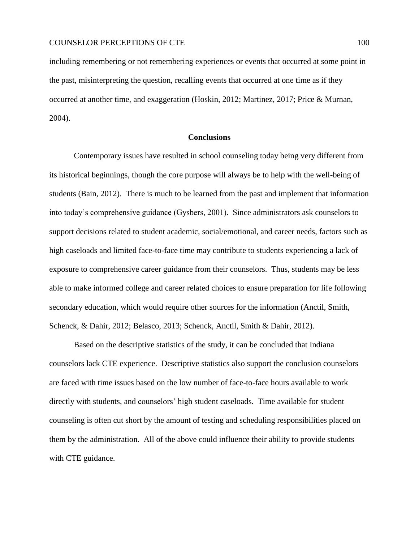including remembering or not remembering experiences or events that occurred at some point in the past, misinterpreting the question, recalling events that occurred at one time as if they occurred at another time, and exaggeration (Hoskin, 2012; Martinez, 2017; Price & Murnan, 2004).

#### **Conclusions**

Contemporary issues have resulted in school counseling today being very different from its historical beginnings, though the core purpose will always be to help with the well-being of students (Bain, 2012). There is much to be learned from the past and implement that information into today's comprehensive guidance (Gysbers, 2001). Since administrators ask counselors to support decisions related to student academic, social/emotional, and career needs, factors such as high caseloads and limited face-to-face time may contribute to students experiencing a lack of exposure to comprehensive career guidance from their counselors. Thus, students may be less able to make informed college and career related choices to ensure preparation for life following secondary education, which would require other sources for the information (Anctil, Smith, Schenck, & Dahir, 2012; Belasco, 2013; Schenck, Anctil, Smith & Dahir, 2012).

Based on the descriptive statistics of the study, it can be concluded that Indiana counselors lack CTE experience. Descriptive statistics also support the conclusion counselors are faced with time issues based on the low number of face-to-face hours available to work directly with students, and counselors' high student caseloads. Time available for student counseling is often cut short by the amount of testing and scheduling responsibilities placed on them by the administration. All of the above could influence their ability to provide students with CTE guidance.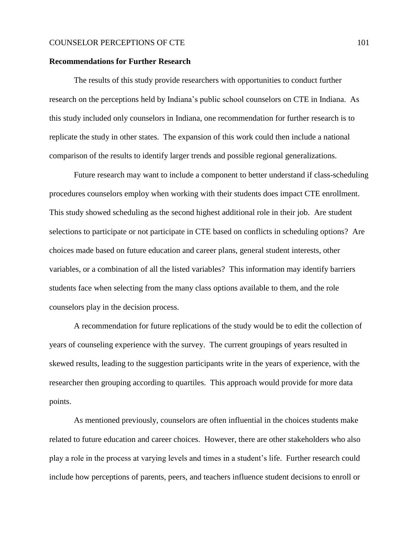#### **Recommendations for Further Research**

The results of this study provide researchers with opportunities to conduct further research on the perceptions held by Indiana's public school counselors on CTE in Indiana. As this study included only counselors in Indiana, one recommendation for further research is to replicate the study in other states. The expansion of this work could then include a national comparison of the results to identify larger trends and possible regional generalizations.

Future research may want to include a component to better understand if class-scheduling procedures counselors employ when working with their students does impact CTE enrollment. This study showed scheduling as the second highest additional role in their job. Are student selections to participate or not participate in CTE based on conflicts in scheduling options? Are choices made based on future education and career plans, general student interests, other variables, or a combination of all the listed variables? This information may identify barriers students face when selecting from the many class options available to them, and the role counselors play in the decision process.

A recommendation for future replications of the study would be to edit the collection of years of counseling experience with the survey. The current groupings of years resulted in skewed results, leading to the suggestion participants write in the years of experience, with the researcher then grouping according to quartiles. This approach would provide for more data points.

As mentioned previously, counselors are often influential in the choices students make related to future education and career choices. However, there are other stakeholders who also play a role in the process at varying levels and times in a student's life. Further research could include how perceptions of parents, peers, and teachers influence student decisions to enroll or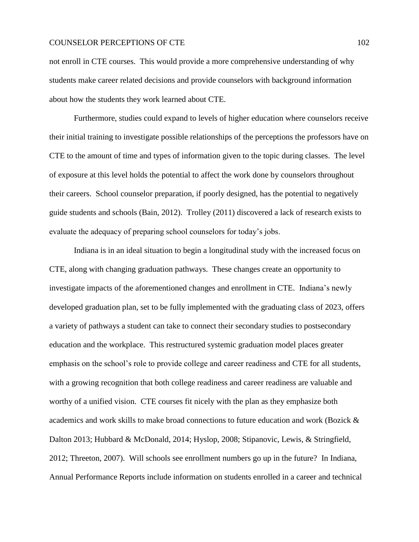not enroll in CTE courses. This would provide a more comprehensive understanding of why students make career related decisions and provide counselors with background information about how the students they work learned about CTE.

Furthermore, studies could expand to levels of higher education where counselors receive their initial training to investigate possible relationships of the perceptions the professors have on CTE to the amount of time and types of information given to the topic during classes. The level of exposure at this level holds the potential to affect the work done by counselors throughout their careers. School counselor preparation, if poorly designed, has the potential to negatively guide students and schools (Bain, 2012). Trolley (2011) discovered a lack of research exists to evaluate the adequacy of preparing school counselors for today's jobs.

Indiana is in an ideal situation to begin a longitudinal study with the increased focus on CTE, along with changing graduation pathways. These changes create an opportunity to investigate impacts of the aforementioned changes and enrollment in CTE. Indiana's newly developed graduation plan, set to be fully implemented with the graduating class of 2023, offers a variety of pathways a student can take to connect their secondary studies to postsecondary education and the workplace. This restructured systemic graduation model places greater emphasis on the school's role to provide college and career readiness and CTE for all students, with a growing recognition that both college readiness and career readiness are valuable and worthy of a unified vision. CTE courses fit nicely with the plan as they emphasize both academics and work skills to make broad connections to future education and work (Bozick & Dalton 2013; Hubbard & McDonald, 2014; Hyslop, 2008; Stipanovic, Lewis, & Stringfield, 2012; Threeton, 2007). Will schools see enrollment numbers go up in the future? In Indiana, Annual Performance Reports include information on students enrolled in a career and technical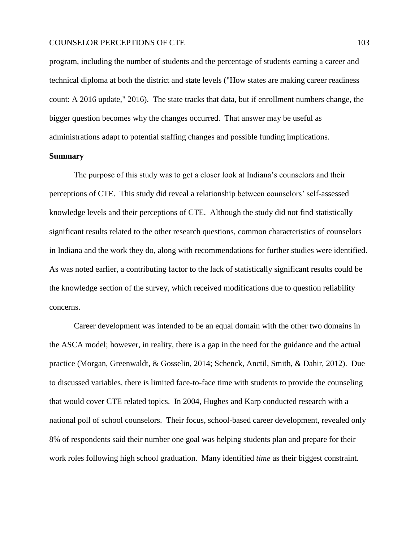program, including the number of students and the percentage of students earning a career and technical diploma at both the district and state levels ("How states are making career readiness count: A 2016 update," 2016). The state tracks that data, but if enrollment numbers change, the bigger question becomes why the changes occurred. That answer may be useful as administrations adapt to potential staffing changes and possible funding implications.

# **Summary**

The purpose of this study was to get a closer look at Indiana's counselors and their perceptions of CTE. This study did reveal a relationship between counselors' self-assessed knowledge levels and their perceptions of CTE. Although the study did not find statistically significant results related to the other research questions, common characteristics of counselors in Indiana and the work they do, along with recommendations for further studies were identified. As was noted earlier, a contributing factor to the lack of statistically significant results could be the knowledge section of the survey, which received modifications due to question reliability concerns.

Career development was intended to be an equal domain with the other two domains in the ASCA model; however, in reality, there is a gap in the need for the guidance and the actual practice (Morgan, Greenwaldt, & Gosselin, 2014; Schenck, Anctil, Smith, & Dahir, 2012). Due to discussed variables, there is limited face-to-face time with students to provide the counseling that would cover CTE related topics. In 2004, Hughes and Karp conducted research with a national poll of school counselors. Their focus, school-based career development, revealed only 8% of respondents said their number one goal was helping students plan and prepare for their work roles following high school graduation. Many identified *time* as their biggest constraint.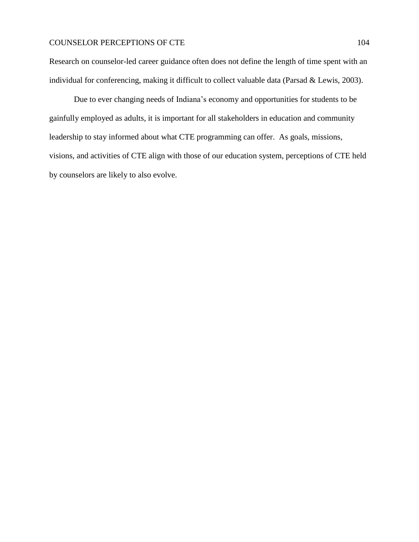Research on counselor-led career guidance often does not define the length of time spent with an individual for conferencing, making it difficult to collect valuable data (Parsad & Lewis, 2003).

Due to ever changing needs of Indiana's economy and opportunities for students to be gainfully employed as adults, it is important for all stakeholders in education and community leadership to stay informed about what CTE programming can offer. As goals, missions, visions, and activities of CTE align with those of our education system, perceptions of CTE held by counselors are likely to also evolve.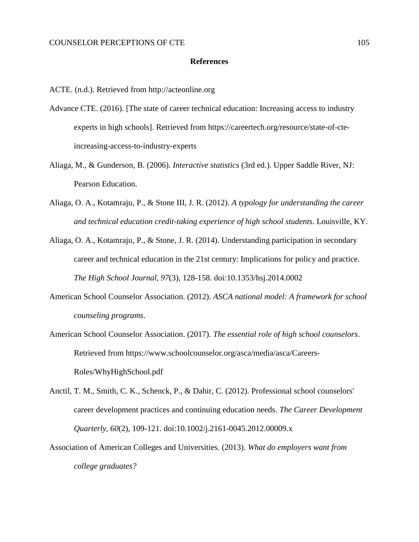#### **References**

ACTE. (n.d.). Retrieved from http://acteonline.org

- Advance CTE. (2016). [The state of career technical education: Increasing access to industry experts in high schools]. Retrieved from https://careertech.org/resource/state-of-cteincreasing-access-to-industry-experts
- Aliaga, M., & Gunderson, B. (2006). *Interactive statistics* (3rd ed.). Upper Saddle River, NJ: Pearson Education.
- Aliaga, O. A., Kotamraju, P., & Stone III, J. R. (2012). *A typology for understanding the career and technical education credit-taking experience of high school students*. Louisville, KY.
- Aliaga, O. A., Kotamraju, P., & Stone, J. R. (2014). Understanding participation in secondary career and technical education in the 21st century: Implications for policy and practice. *The High School Journal*, *97*(3), 128-158. doi:10.1353/hsj.2014.0002
- American School Counselor Association. (2012). *ASCA national model: A framework for school counseling programs*.
- American School Counselor Association. (2017). *The essential role of high school counselors*. Retrieved from https://www.schoolcounselor.org/asca/media/asca/Careers-Roles/WhyHighSchool.pdf
- Anctil, T. M., Smith, C. K., Schenck, P., & Dahir, C. (2012). Professional school counselors' career development practices and continuing education needs. *The Career Development Quarterly*, *60*(2), 109-121. doi:10.1002/j.2161-0045.2012.00009.x
- Association of American Colleges and Universities. (2013). *What do employers want from college graduates?*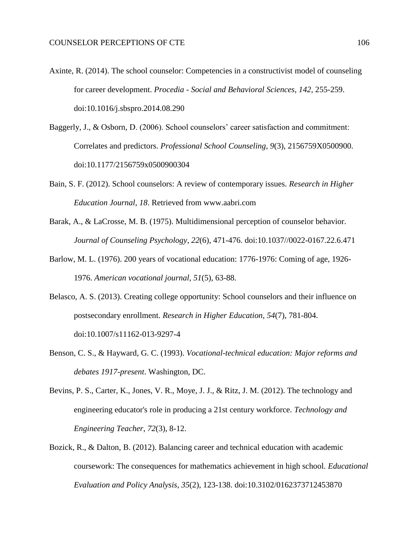- Axinte, R. (2014). The school counselor: Competencies in a constructivist model of counseling for career development. *Procedia - Social and Behavioral Sciences*, *142*, 255-259. doi:10.1016/j.sbspro.2014.08.290
- Baggerly, J., & Osborn, D. (2006). School counselors' career satisfaction and commitment: Correlates and predictors. *Professional School Counseling*, *9*(3), 2156759X0500900. doi:10.1177/2156759x0500900304
- Bain, S. F. (2012). School counselors: A review of contemporary issues. *Research in Higher Education Journal*, *18*. Retrieved from www.aabri.com
- Barak, A., & LaCrosse, M. B. (1975). Multidimensional perception of counselor behavior. *Journal of Counseling Psychology*, *22*(6), 471-476. doi:10.1037//0022-0167.22.6.471
- Barlow, M. L. (1976). 200 years of vocational education: 1776-1976: Coming of age, 1926- 1976. *American vocational journal*, *51*(5), 63-88.
- Belasco, A. S. (2013). Creating college opportunity: School counselors and their influence on postsecondary enrollment. *Research in Higher Education*, *54*(7), 781-804. doi:10.1007/s11162-013-9297-4
- Benson, C. S., & Hayward, G. C. (1993). *Vocational-technical education: Major reforms and debates 1917-present*. Washington, DC.
- Bevins, P. S., Carter, K., Jones, V. R., Moye, J. J., & Ritz, J. M. (2012). The technology and engineering educator's role in producing a 21st century workforce. *Technology and Engineering Teacher*, *72*(3), 8-12.
- Bozick, R., & Dalton, B. (2012). Balancing career and technical education with academic coursework: The consequences for mathematics achievement in high school. *Educational Evaluation and Policy Analysis*, *35*(2), 123-138. doi:10.3102/0162373712453870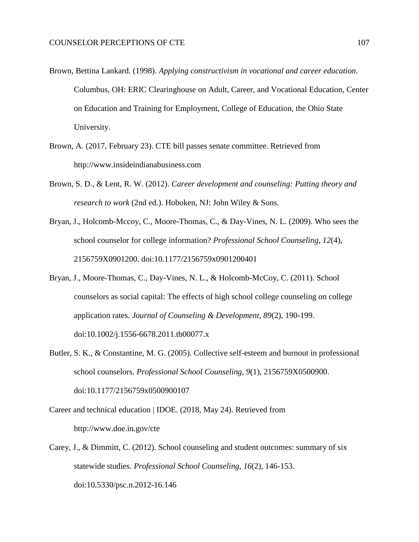- Brown, Bettina Lankard. (1998). *Applying constructivism in vocational and career education*. Columbus, OH: ERIC Clearinghouse on Adult, Career, and Vocational Education, Center on Education and Training for Employment, College of Education, the Ohio State University.
- Brown, A. (2017, February 23). CTE bill passes senate committee. Retrieved from http://www.insideindianabusiness.com
- Brown, S. D., & Lent, R. W. (2012). *Career development and counseling: Putting theory and research to work* (2nd ed.). Hoboken, NJ: John Wiley & Sons.
- Bryan, J., Holcomb-Mccoy, C., Moore-Thomas, C., & Day-Vines, N. L. (2009). Who sees the school counselor for college information? *Professional School Counseling*, *12*(4), 2156759X0901200. doi:10.1177/2156759x0901200401
- Bryan, J., Moore-Thomas, C., Day-Vines, N. L., & Holcomb-McCoy, C. (2011). School counselors as social capital: The effects of high school college counseling on college application rates. *Journal of Counseling & Development*, *89*(2), 190-199. doi:10.1002/j.1556-6678.2011.tb00077.x
- Butler, S. K., & Constantine, M. G. (2005). Collective self-esteem and burnout in professional school counselors. *Professional School Counseling*, *9*(1), 2156759X0500900. doi:10.1177/2156759x0500900107
- Career and technical education | IDOE. (2018, May 24). Retrieved from http://www.doe.in.gov/cte
- Carey, J., & Dimmitt, C. (2012). School counseling and student outcomes: summary of six statewide studies. *Professional School Counseling*, *16*(2), 146-153. doi:10.5330/psc.n.2012-16.146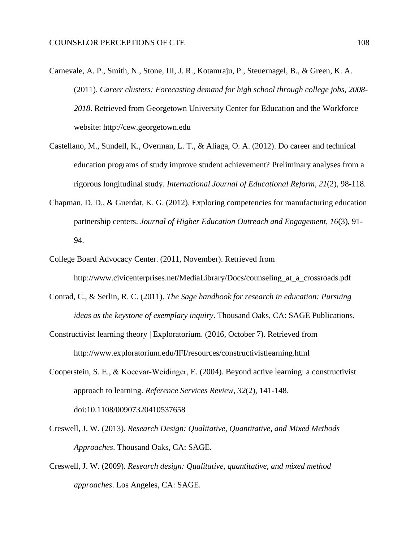- Carnevale, A. P., Smith, N., Stone, III, J. R., Kotamraju, P., Steuernagel, B., & Green, K. A. (2011). *Career clusters: Forecasting demand for high school through college jobs, 2008- 2018*. Retrieved from Georgetown University Center for Education and the Workforce website: http://cew.georgetown.edu
- Castellano, M., Sundell, K., Overman, L. T., & Aliaga, O. A. (2012). Do career and technical education programs of study improve student achievement? Preliminary analyses from a rigorous longitudinal study. *International Journal of Educational Reform*, *21*(2), 98-118.
- Chapman, D. D., & Guerdat, K. G. (2012). Exploring competencies for manufacturing education partnership centers. *Journal of Higher Education Outreach and Engagement*, *16*(3), 91- 94.
- College Board Advocacy Center. (2011, November). Retrieved from http://www.civicenterprises.net/MediaLibrary/Docs/counseling\_at\_a\_crossroads.pdf
- Conrad, C., & Serlin, R. C. (2011). *The Sage handbook for research in education: Pursuing ideas as the keystone of exemplary inquiry*. Thousand Oaks, CA: SAGE Publications.
- Constructivist learning theory | Exploratorium. (2016, October 7). Retrieved from http://www.exploratorium.edu/IFI/resources/constructivistlearning.html
- Cooperstein, S. E., & Kocevar‐Weidinger, E. (2004). Beyond active learning: a constructivist approach to learning. *Reference Services Review*, *32*(2), 141-148. doi:10.1108/00907320410537658
- Creswell, J. W. (2013). *Research Design: Qualitative, Quantitative, and Mixed Methods Approaches*. Thousand Oaks, CA: SAGE.
- Creswell, J. W. (2009). *Research design: Qualitative, quantitative, and mixed method approaches*. Los Angeles, CA: SAGE.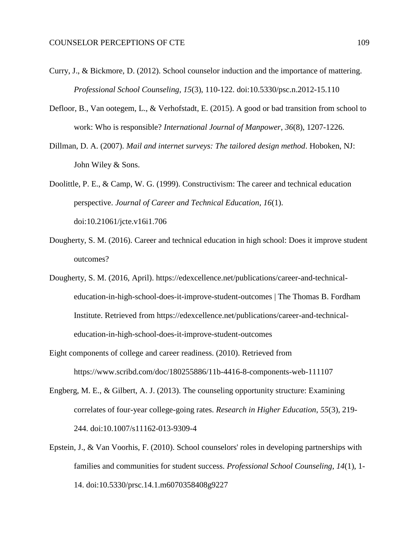- Curry, J., & Bickmore, D. (2012). School counselor induction and the importance of mattering. *Professional School Counseling*, *15*(3), 110-122. doi:10.5330/psc.n.2012-15.110
- Defloor, B., Van ootegem, L., & Verhofstadt, E. (2015). A good or bad transition from school to work: Who is responsible? *International Journal of Manpower*, *36*(8), 1207-1226.
- Dillman, D. A. (2007). *Mail and internet surveys: The tailored design method*. Hoboken, NJ: John Wiley & Sons.
- Doolittle, P. E., & Camp, W. G. (1999). Constructivism: The career and technical education perspective. *Journal of Career and Technical Education*, *16*(1). doi:10.21061/jcte.v16i1.706
- Dougherty, S. M. (2016). Career and technical education in high school: Does it improve student outcomes?
- Dougherty, S. M. (2016, April). https://edexcellence.net/publications/career-and-technicaleducation-in-high-school-does-it-improve-student-outcomes | The Thomas B. Fordham Institute. Retrieved from https://edexcellence.net/publications/career-and-technicaleducation-in-high-school-does-it-improve-student-outcomes
- Eight components of college and career readiness. (2010). Retrieved from https://www.scribd.com/doc/180255886/11b-4416-8-components-web-111107
- Engberg, M. E., & Gilbert, A. J. (2013). The counseling opportunity structure: Examining correlates of four-year college-going rates. *Research in Higher Education*, *55*(3), 219- 244. doi:10.1007/s11162-013-9309-4
- Epstein, J., & Van Voorhis, F. (2010). School counselors' roles in developing partnerships with families and communities for student success. *Professional School Counseling*, *14*(1), 1- 14. doi:10.5330/prsc.14.1.m6070358408g9227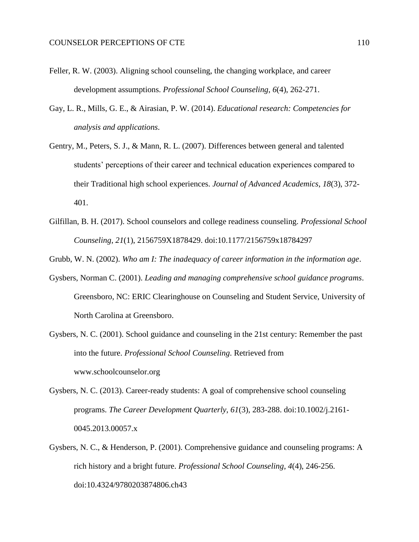- Feller, R. W. (2003). Aligning school counseling, the changing workplace, and career development assumptions. *Professional School Counseling*, *6*(4), 262-271.
- Gay, L. R., Mills, G. E., & Airasian, P. W. (2014). *Educational research: Competencies for analysis and applications*.
- Gentry, M., Peters, S. J., & Mann, R. L. (2007). Differences between general and talented students' perceptions of their career and technical education experiences compared to their Traditional high school experiences. *Journal of Advanced Academics*, *18*(3), 372- 401.
- Gilfillan, B. H. (2017). School counselors and college readiness counseling. *Professional School Counseling*, *21*(1), 2156759X1878429. doi:10.1177/2156759x18784297

Grubb, W. N. (2002). *Who am I: The inadequacy of career information in the information age*.

- Gysbers, Norman C. (2001). *Leading and managing comprehensive school guidance programs*. Greensboro, NC: ERIC Clearinghouse on Counseling and Student Service, University of North Carolina at Greensboro.
- Gysbers, N. C. (2001). School guidance and counseling in the 21st century: Remember the past into the future. *Professional School Counseling*. Retrieved from www.schoolcounselor.org
- Gysbers, N. C. (2013). Career-ready students: A goal of comprehensive school counseling programs. *The Career Development Quarterly*, *61*(3), 283-288. doi:10.1002/j.2161- 0045.2013.00057.x
- Gysbers, N. C., & Henderson, P. (2001). Comprehensive guidance and counseling programs: A rich history and a bright future. *Professional School Counseling*, *4*(4), 246-256. doi:10.4324/9780203874806.ch43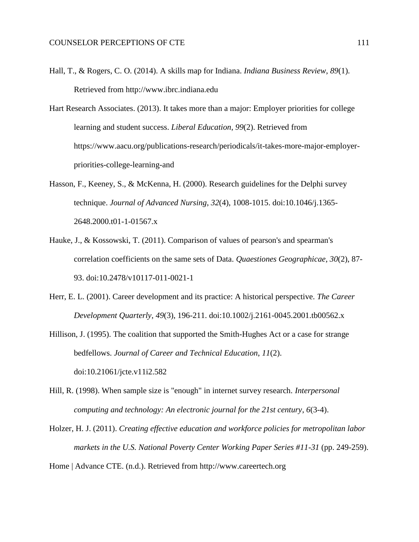- Hall, T., & Rogers, C. O. (2014). A skills map for Indiana. *Indiana Business Review*, *89*(1). Retrieved from http://www.ibrc.indiana.edu
- Hart Research Associates. (2013). It takes more than a major: Employer priorities for college learning and student success. *Liberal Education*, *99*(2). Retrieved from https://www.aacu.org/publications-research/periodicals/it-takes-more-major-employerpriorities-college-learning-and
- Hasson, F., Keeney, S., & McKenna, H. (2000). Research guidelines for the Delphi survey technique. *Journal of Advanced Nursing*, *32*(4), 1008-1015. doi:10.1046/j.1365- 2648.2000.t01-1-01567.x
- Hauke, J., & Kossowski, T. (2011). Comparison of values of pearson's and spearman's correlation coefficients on the same sets of Data. *Quaestiones Geographicae*, *30*(2), 87- 93. doi:10.2478/v10117-011-0021-1
- Herr, E. L. (2001). Career development and its practice: A historical perspective. *The Career Development Quarterly*, *49*(3), 196-211. doi:10.1002/j.2161-0045.2001.tb00562.x
- Hillison, J. (1995). The coalition that supported the Smith-Hughes Act or a case for strange bedfellows. *Journal of Career and Technical Education*, *11*(2). doi:10.21061/jcte.v11i2.582
- Hill, R. (1998). When sample size is "enough" in internet survey research. *Interpersonal computing and technology: An electronic journal for the 21st century*, *6*(3-4).
- Holzer, H. J. (2011). *Creating effective education and workforce policies for metropolitan labor markets in the U.S. National Poverty Center Working Paper Series #11-31* (pp. 249-259).

Home | Advance CTE. (n.d.). Retrieved from http://www.careertech.org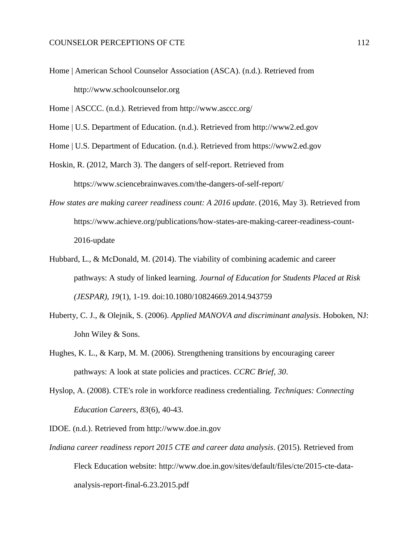Home | American School Counselor Association (ASCA). (n.d.). Retrieved from http://www.schoolcounselor.org

Home | ASCCC. (n.d.). Retrieved from http://www.asccc.org/

Home | U.S. Department of Education. (n.d.). Retrieved from http://www2.ed.gov

Home | U.S. Department of Education. (n.d.). Retrieved from https://www2.ed.gov

Hoskin, R. (2012, March 3). The dangers of self-report. Retrieved from https://www.sciencebrainwaves.com/the-dangers-of-self-report/

- *How states are making career readiness count: A 2016 update*. (2016, May 3). Retrieved from https://www.achieve.org/publications/how-states-are-making-career-readiness-count-2016-update
- Hubbard, L., & McDonald, M. (2014). The viability of combining academic and career pathways: A study of linked learning. *Journal of Education for Students Placed at Risk (JESPAR)*, *19*(1), 1-19. doi:10.1080/10824669.2014.943759
- Huberty, C. J., & Olejnik, S. (2006). *Applied MANOVA and discriminant analysis*. Hoboken, NJ: John Wiley & Sons.
- Hughes, K. L., & Karp, M. M. (2006). Strengthening transitions by encouraging career pathways: A look at state policies and practices. *CCRC Brief*, *30*.
- Hyslop, A. (2008). CTE's role in workforce readiness credentialing. *Techniques: Connecting Education Careers*, *83*(6), 40-43.
- IDOE. (n.d.). Retrieved from http://www.doe.in.gov
- *Indiana career readiness report 2015 CTE and career data analysis*. (2015). Retrieved from Fleck Education website: http://www.doe.in.gov/sites/default/files/cte/2015-cte-dataanalysis-report-final-6.23.2015.pdf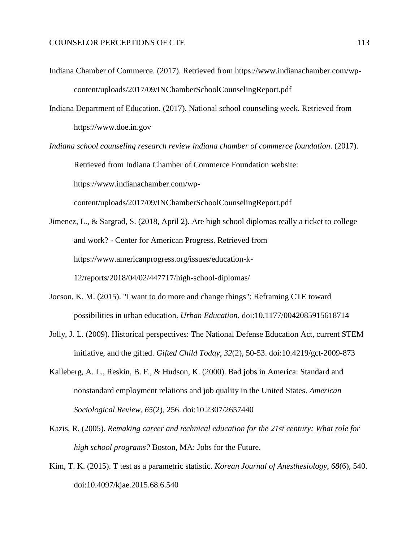- Indiana Chamber of Commerce. (2017). Retrieved from https://www.indianachamber.com/wpcontent/uploads/2017/09/INChamberSchoolCounselingReport.pdf
- Indiana Department of Education. (2017). National school counseling week. Retrieved from https://www.doe.in.gov
- *Indiana school counseling research review indiana chamber of commerce foundation*. (2017). Retrieved from Indiana Chamber of Commerce Foundation website: https://www.indianachamber.com/wpcontent/uploads/2017/09/INChamberSchoolCounselingReport.pdf
- Jimenez, L., & Sargrad, S. (2018, April 2). Are high school diplomas really a ticket to college and work? - Center for American Progress. Retrieved from https://www.americanprogress.org/issues/education-k-12/reports/2018/04/02/447717/high-school-diplomas/
- Jocson, K. M. (2015). "I want to do more and change things": Reframing CTE toward possibilities in urban education. *Urban Education*. doi:10.1177/0042085915618714
- Jolly, J. L. (2009). Historical perspectives: The National Defense Education Act, current STEM initiative, and the gifted. *Gifted Child Today*, *32*(2), 50-53. doi:10.4219/gct-2009-873
- Kalleberg, A. L., Reskin, B. F., & Hudson, K. (2000). Bad jobs in America: Standard and nonstandard employment relations and job quality in the United States. *American Sociological Review*, *65*(2), 256. doi:10.2307/2657440
- Kazis, R. (2005). *Remaking career and technical education for the 21st century: What role for high school programs?* Boston, MA: Jobs for the Future.
- Kim, T. K. (2015). T test as a parametric statistic. *Korean Journal of Anesthesiology*, *68*(6), 540. doi:10.4097/kjae.2015.68.6.540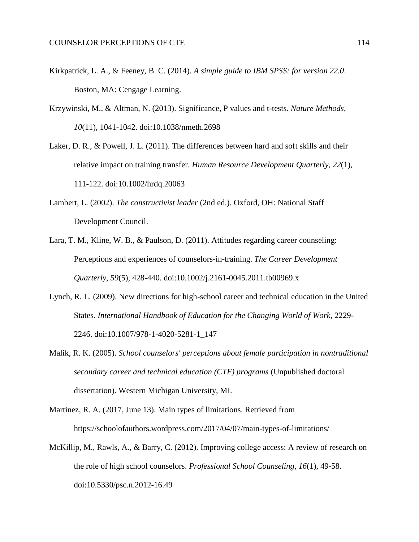- Kirkpatrick, L. A., & Feeney, B. C. (2014). *A simple guide to IBM SPSS: for version 22.0*. Boston, MA: Cengage Learning.
- Krzywinski, M., & Altman, N. (2013). Significance, P values and t-tests. *Nature Methods*, *10*(11), 1041-1042. doi:10.1038/nmeth.2698
- Laker, D. R., & Powell, J. L. (2011). The differences between hard and soft skills and their relative impact on training transfer. *Human Resource Development Quarterly*, *22*(1), 111-122. doi:10.1002/hrdq.20063
- Lambert, L. (2002). *The constructivist leader* (2nd ed.). Oxford, OH: National Staff Development Council.
- Lara, T. M., Kline, W. B., & Paulson, D. (2011). Attitudes regarding career counseling: Perceptions and experiences of counselors-in-training. *The Career Development Quarterly*, *59*(5), 428-440. doi:10.1002/j.2161-0045.2011.tb00969.x
- Lynch, R. L. (2009). New directions for high-school career and technical education in the United States. *International Handbook of Education for the Changing World of Work*, 2229- 2246. doi:10.1007/978-1-4020-5281-1\_147
- Malik, R. K. (2005). *School counselors' perceptions about female participation in nontraditional secondary career and technical education (CTE) programs* (Unpublished doctoral dissertation). Western Michigan University, MI.
- Martinez, R. A. (2017, June 13). Main types of limitations. Retrieved from https://schoolofauthors.wordpress.com/2017/04/07/main-types-of-limitations/
- McKillip, M., Rawls, A., & Barry, C. (2012). Improving college access: A review of research on the role of high school counselors. *Professional School Counseling*, *16*(1), 49-58. doi:10.5330/psc.n.2012-16.49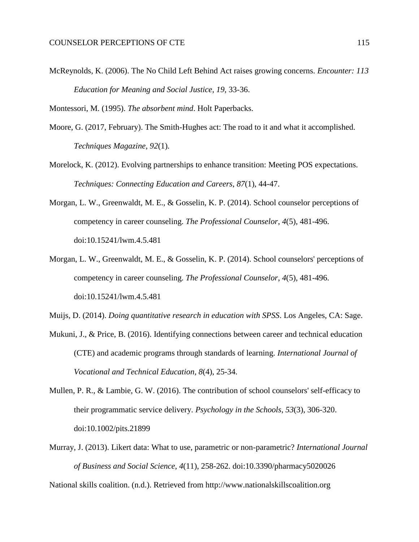McReynolds, K. (2006). The No Child Left Behind Act raises growing concerns. *Encounter: 113 Education for Meaning and Social Justice*, *19*, 33-36.

Montessori, M. (1995). *The absorbent mind*. Holt Paperbacks.

- Moore, G. (2017, February). The Smith-Hughes act: The road to it and what it accomplished. *Techniques Magazine*, *92*(1).
- Morelock, K. (2012). Evolving partnerships to enhance transition: Meeting POS expectations. *Techniques: Connecting Education and Careers*, *87*(1), 44-47.
- Morgan, L. W., Greenwaldt, M. E., & Gosselin, K. P. (2014). School counselor perceptions of competency in career counseling. *The Professional Counselor*, *4*(5), 481-496. doi:10.15241/lwm.4.5.481
- Morgan, L. W., Greenwaldt, M. E., & Gosselin, K. P. (2014). School counselors' perceptions of competency in career counseling. *The Professional Counselor*, *4*(5), 481-496. doi:10.15241/lwm.4.5.481
- Muijs, D. (2014). *Doing quantitative research in education with SPSS*. Los Angeles, CA: Sage.
- Mukuni, J., & Price, B. (2016). Identifying connections between career and technical education (CTE) and academic programs through standards of learning. *International Journal of Vocational and Technical Education*, *8*(4), 25-34.
- Mullen, P. R., & Lambie, G. W. (2016). The contribution of school counselors' self-efficacy to their programmatic service delivery. *Psychology in the Schools*, *53*(3), 306-320. doi:10.1002/pits.21899
- Murray, J. (2013). Likert data: What to use, parametric or non-parametric? *International Journal of Business and Social Science*, *4*(11), 258-262. doi:10.3390/pharmacy5020026

National skills coalition. (n.d.). Retrieved from http://www.nationalskillscoalition.org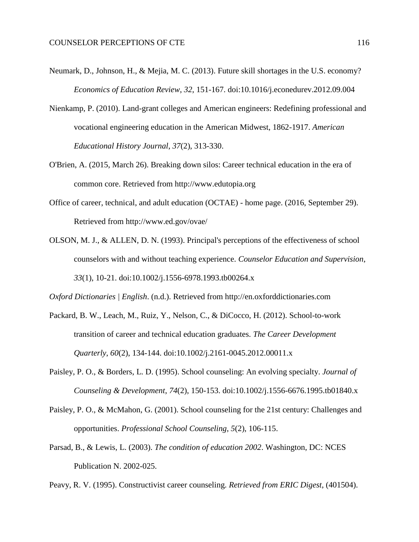- Neumark, D., Johnson, H., & Mejia, M. C. (2013). Future skill shortages in the U.S. economy? *Economics of Education Review*, *32*, 151-167. doi:10.1016/j.econedurev.2012.09.004
- Nienkamp, P. (2010). Land-grant colleges and American engineers: Redefining professional and vocational engineering education in the American Midwest, 1862-1917. *American Educational History Journal*, *37*(2), 313-330.
- O'Brien, A. (2015, March 26). Breaking down silos: Career technical education in the era of common core. Retrieved from http://www.edutopia.org
- Office of career, technical, and adult education (OCTAE) home page. (2016, September 29). Retrieved from http://www.ed.gov/ovae/
- OLSON, M. J., & ALLEN, D. N. (1993). Principal's perceptions of the effectiveness of school counselors with and without teaching experience. *Counselor Education and Supervision*, *33*(1), 10-21. doi:10.1002/j.1556-6978.1993.tb00264.x

*Oxford Dictionaries | English*. (n.d.). Retrieved from http://en.oxforddictionaries.com

- Packard, B. W., Leach, M., Ruiz, Y., Nelson, C., & DiCocco, H. (2012). School-to-work transition of career and technical education graduates. *The Career Development Quarterly*, *60*(2), 134-144. doi:10.1002/j.2161-0045.2012.00011.x
- Paisley, P. O., & Borders, L. D. (1995). School counseling: An evolving specialty. *Journal of Counseling & Development*, *74*(2), 150-153. doi:10.1002/j.1556-6676.1995.tb01840.x
- Paisley, P. O., & McMahon, G. (2001). School counseling for the 21st century: Challenges and opportunities. *Professional School Counseling*, *5*(2), 106-115.
- Parsad, B., & Lewis, L. (2003). *The condition of education 2002*. Washington, DC: NCES Publication N. 2002-025.

Peavy, R. V. (1995). Constructivist career counseling. *Retrieved from ERIC Digest*, (401504).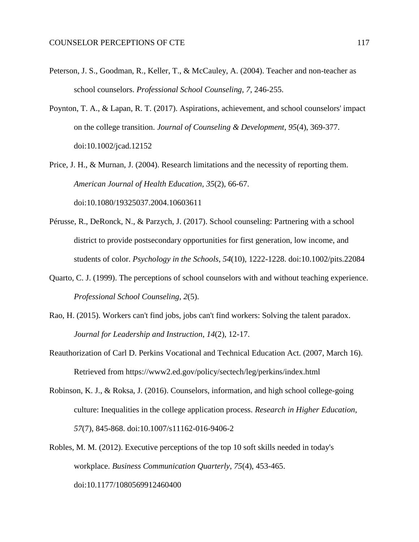- Peterson, J. S., Goodman, R., Keller, T., & McCauley, A. (2004). Teacher and non-teacher as school counselors. *Professional School Counseling*, *7*, 246-255.
- Poynton, T. A., & Lapan, R. T. (2017). Aspirations, achievement, and school counselors' impact on the college transition. *Journal of Counseling & Development*, *95*(4), 369-377. doi:10.1002/jcad.12152
- Price, J. H., & Murnan, J. (2004). Research limitations and the necessity of reporting them. *American Journal of Health Education*, *35*(2), 66-67.

doi:10.1080/19325037.2004.10603611

- Pérusse, R., DeRonck, N., & Parzych, J. (2017). School counseling: Partnering with a school district to provide postsecondary opportunities for first generation, low income, and students of color. *Psychology in the Schools*, *54*(10), 1222-1228. doi:10.1002/pits.22084
- Quarto, C. J. (1999). The perceptions of school counselors with and without teaching experience. *Professional School Counseling*, *2*(5).
- Rao, H. (2015). Workers can't find jobs, jobs can't find workers: Solving the talent paradox. *Journal for Leadership and Instruction*, *14*(2), 12-17.
- Reauthorization of Carl D. Perkins Vocational and Technical Education Act. (2007, March 16). Retrieved from https://www2.ed.gov/policy/sectech/leg/perkins/index.html
- Robinson, K. J., & Roksa, J. (2016). Counselors, information, and high school college-going culture: Inequalities in the college application process. *Research in Higher Education*, *57*(7), 845-868. doi:10.1007/s11162-016-9406-2
- Robles, M. M. (2012). Executive perceptions of the top 10 soft skills needed in today's workplace. *Business Communication Quarterly*, *75*(4), 453-465. doi:10.1177/1080569912460400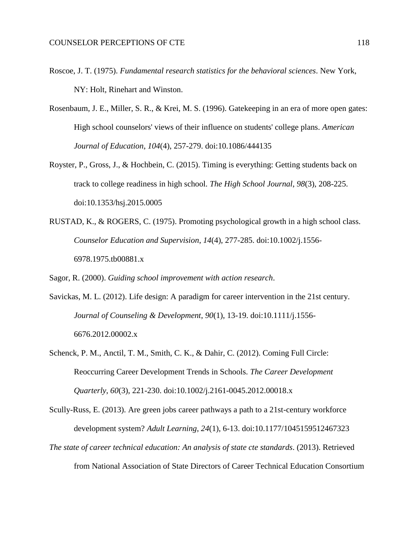- Roscoe, J. T. (1975). *Fundamental research statistics for the behavioral sciences*. New York, NY: Holt, Rinehart and Winston.
- Rosenbaum, J. E., Miller, S. R., & Krei, M. S. (1996). Gatekeeping in an era of more open gates: High school counselors' views of their influence on students' college plans. *American Journal of Education*, *104*(4), 257-279. doi:10.1086/444135
- Royster, P., Gross, J., & Hochbein, C. (2015). Timing is everything: Getting students back on track to college readiness in high school. *The High School Journal*, *98*(3), 208-225. doi:10.1353/hsj.2015.0005
- RUSTAD, K., & ROGERS, C. (1975). Promoting psychological growth in a high school class. *Counselor Education and Supervision*, *14*(4), 277-285. doi:10.1002/j.1556- 6978.1975.tb00881.x

Sagor, R. (2000). *Guiding school improvement with action research*.

- Savickas, M. L. (2012). Life design: A paradigm for career intervention in the 21st century. *Journal of Counseling & Development*, *90*(1), 13-19. doi:10.1111/j.1556- 6676.2012.00002.x
- Schenck, P. M., Anctil, T. M., Smith, C. K., & Dahir, C. (2012). Coming Full Circle: Reoccurring Career Development Trends in Schools. *The Career Development Quarterly*, *60*(3), 221-230. doi:10.1002/j.2161-0045.2012.00018.x
- Scully-Russ, E. (2013). Are green jobs career pathways a path to a 21st-century workforce development system? *Adult Learning*, *24*(1), 6-13. doi:10.1177/1045159512467323
- *The state of career technical education: An analysis of state cte standards*. (2013). Retrieved from National Association of State Directors of Career Technical Education Consortium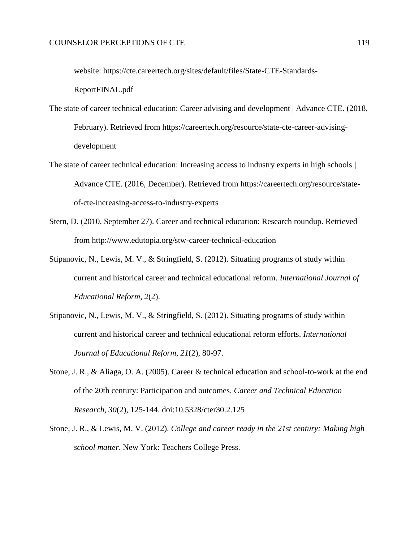website: https://cte.careertech.org/sites/default/files/State-CTE-Standards-

ReportFINAL.pdf

- The state of career technical education: Career advising and development | Advance CTE. (2018, February). Retrieved from https://careertech.org/resource/state-cte-career-advisingdevelopment
- The state of career technical education: Increasing access to industry experts in high schools | Advance CTE. (2016, December). Retrieved from https://careertech.org/resource/stateof-cte-increasing-access-to-industry-experts
- Stern, D. (2010, September 27). Career and technical education: Research roundup. Retrieved from http://www.edutopia.org/stw-career-technical-education
- Stipanovic, N., Lewis, M. V., & Stringfield, S. (2012). Situating programs of study within current and historical career and technical educational reform. *International Journal of Educational Reform*, *2*(2).
- Stipanovic, N., Lewis, M. V., & Stringfield, S. (2012). Situating programs of study within current and historical career and technical educational reform efforts. *International Journal of Educational Reform*, *21*(2), 80-97.
- Stone, J. R., & Aliaga, O. A. (2005). Career & technical education and school-to-work at the end of the 20th century: Participation and outcomes. *Career and Technical Education Research*, *30*(2), 125-144. doi:10.5328/cter30.2.125
- Stone, J. R., & Lewis, M. V. (2012). *College and career ready in the 21st century: Making high school matter*. New York: Teachers College Press.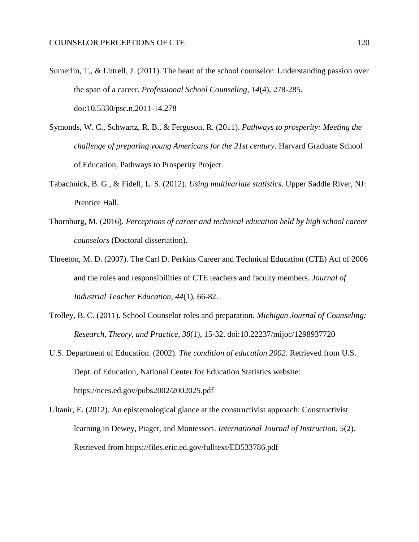- Sumerlin, T., & Littrell, J. (2011). The heart of the school counselor: Understanding passion over the span of a career. *Professional School Counseling*, *14*(4), 278-285. doi:10.5330/psc.n.2011-14.278
- Symonds, W. C., Schwartz, R. B., & Ferguson, R. (2011). *Pathways to prosperity: Meeting the challenge of preparing young Americans for the 21st century*. Harvard Graduate School of Education, Pathways to Prosperity Project.
- Tabachnick, B. G., & Fidell, L. S. (2012). *Using multivariate statistics*. Upper Saddle River, NJ: Prentice Hall.
- Thornburg, M. (2016). *Perceptions of career and technical education held by high school career counselors* (Doctoral dissertation).
- Threeton, M. D. (2007). The Carl D. Perkins Career and Technical Education (CTE) Act of 2006 and the roles and responsibilities of CTE teachers and faculty members. *Journal of Industrial Teacher Education*, *44*(1), 66-82.
- Trolley, B. C. (2011). School Counselor roles and preparation. *Michigan Journal of Counseling: Research, Theory, and Practice*, *38*(1), 15-32. doi:10.22237/mijoc/1298937720
- U.S. Department of Education. (2002). *The condition of education 2002*. Retrieved from U.S. Dept. of Education, National Center for Education Statistics website: https://nces.ed.gov/pubs2002/2002025.pdf
- Ultanir, E. (2012). An epistemological glance at the constructivist approach: Constructivist learning in Dewey, Piaget, and Montessori. *International Journal of Instruction*, *5*(2). Retrieved from https://files.eric.ed.gov/fulltext/ED533786.pdf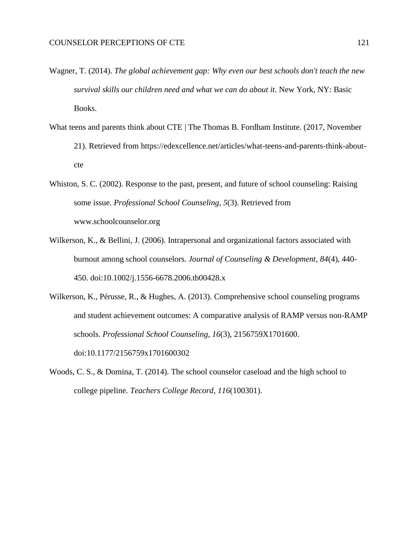- Wagner, T. (2014). *The global achievement gap: Why even our best schools don't teach the new survival skills our children need and what we can do about it*. New York, NY: Basic Books.
- What teens and parents think about CTE | The Thomas B. Fordham Institute. (2017, November 21). Retrieved from https://edexcellence.net/articles/what-teens-and-parents-think-aboutcte
- Whiston, S. C. (2002). Response to the past, present, and future of school counseling: Raising some issue. *Professional School Counseling*, *5*(3). Retrieved from www.schoolcounselor.org
- Wilkerson, K., & Bellini, J. (2006). Intrapersonal and organizational factors associated with burnout among school counselors. *Journal of Counseling & Development*, *84*(4), 440- 450. doi:10.1002/j.1556-6678.2006.tb00428.x
- Wilkerson, K., Pérusse, R., & Hughes, A. (2013). Comprehensive school counseling programs and student achievement outcomes: A comparative analysis of RAMP versus non-RAMP schools. *Professional School Counseling*, *16*(3), 2156759X1701600. doi:10.1177/2156759x1701600302
- Woods, C. S., & Domina, T. (2014). The school counselor caseload and the high school to college pipeline. *Teachers College Record*, *116*(100301).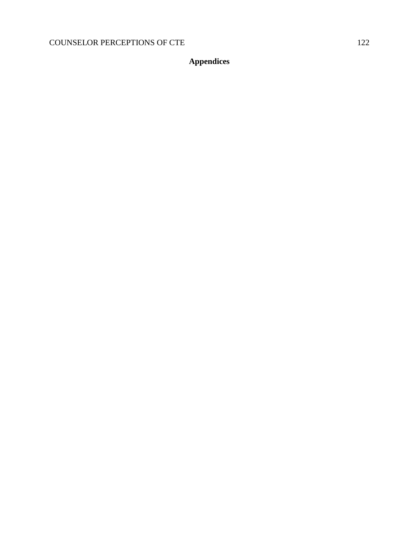**Appendices**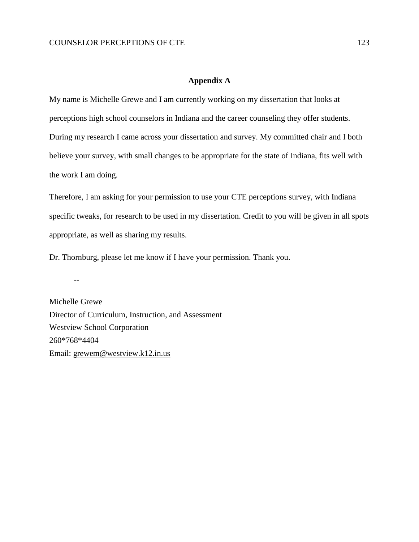# **Appendix A**

My name is Michelle Grewe and I am currently working on my dissertation that looks at perceptions high school counselors in Indiana and the career counseling they offer students. During my research I came across your dissertation and survey. My committed chair and I both believe your survey, with small changes to be appropriate for the state of Indiana, fits well with the work I am doing.

Therefore, I am asking for your permission to use your CTE perceptions survey, with Indiana specific tweaks, for research to be used in my dissertation. Credit to you will be given in all spots appropriate, as well as sharing my results.

Dr. Thornburg, please let me know if I have your permission. Thank you.

--

Michelle Grewe Director of Curriculum, Instruction, and Assessment Westview School Corporation 260\*768\*4404 Email: [grewem@westview.k12.in.us](mailto:grewem@westview.k12.in.us)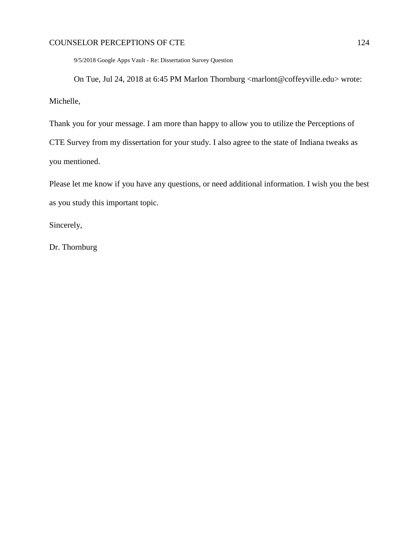9/5/2018 Google Apps Vault - Re: Dissertation Survey Question

On Tue, Jul 24, 2018 at 6:45 PM Marlon Thornburg <marlont@coffeyville.edu> wrote: Michelle,

Thank you for your message. I am more than happy to allow you to utilize the Perceptions of CTE Survey from my dissertation for your study. I also agree to the state of Indiana tweaks as you mentioned.

Please let me know if you have any questions, or need additional information. I wish you the best as you study this important topic.

Sincerely,

Dr. Thornburg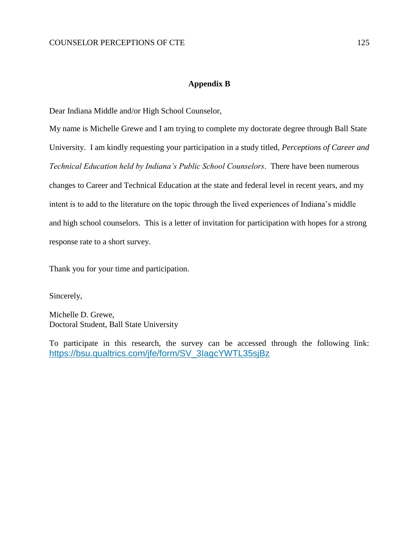# **Appendix B**

Dear Indiana Middle and/or High School Counselor,

My name is Michelle Grewe and I am trying to complete my doctorate degree through Ball State University. I am kindly requesting your participation in a study titled, *Perceptions of Career and Technical Education held by Indiana's Public School Counselors*. There have been numerous changes to Career and Technical Education at the state and federal level in recent years, and my intent is to add to the literature on the topic through the lived experiences of Indiana's middle and high school counselors. This is a letter of invitation for participation with hopes for a strong response rate to a short survey.

Thank you for your time and participation.

Sincerely,

Michelle D. Grewe, Doctoral Student, Ball State University

To participate in this research, the survey can be accessed through the following link: [https://bsu.qualtrics.com/jfe/form/SV\\_3IagcYWTL35sjBz](https://bsu.qualtrics.com/jfe/form/SV_3IagcYWTL35sjBz)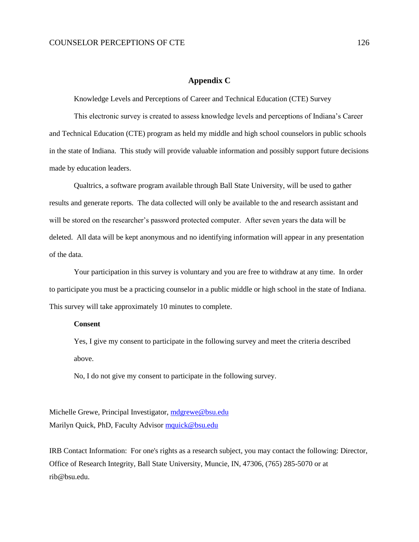## **Appendix C**

Knowledge Levels and Perceptions of Career and Technical Education (CTE) Survey

This electronic survey is created to assess knowledge levels and perceptions of Indiana's Career and Technical Education (CTE) program as held my middle and high school counselors in public schools in the state of Indiana. This study will provide valuable information and possibly support future decisions made by education leaders.

Qualtrics, a software program available through Ball State University, will be used to gather results and generate reports. The data collected will only be available to the and research assistant and will be stored on the researcher's password protected computer. After seven years the data will be deleted. All data will be kept anonymous and no identifying information will appear in any presentation of the data.

Your participation in this survey is voluntary and you are free to withdraw at any time. In order to participate you must be a practicing counselor in a public middle or high school in the state of Indiana. This survey will take approximately 10 minutes to complete.

#### **Consent**

Yes, I give my consent to participate in the following survey and meet the criteria described above.

No, I do not give my consent to participate in the following survey.

Michelle Grewe, Principal Investigator, [mdgrewe@bsu.edu](mailto:mdgrewe@bsu.edu) Marilyn Quick, PhD, Faculty Advisor [mquick@bsu.edu](mailto:mquick@bsu.edu)

IRB Contact Information: For one's rights as a research subject, you may contact the following: Director, Office of Research Integrity, Ball State University, Muncie, IN, 47306, (765) 285-5070 or at rib@bsu.edu.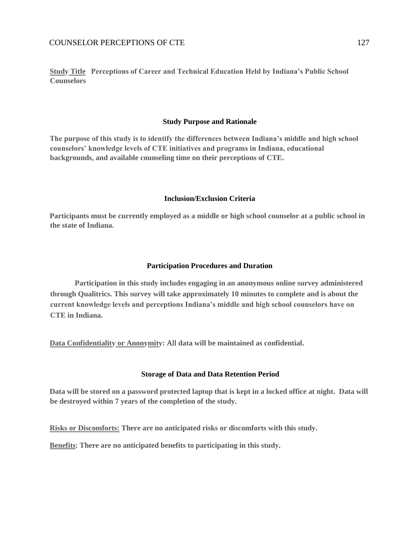**Study Title Perceptions of Career and Technical Education Held by Indiana's Public School Counselors**

#### **Study Purpose and Rationale**

**The purpose of this study is to identify the differences between Indiana's middle and high school counselors' knowledge levels of CTE initiatives and programs in Indiana, educational backgrounds, and available counseling time on their perceptions of CTE.** 

#### **Inclusion/Exclusion Criteria**

**Participants must be currently employed as a middle or high school counselor at a public school in the state of Indiana.**

#### **Participation Procedures and Duration**

**Participation in this study includes engaging in an anonymous online survey administered through Qualitrics. This survey will take approximately 10 minutes to complete and is about the current knowledge levels and perceptions Indiana's middle and high school counselors have on CTE in Indiana.**

**Data Confidentiality or Anonymity:** All **data will be maintained as confidential.**

#### **Storage of Data and Data Retention Period**

**Data will be stored on a password protected laptop that is kept in a locked office at night. Data will be destroyed within 7 years of the completion of the study.**

**Risks or Discomforts: There are no anticipated risks or discomforts with this study.**

**Benefits**: **There are no anticipated benefits to participating in this study.**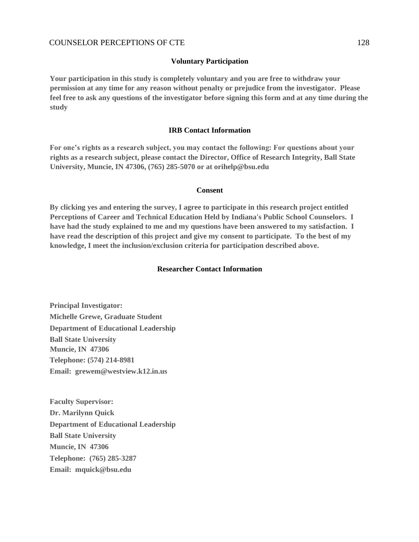#### **Voluntary Participation**

**Your participation in this study is completely voluntary and you are free to withdraw your permission at any time for any reason without penalty or prejudice from the investigator. Please feel free to ask any questions of the investigator before signing this form and at any time during the study**

#### **IRB Contact Information**

**For one's rights as a research subject, you may contact the following: For questions about your rights as a research subject, please contact the Director, Office of Research Integrity, Ball State University, Muncie, IN 47306, (765) 285-5070 or at orihelp@bsu.edu**

#### **Consent**

**By clicking yes and entering the survey, I agree to participate in this research project entitled Perceptions of Career and Technical Education Held by Indiana's Public School Counselors. I have had the study explained to me and my questions have been answered to my satisfaction. I have read the description of this project and give my consent to participate. To the best of my knowledge, I meet the inclusion/exclusion criteria for participation described above.**

#### **Researcher Contact Information**

**Principal Investigator: Michelle Grewe, Graduate Student Department of Educational Leadership Ball State University Muncie, IN 47306 Telephone: (574) 214-8981 Email: grewem@westview.k12.in.us** 

**Faculty Supervisor: Dr. Marilynn Quick Department of Educational Leadership Ball State University Muncie, IN 47306 Telephone: (765) 285-3287 Email: mquick@bsu.edu**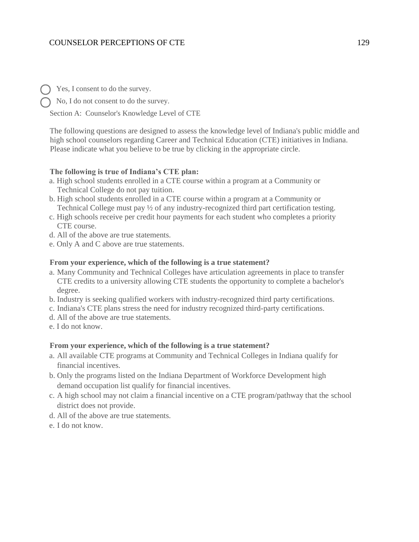Yes, I consent to do the survey.

No, I do not consent to do the survey.

Section A: Counselor's Knowledge Level of CTE

The following questions are designed to assess the knowledge level of Indiana's public middle and high school counselors regarding Career and Technical Education (CTE) initiatives in Indiana. Please indicate what you believe to be true by clicking in the appropriate circle.

## **The following is true of Indiana's CTE plan:**

- a. High school students enrolled in a CTE course within a program at a Community or Technical College do not pay tuition.
- b. High school students enrolled in a CTE course within a program at a Community or Technical College must pay ½ of any industry-recognized third part certification testing.
- c. High schools receive per credit hour payments for each student who completes a priority CTE course.
- d. All of the above are true statements.
- e. Only A and C above are true statements.

#### **From your experience, which of the following is a true statement?**

- a. Many Community and Technical Colleges have articulation agreements in place to transfer CTE credits to a university allowing CTE students the opportunity to complete a bachelor's degree.
- b. Industry is seeking qualified workers with industry-recognized third party certifications.
- c. Indiana's CTE plans stress the need for industry recognized third-party certifications.
- d. All of the above are true statements.
- e. I do not know.

### **From your experience, which of the following is a true statement?**

- a. All available CTE programs at Community and Technical Colleges in Indiana qualify for financial incentives.
- b. Only the programs listed on the Indiana Department of Workforce Development high demand occupation list qualify for financial incentives.
- c. A high school may not claim a financial incentive on a CTE program/pathway that the school district does not provide.
- d. All of the above are true statements.
- e. I do not know.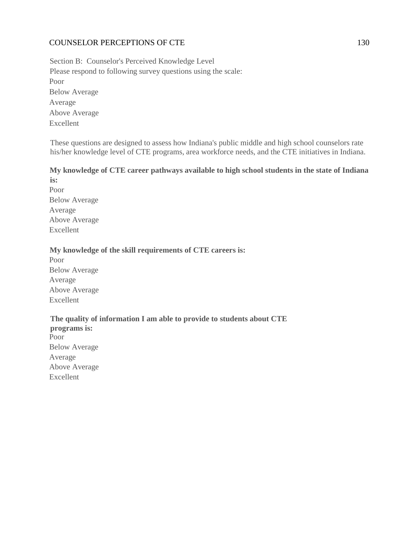Section B: Counselor's Perceived Knowledge Level Please respond to following survey questions using the scale: Poor Below Average Average Above Average Excellent

These questions are designed to assess how Indiana's public middle and high school counselors rate his/her knowledge level of CTE programs, area workforce needs, and the CTE initiatives in Indiana.

## **My knowledge of CTE career pathways available to high school students in the state of Indiana is:**

Poor Below Average Average Above Average Excellent

# **My knowledge of the skill requirements of CTE careers is:**

Poor Below Average Average Above Average Excellent

**The quality of information I am able to provide to students about CTE programs is:** Poor Below Average Average Above Average Excellent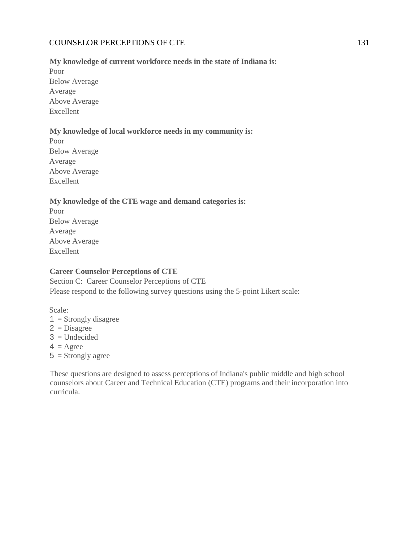## **My knowledge of current workforce needs in the state of Indiana is:**

Poor Below Average Average Above Average Excellent

# **My knowledge of local workforce needs in my community is:**

Poor Below Average Average Above Average Excellent

# **My knowledge of the CTE wage and demand categories is:**

Poor Below Average Average Above Average Excellent

## **Career Counselor Perceptions of CTE**

Section C: Career Counselor Perceptions of CTE Please respond to the following survey questions using the 5-point Likert scale:

Scale:  $1 =$ Strongly disagree  $2 = Disagree$  $3 =$  Undecided  $4 = \text{Agree}$  $5 =$ Strongly agree

These questions are designed to assess perceptions of Indiana's public middle and high school counselors about Career and Technical Education (CTE) programs and their incorporation into curricula.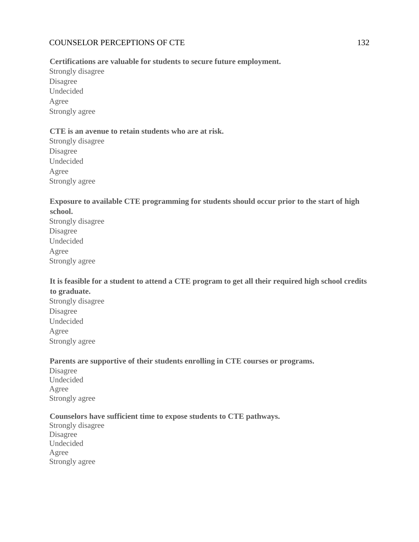# **Certifications are valuable for students to secure future employment.**

Strongly disagree Disagree Undecided Agree Strongly agree

# **CTE is an avenue to retain students who are at risk.**

Strongly disagree Disagree Undecided Agree Strongly agree

# **Exposure to available CTE programming for students should occur prior to the start of high school.**

Strongly disagree Disagree Undecided Agree Strongly agree

# **It is feasible for a student to attend a CTE program to get all their required high school credits to graduate.**

Strongly disagree Disagree Undecided Agree Strongly agree

# **Parents are supportive of their students enrolling in CTE courses or programs.**

Disagree Undecided Agree Strongly agree

# **Counselors have sufficient time to expose students to CTE pathways.**

Strongly disagree Disagree Undecided Agree Strongly agree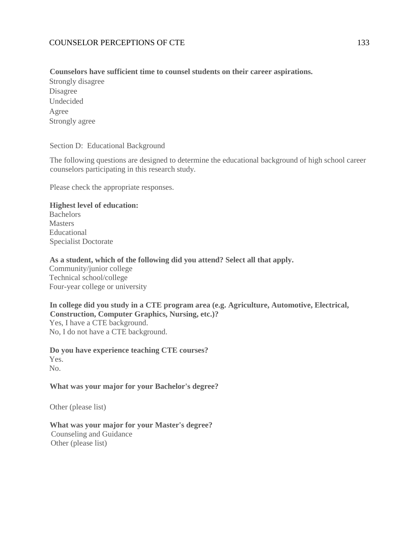# **Counselors have sufficient time to counsel students on their career aspirations.**

Strongly disagree Disagree Undecided Agree Strongly agree

Section D: Educational Background

The following questions are designed to determine the educational background of high school career counselors participating in this research study.

Please check the appropriate responses.

# **Highest level of education:**

**Bachelors Masters** Educational Specialist Doctorate

## **As a student, which of the following did you attend? Select all that apply.**

Community/junior college Technical school/college Four-year college or university

# **In college did you study in a CTE program area (e.g. Agriculture, Automotive, Electrical, Construction, Computer Graphics, Nursing, etc.)?** Yes, I have a CTE background. No, I do not have a CTE background.

**Do you have experience teaching CTE courses?** Yes. No.

# **What was your major for your Bachelor's degree?**

Other (please list)

## **What was your major for your Master's degree?** Counseling and Guidance Other (please list)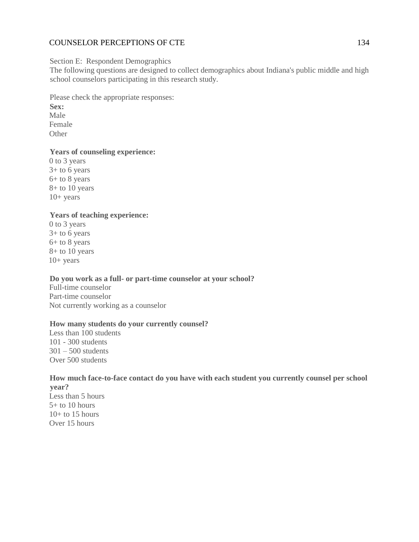### Section E: Respondent Demographics

The following questions are designed to collect demographics about Indiana's public middle and high school counselors participating in this research study.

Please check the appropriate responses: **Sex:** Male Female **Other** 

## **Years of counseling experience:**

0 to 3 years  $3+$  to 6 years 6+ to 8 years 8+ to 10 years  $10+$  years

# **Years of teaching experience:**

0 to 3 years 3+ to 6 years 6+ to 8 years 8+ to 10 years  $10+$  years

### **Do you work as a full- or part-time counselor at your school?**

Full-time counselor Part-time counselor Not currently working as a counselor

#### **How many students do your currently counsel?**

Less than 100 students 101 - 300 students  $301 - 500$  students Over 500 students

### **How much face-to-face contact do you have with each student you currently counsel per school year?**

Less than 5 hours 5+ to 10 hours  $10+$  to 15 hours Over 15 hours